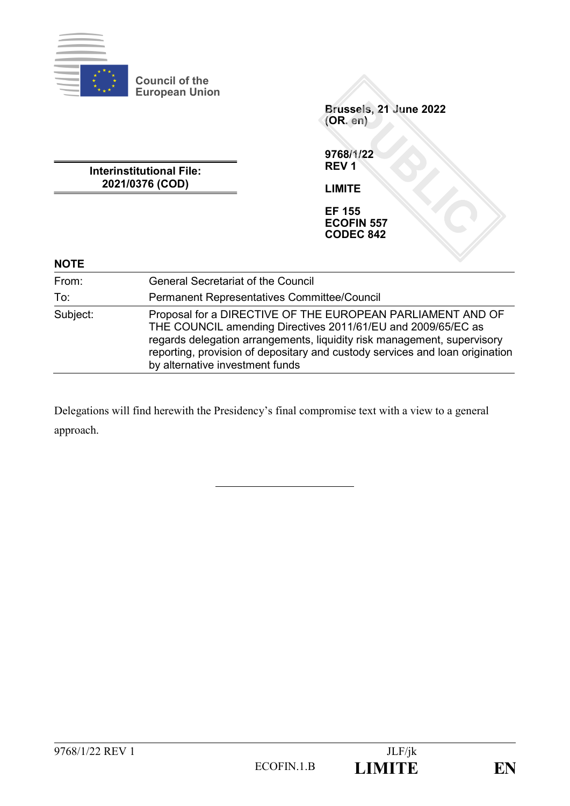

**Council of the European Union**

**Interinstitutional File: 2021/0376 (COD)**

**Brussels, 21 June 2022 (OR. en)**

**9768/1/22 REV 1**

**LIMITE**

**EF 155 ECOFIN 557 CODEC 842**

| <b>NOTE</b> |                                                                                                                                                                                                                                                                                                                          |
|-------------|--------------------------------------------------------------------------------------------------------------------------------------------------------------------------------------------------------------------------------------------------------------------------------------------------------------------------|
| From:       | <b>General Secretariat of the Council</b>                                                                                                                                                                                                                                                                                |
| To:         | <b>Permanent Representatives Committee/Council</b>                                                                                                                                                                                                                                                                       |
| Subject:    | Proposal for a DIRECTIVE OF THE EUROPEAN PARLIAMENT AND OF<br>THE COUNCIL amending Directives 2011/61/EU and 2009/65/EC as<br>regards delegation arrangements, liquidity risk management, supervisory<br>reporting, provision of depositary and custody services and loan origination<br>by alternative investment funds |

Delegations will find herewith the Presidency's final compromise text with a view to a general approach.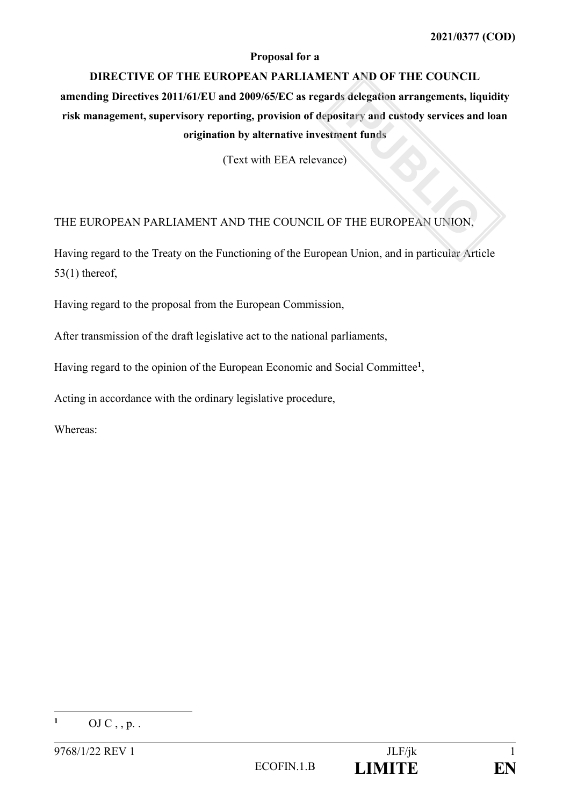### **Proposal for a**

### **DIRECTIVE OF THE EUROPEAN PARLIAMENT AND OF THE COUNCIL**

**amending Directives 2011/61/EU and 2009/65/EC as regards delegation arrangements, liquidity risk management, supervisory reporting, provision of depositary and custody services and loan origination by alternative investment funds**

(Text with EEA relevance)

### THE EUROPEAN PARLIAMENT AND THE COUNCIL OF THE EUROPEAN UNION,

Having regard to the Treaty on the Functioning of the European Union, and in particular Article 53(1) thereof,

Having regard to the proposal from the European Commission,

After transmission of the draft legislative act to the national parliaments,

Having regard to the opinion of the European Economic and Social Committee**<sup>1</sup>** ,

Acting in accordance with the ordinary legislative procedure,

Whereas:

 $\mathbf{1}$ **<sup>1</sup>** OJ C , , p. .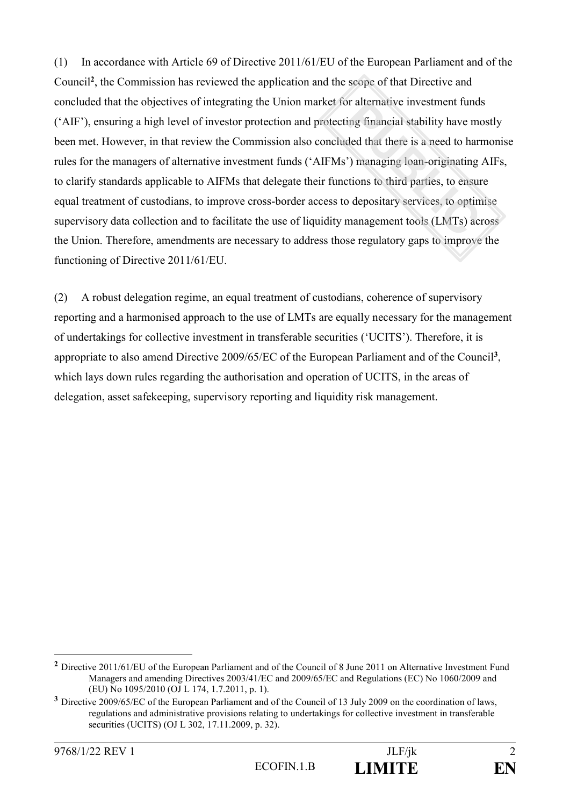(1) In accordance with Article 69 of Directive 2011/61/EU of the European Parliament and of the Council**<sup>2</sup>** , the Commission has reviewed the application and the scope of that Directive and concluded that the objectives of integrating the Union market for alternative investment funds ('AIF'), ensuring a high level of investor protection and protecting financial stability have mostly been met. However, in that review the Commission also concluded that there is a need to harmonise rules for the managers of alternative investment funds ('AIFMs') managing loan-originating AIFs, to clarify standards applicable to AIFMs that delegate their functions to third parties, to ensure equal treatment of custodians, to improve cross-border access to depositary services, to optimise supervisory data collection and to facilitate the use of liquidity management tools (LMTs) across the Union. Therefore, amendments are necessary to address those regulatory gaps to improve the functioning of Directive 2011/61/EU.

(2) A robust delegation regime, an equal treatment of custodians, coherence of supervisory reporting and a harmonised approach to the use of LMTs are equally necessary for the management of undertakings for collective investment in transferable securities ('UCITS'). Therefore, it is appropriate to also amend Directive 2009/65/EC of the European Parliament and of the Council**<sup>3</sup>** , which lays down rules regarding the authorisation and operation of UCITS, in the areas of delegation, asset safekeeping, supervisory reporting and liquidity risk management.

1

**<sup>2</sup>** Directive 2011/61/EU of the European Parliament and of the Council of 8 June 2011 on Alternative Investment Fund Managers and amending Directives 2003/41/EC and 2009/65/EC and Regulations (EC) No 1060/2009 and (EU) No 1095/2010 (OJ L 174, 1.7.2011, p. 1).

**<sup>3</sup>** Directive 2009/65/EC of the European Parliament and of the Council of 13 July 2009 on the coordination of laws, regulations and administrative provisions relating to undertakings for collective investment in transferable securities (UCITS) (OJ L 302, 17.11.2009, p. 32).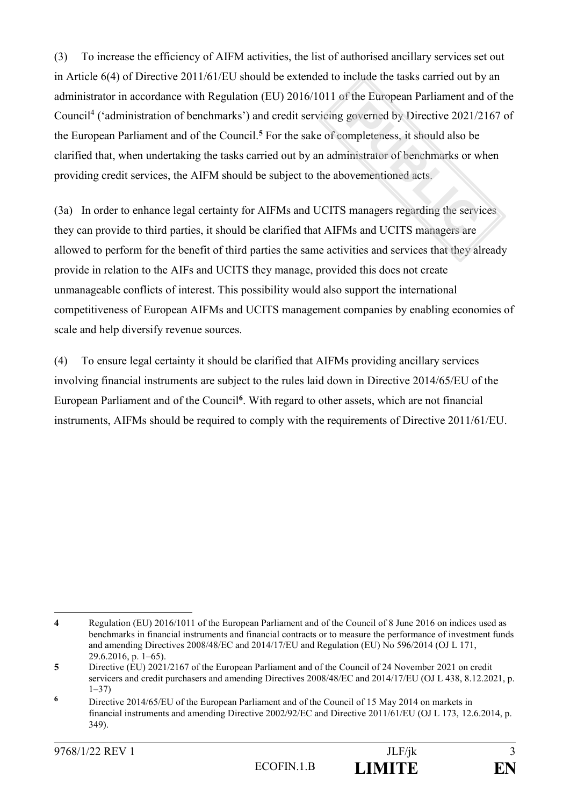(3) To increase the efficiency of AIFM activities, the list of authorised ancillary services set out in Article 6(4) of Directive 2011/61/EU should be extended to include the tasks carried out by an administrator in accordance with Regulation (EU) 2016/1011 of the European Parliament and of the Council<sup>4</sup> ('administration of benchmarks') and credit servicing governed by Directive 2021/2167 of the European Parliament and of the Council.**<sup>5</sup>** For the sake of completeness, it should also be clarified that, when undertaking the tasks carried out by an administrator of benchmarks or when providing credit services, the AIFM should be subject to the abovementioned acts.

(3a) In order to enhance legal certainty for AIFMs and UCITS managers regarding the services they can provide to third parties, it should be clarified that AIFMs and UCITS managers are allowed to perform for the benefit of third parties the same activities and services that they already provide in relation to the AIFs and UCITS they manage, provided this does not create unmanageable conflicts of interest. This possibility would also support the international competitiveness of European AIFMs and UCITS management companies by enabling economies of scale and help diversify revenue sources.

(4) To ensure legal certainty it should be clarified that AIFMs providing ancillary services involving financial instruments are subject to the rules laid down in Directive 2014/65/EU of the European Parliament and of the Council**<sup>6</sup>** . With regard to other assets, which are not financial instruments, AIFMs should be required to comply with the requirements of Directive 2011/61/EU.

<sup>1</sup> **4** Regulation (EU) 2016/1011 of the European Parliament and of the Council of 8 June 2016 on indices used as benchmarks in financial instruments and financial contracts or to measure the performance of investment funds and amending Directives 2008/48/EC and 2014/17/EU and Regulation (EU) No 596/2014 (OJ L 171, 29.6.2016, p. 1–65).

**<sup>5</sup>** Directive (EU) 2021/2167 of the European Parliament and of the Council of 24 November 2021 on credit servicers and credit purchasers and amending Directives 2008/48/EC and 2014/17/EU (OJ L 438, 8.12.2021, p. 1–37)

**<sup>6</sup>** Directive 2014/65/EU of the European Parliament and of the Council of 15 May 2014 on markets in financial instruments and amending Directive 2002/92/EC and Directive 2011/61/EU (OJ L 173, 12.6.2014, p. 349).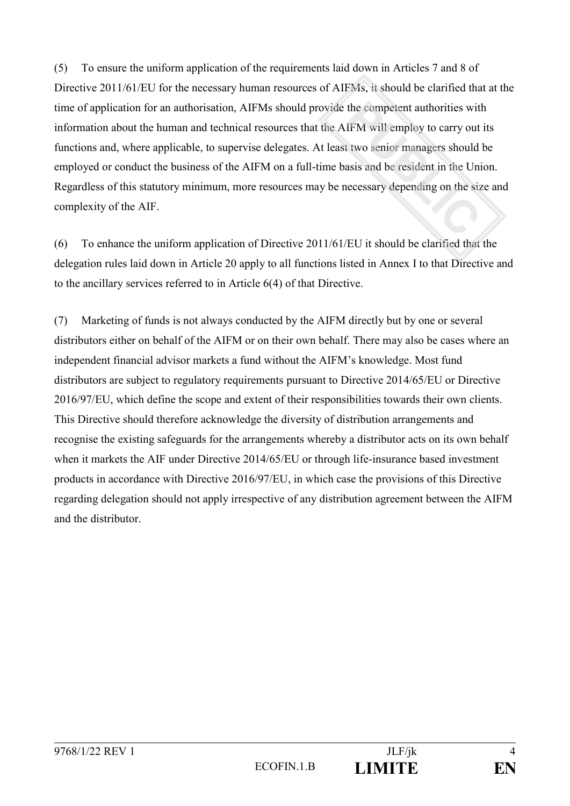(5) To ensure the uniform application of the requirements laid down in Articles 7 and 8 of Directive 2011/61/EU for the necessary human resources of AIFMs, it should be clarified that at the time of application for an authorisation, AIFMs should provide the competent authorities with information about the human and technical resources that the AIFM will employ to carry out its functions and, where applicable, to supervise delegates. At least two senior managers should be employed or conduct the business of the AIFM on a full-time basis and be resident in the Union. Regardless of this statutory minimum, more resources may be necessary depending on the size and complexity of the AIF.

(6) To enhance the uniform application of Directive 2011/61/EU it should be clarified that the delegation rules laid down in Article 20 apply to all functions listed in Annex I to that Directive and to the ancillary services referred to in Article 6(4) of that Directive.

(7) Marketing of funds is not always conducted by the AIFM directly but by one or several distributors either on behalf of the AIFM or on their own behalf. There may also be cases where an independent financial advisor markets a fund without the AIFM's knowledge. Most fund distributors are subject to regulatory requirements pursuant to Directive 2014/65/EU or Directive 2016/97/EU, which define the scope and extent of their responsibilities towards their own clients. This Directive should therefore acknowledge the diversity of distribution arrangements and recognise the existing safeguards for the arrangements whereby a distributor acts on its own behalf when it markets the AIF under Directive 2014/65/EU or through life-insurance based investment products in accordance with Directive 2016/97/EU, in which case the provisions of this Directive regarding delegation should not apply irrespective of any distribution agreement between the AIFM and the distributor.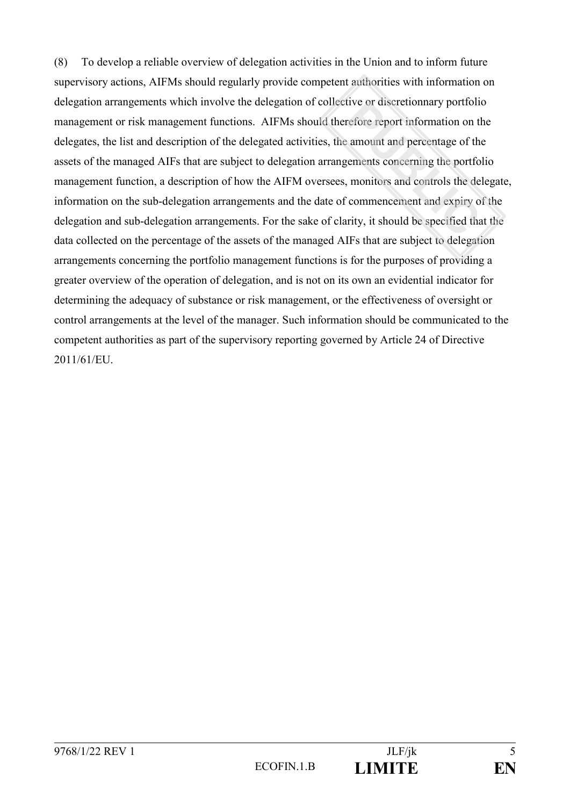(8) To develop a reliable overview of delegation activities in the Union and to inform future supervisory actions, AIFMs should regularly provide competent authorities with information on delegation arrangements which involve the delegation of collective or discretionnary portfolio management or risk management functions. AIFMs should therefore report information on the delegates, the list and description of the delegated activities, the amount and percentage of the assets of the managed AIFs that are subject to delegation arrangements concerning the portfolio management function, a description of how the AIFM oversees, monitors and controls the delegate, information on the sub-delegation arrangements and the date of commencement and expiry of the delegation and sub-delegation arrangements. For the sake of clarity, it should be specified that the data collected on the percentage of the assets of the managed AIFs that are subject to delegation arrangements concerning the portfolio management functions is for the purposes of providing a greater overview of the operation of delegation, and is not on its own an evidential indicator for determining the adequacy of substance or risk management, or the effectiveness of oversight or control arrangements at the level of the manager. Such information should be communicated to the competent authorities as part of the supervisory reporting governed by Article 24 of Directive 2011/61/EU.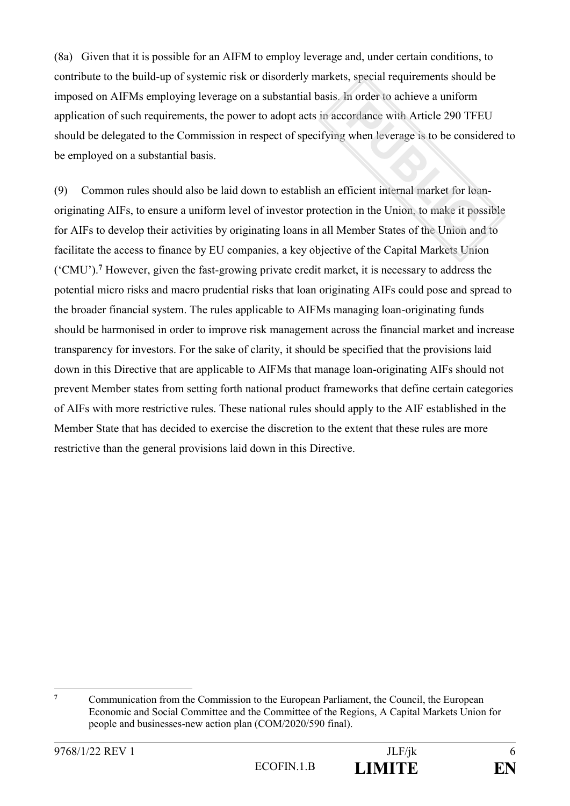(8a) Given that it is possible for an AIFM to employ leverage and, under certain conditions, to contribute to the build-up of systemic risk or disorderly markets, special requirements should be imposed on AIFMs employing leverage on a substantial basis. In order to achieve a uniform application of such requirements, the power to adopt acts in accordance with Article 290 TFEU should be delegated to the Commission in respect of specifying when leverage is to be considered to be employed on a substantial basis.

(9) Common rules should also be laid down to establish an efficient internal market for loanoriginating AIFs, to ensure a uniform level of investor protection in the Union, to make it possible for AIFs to develop their activities by originating loans in all Member States of the Union and to facilitate the access to finance by EU companies, a key objective of the Capital Markets Union ('CMU').**<sup>7</sup>** However, given the fast-growing private credit market, it is necessary to address the potential micro risks and macro prudential risks that loan originating AIFs could pose and spread to the broader financial system. The rules applicable to AIFMs managing loan-originating funds should be harmonised in order to improve risk management across the financial market and increase transparency for investors. For the sake of clarity, it should be specified that the provisions laid down in this Directive that are applicable to AIFMs that manage loan-originating AIFs should not prevent Member states from setting forth national product frameworks that define certain categories of AIFs with more restrictive rules. These national rules should apply to the AIF established in the Member State that has decided to exercise the discretion to the extent that these rules are more restrictive than the general provisions laid down in this Directive.

 $\overline{7}$ **<sup>7</sup>** Communication from the Commission to the European Parliament, the Council, the European Economic and Social Committee and the Committee of the Regions, A Capital Markets Union for people and businesses-new action plan (COM/2020/590 final).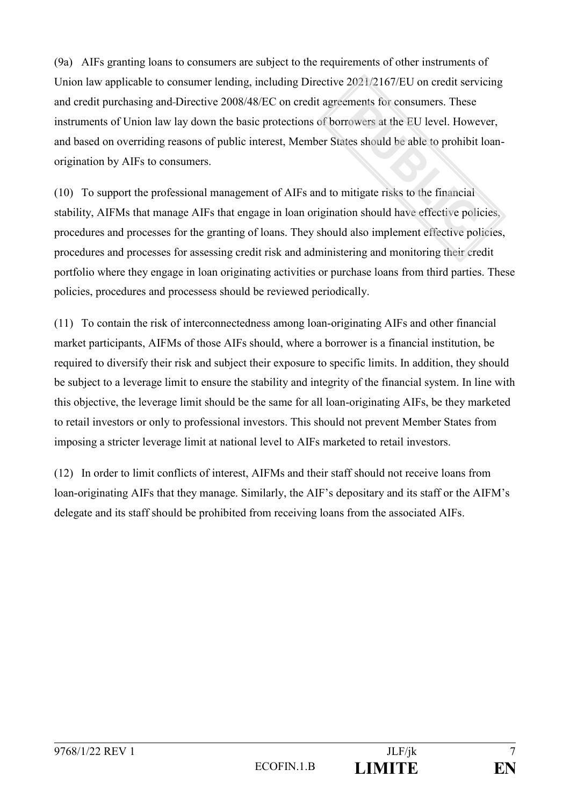(9a) AIFs granting loans to consumers are subject to the requirements of other instruments of Union law applicable to consumer lending, including Directive 2021/2167/EU on credit servicing and credit purchasing and Directive 2008/48/EC on credit agreements for consumers. These instruments of Union law lay down the basic protections of borrowers at the EU level. However, and based on overriding reasons of public interest, Member States should be able to prohibit loanorigination by AIFs to consumers.

(10) To support the professional management of AIFs and to mitigate risks to the financial stability, AIFMs that manage AIFs that engage in loan origination should have effective policies, procedures and processes for the granting of loans. They should also implement effective policies, procedures and processes for assessing credit risk and administering and monitoring their credit portfolio where they engage in loan originating activities or purchase loans from third parties. These policies, procedures and processess should be reviewed periodically.

(11) To contain the risk of interconnectedness among loan-originating AIFs and other financial market participants, AIFMs of those AIFs should, where a borrower is a financial institution, be required to diversify their risk and subject their exposure to specific limits. In addition, they should be subject to a leverage limit to ensure the stability and integrity of the financial system. In line with this objective, the leverage limit should be the same for all loan-originating AIFs, be they marketed to retail investors or only to professional investors. This should not prevent Member States from imposing a stricter leverage limit at national level to AIFs marketed to retail investors.

(12) In order to limit conflicts of interest, AIFMs and their staff should not receive loans from loan-originating AIFs that they manage. Similarly, the AIF's depositary and its staff or the AIFM's delegate and its staff should be prohibited from receiving loans from the associated AIFs.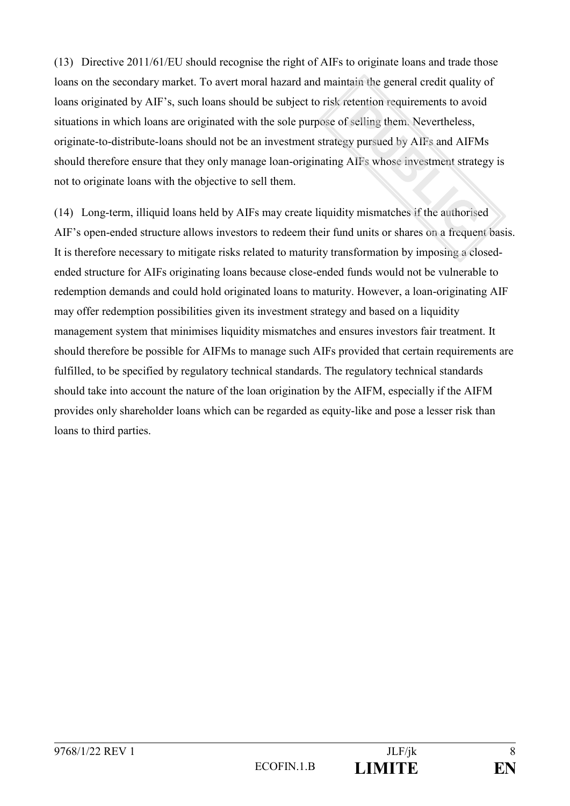(13) Directive 2011/61/EU should recognise the right of AIFs to originate loans and trade those loans on the secondary market. To avert moral hazard and maintain the general credit quality of loans originated by AIF's, such loans should be subject to risk retention requirements to avoid situations in which loans are originated with the sole purpose of selling them. Nevertheless, originate-to-distribute-loans should not be an investment strategy pursued by AIFs and AIFMs should therefore ensure that they only manage loan-originating AIFs whose investment strategy is not to originate loans with the objective to sell them.

(14) Long-term, illiquid loans held by AIFs may create liquidity mismatches if the authorised AIF's open-ended structure allows investors to redeem their fund units or shares on a frequent basis. It is therefore necessary to mitigate risks related to maturity transformation by imposing a closedended structure for AIFs originating loans because close-ended funds would not be vulnerable to redemption demands and could hold originated loans to maturity. However, a loan-originating AIF may offer redemption possibilities given its investment strategy and based on a liquidity management system that minimises liquidity mismatches and ensures investors fair treatment. It should therefore be possible for AIFMs to manage such AIFs provided that certain requirements are fulfilled, to be specified by regulatory technical standards. The regulatory technical standards should take into account the nature of the loan origination by the AIFM, especially if the AIFM provides only shareholder loans which can be regarded as equity-like and pose a lesser risk than loans to third parties.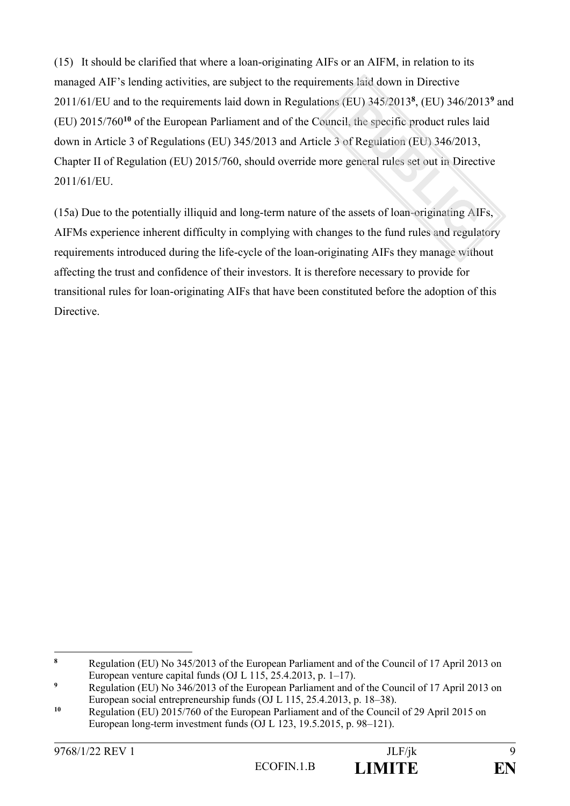(15) It should be clarified that where a loan-originating AIFs or an AIFM, in relation to its managed AIF's lending activities, are subject to the requirements laid down in Directive 2011/61/EU and to the requirements laid down in Regulations (EU) 345/2013**<sup>8</sup>** , (EU) 346/2013**<sup>9</sup>** and (EU) 2015/760**<sup>10</sup>** of the European Parliament and of the Council, the specific product rules laid down in Article 3 of Regulations (EU) 345/2013 and Article 3 of Regulation (EU) 346/2013, Chapter II of Regulation (EU) 2015/760, should override more general rules set out in Directive 2011/61/EU.

(15a) Due to the potentially illiquid and long-term nature of the assets of loan-originating AIFs, AIFMs experience inherent difficulty in complying with changes to the fund rules and regulatory requirements introduced during the life-cycle of the loan-originating AIFs they manage without affecting the trust and confidence of their investors. It is therefore necessary to provide for transitional rules for loan-originating AIFs that have been constituted before the adoption of this **Directive** 

<sup>&</sup>lt;u>.</u> **<sup>8</sup>** Regulation (EU) No 345/2013 of the European Parliament and of the Council of 17 April 2013 on European venture capital funds (OJ L  $115, 25.4.2013, p. 1–17$ ).

<sup>&</sup>lt;sup>9</sup> Regulation (EU) No 346/2013 of the European Parliament and of the Council of 17 April 2013 on European social entrepreneurship funds (OJ L 115, 25.4.2013, p. 18–38).

**<sup>10</sup>** Regulation (EU) 2015/760 of the European Parliament and of the Council of 29 April 2015 on European long-term investment funds (OJ L 123, 19.5.2015, p. 98–121).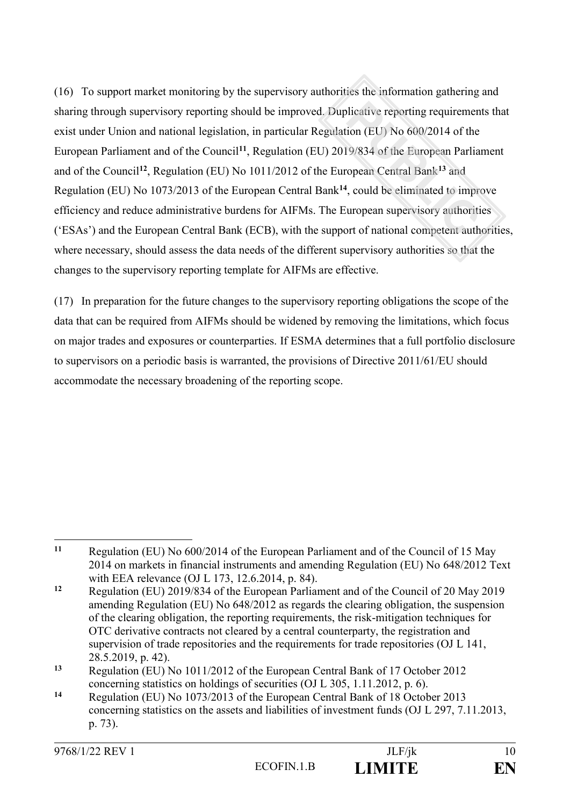(16) To support market monitoring by the supervisory authorities the information gathering and sharing through supervisory reporting should be improved. Duplicative reporting requirements that exist under Union and national legislation, in particular Regulation (EU) No 600/2014 of the European Parliament and of the Council**<sup>11</sup>**, Regulation (EU) 2019/834 of the European Parliament and of the Council**<sup>12</sup>**, Regulation (EU) No 1011/2012 of the European Central Bank**<sup>13</sup>** and Regulation (EU) No 1073/2013 of the European Central Bank**<sup>14</sup>**, could be eliminated to improve efficiency and reduce administrative burdens for AIFMs. The European supervisory authorities ('ESAs') and the European Central Bank (ECB), with the support of national competent authorities, where necessary, should assess the data needs of the different supervisory authorities so that the changes to the supervisory reporting template for AIFMs are effective.

(17) In preparation for the future changes to the supervisory reporting obligations the scope of the data that can be required from AIFMs should be widened by removing the limitations, which focus on major trades and exposures or counterparties. If ESMA determines that a full portfolio disclosure to supervisors on a periodic basis is warranted, the provisions of Directive 2011/61/EU should accommodate the necessary broadening of the reporting scope.

**<sup>14</sup>** Regulation (EU) No 1073/2013 of the European Central Bank of 18 October 2013 concerning statistics on the assets and liabilities of investment funds (OJ L 297, 7.11.2013, p. 73).

 $11$ **<sup>11</sup>** Regulation (EU) No 600/2014 of the European Parliament and of the Council of 15 May 2014 on markets in financial instruments and amending Regulation (EU) No 648/2012 Text with EEA relevance (OJ L 173, 12.6.2014, p. 84).

**<sup>12</sup>** Regulation (EU) 2019/834 of the European Parliament and of the Council of 20 May 2019 amending Regulation (EU) No 648/2012 as regards the clearing obligation, the suspension of the clearing obligation, the reporting requirements, the risk-mitigation techniques for OTC derivative contracts not cleared by a central counterparty, the registration and supervision of trade repositories and the requirements for trade repositories (OJ L 141, 28.5.2019, p. 42).

**<sup>13</sup>** Regulation (EU) No 1011/2012 of the European Central Bank of 17 October 2012 concerning statistics on holdings of securities (OJ L 305, 1.11.2012, p. 6).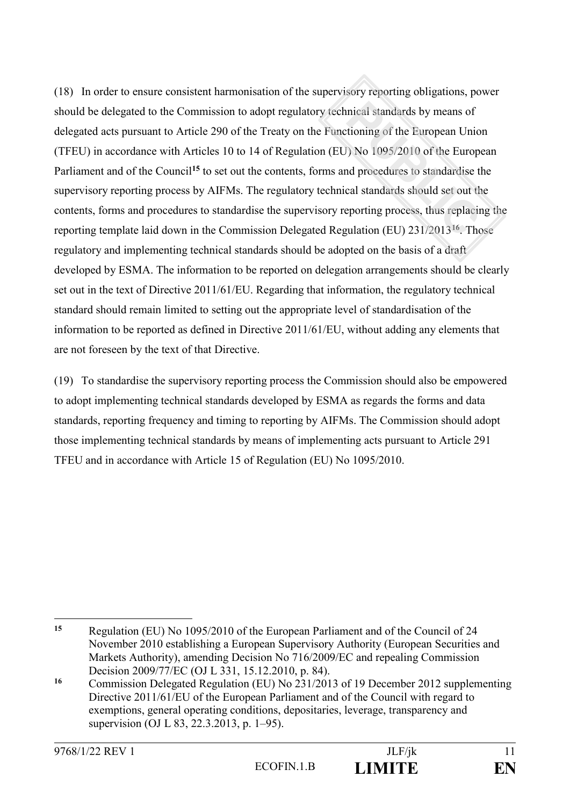(18) In order to ensure consistent harmonisation of the supervisory reporting obligations, power should be delegated to the Commission to adopt regulatory technical standards by means of delegated acts pursuant to Article 290 of the Treaty on the Functioning of the European Union (TFEU) in accordance with Articles 10 to 14 of Regulation (EU) No 1095/2010 of the European Parliament and of the Council<sup>15</sup> to set out the contents, forms and procedures to standardise the supervisory reporting process by AIFMs. The regulatory technical standards should set out the contents, forms and procedures to standardise the supervisory reporting process, thus replacing the reporting template laid down in the Commission Delegated Regulation (EU) 231/2013**<sup>16</sup>**. Those regulatory and implementing technical standards should be adopted on the basis of a draft developed by ESMA. The information to be reported on delegation arrangements should be clearly set out in the text of Directive 2011/61/EU. Regarding that information, the regulatory technical standard should remain limited to setting out the appropriate level of standardisation of the information to be reported as defined in Directive 2011/61/EU, without adding any elements that are not foreseen by the text of that Directive.

(19) To standardise the supervisory reporting process the Commission should also be empowered to adopt implementing technical standards developed by ESMA as regards the forms and data standards, reporting frequency and timing to reporting by AIFMs. The Commission should adopt those implementing technical standards by means of implementing acts pursuant to Article 291 TFEU and in accordance with Article 15 of Regulation (EU) No 1095/2010.

 $15$ **<sup>15</sup>** Regulation (EU) No 1095/2010 of the European Parliament and of the Council of 24 November 2010 establishing a European Supervisory Authority (European Securities and Markets Authority), amending Decision No 716/2009/EC and repealing Commission Decision 2009/77/EC (OJ L 331, 15.12.2010, p. 84).

**<sup>16</sup>** Commission Delegated Regulation (EU) No 231/2013 of 19 December 2012 supplementing Directive 2011/61/EU of the European Parliament and of the Council with regard to exemptions, general operating conditions, depositaries, leverage, transparency and supervision (OJ L 83, 22.3.2013, p. 1–95).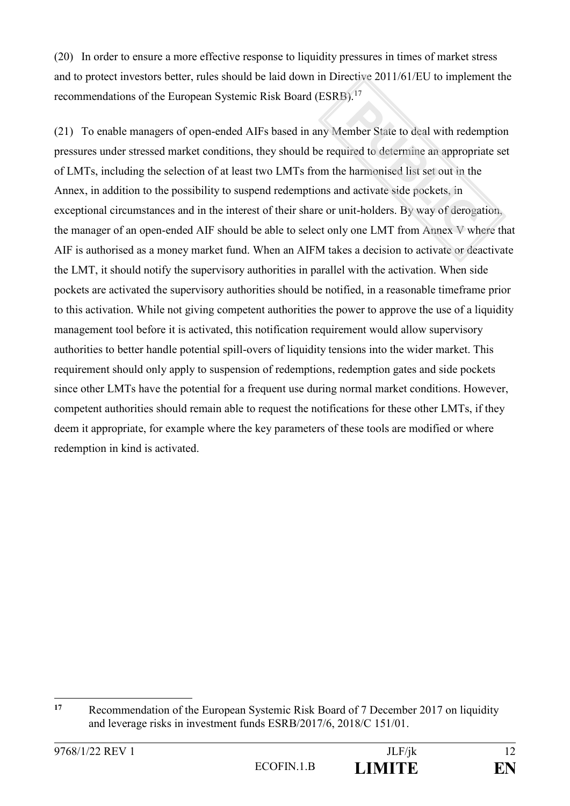(20) In order to ensure a more effective response to liquidity pressures in times of market stress and to protect investors better, rules should be laid down in Directive 2011/61/EU to implement the recommendations of the European Systemic Risk Board (ESRB).<sup>17</sup>

(21) To enable managers of open-ended AIFs based in any Member State to deal with redemption pressures under stressed market conditions, they should be required to determine an appropriate set of LMTs, including the selection of at least two LMTs from the harmonised list set out in the Annex, in addition to the possibility to suspend redemptions and activate side pockets, in exceptional circumstances and in the interest of their share or unit-holders. By way of derogation, the manager of an open-ended AIF should be able to select only one LMT from Annex V where that AIF is authorised as a money market fund. When an AIFM takes a decision to activate or deactivate the LMT, it should notify the supervisory authorities in parallel with the activation. When side pockets are activated the supervisory authorities should be notified, in a reasonable timeframe prior to this activation. While not giving competent authorities the power to approve the use of a liquidity management tool before it is activated, this notification requirement would allow supervisory authorities to better handle potential spill-overs of liquidity tensions into the wider market. This requirement should only apply to suspension of redemptions, redemption gates and side pockets since other LMTs have the potential for a frequent use during normal market conditions. However, competent authorities should remain able to request the notifications for these other LMTs, if they deem it appropriate, for example where the key parameters of these tools are modified or where redemption in kind is activated.

 $17$ **<sup>17</sup>** Recommendation of the European Systemic Risk Board of 7 December 2017 on liquidity and leverage risks in investment funds ESRB/2017/6, 2018/C 151/01.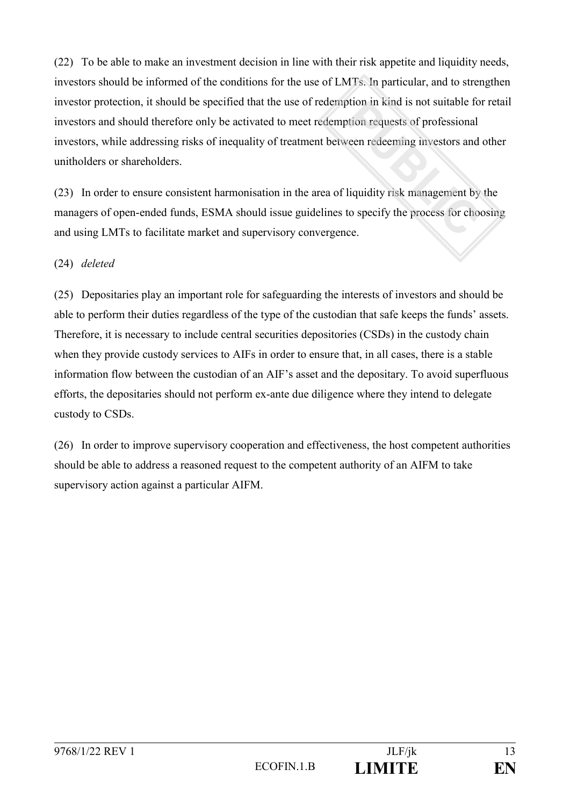(22) To be able to make an investment decision in line with their risk appetite and liquidity needs, investors should be informed of the conditions for the use of LMTs. In particular, and to strengthen investor protection, it should be specified that the use of redemption in kind is not suitable for retail investors and should therefore only be activated to meet redemption requests of professional investors, while addressing risks of inequality of treatment between redeeming investors and other unitholders or shareholders.

(23) In order to ensure consistent harmonisation in the area of liquidity risk management by the managers of open-ended funds, ESMA should issue guidelines to specify the process for choosing and using LMTs to facilitate market and supervisory convergence.

# (24) *deleted*

(25) Depositaries play an important role for safeguarding the interests of investors and should be able to perform their duties regardless of the type of the custodian that safe keeps the funds' assets. Therefore, it is necessary to include central securities depositories (CSDs) in the custody chain when they provide custody services to AIFs in order to ensure that, in all cases, there is a stable information flow between the custodian of an AIF's asset and the depositary. To avoid superfluous efforts, the depositaries should not perform ex-ante due diligence where they intend to delegate custody to CSDs.

(26) In order to improve supervisory cooperation and effectiveness, the host competent authorities should be able to address a reasoned request to the competent authority of an AIFM to take supervisory action against a particular AIFM.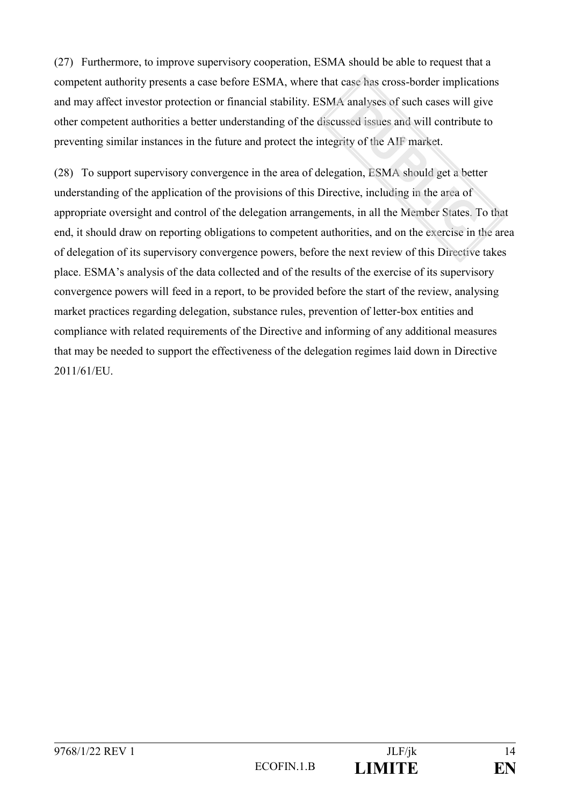(27) Furthermore, to improve supervisory cooperation, ESMA should be able to request that a competent authority presents a case before ESMA, where that case has cross-border implications and may affect investor protection or financial stability. ESMA analyses of such cases will give other competent authorities a better understanding of the discussed issues and will contribute to preventing similar instances in the future and protect the integrity of the AIF market.

(28) To support supervisory convergence in the area of delegation, ESMA should get a better understanding of the application of the provisions of this Directive, including in the area of appropriate oversight and control of the delegation arrangements, in all the Member States. To that end, it should draw on reporting obligations to competent authorities, and on the exercise in the area of delegation of its supervisory convergence powers, before the next review of this Directive takes place. ESMA's analysis of the data collected and of the results of the exercise of its supervisory convergence powers will feed in a report, to be provided before the start of the review, analysing market practices regarding delegation, substance rules, prevention of letter-box entities and compliance with related requirements of the Directive and informing of any additional measures that may be needed to support the effectiveness of the delegation regimes laid down in Directive 2011/61/EU.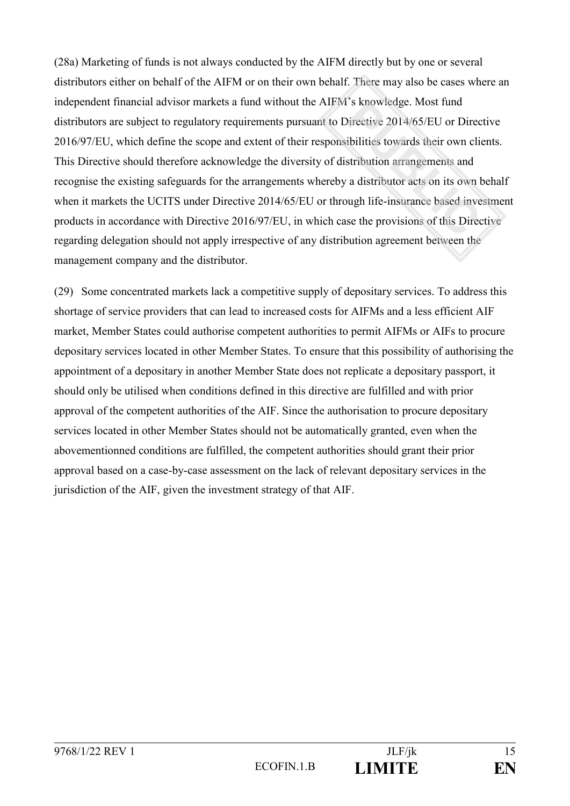(28a) Marketing of funds is not always conducted by the AIFM directly but by one or several distributors either on behalf of the AIFM or on their own behalf. There may also be cases where an independent financial advisor markets a fund without the AIFM's knowledge. Most fund distributors are subject to regulatory requirements pursuant to Directive 2014/65/EU or Directive 2016/97/EU, which define the scope and extent of their responsibilities towards their own clients. This Directive should therefore acknowledge the diversity of distribution arrangements and recognise the existing safeguards for the arrangements whereby a distributor acts on its own behalf when it markets the UCITS under Directive 2014/65/EU or through life-insurance based investment products in accordance with Directive 2016/97/EU, in which case the provisions of this Directive regarding delegation should not apply irrespective of any distribution agreement between the management company and the distributor.

(29) Some concentrated markets lack a competitive supply of depositary services. To address this shortage of service providers that can lead to increased costs for AIFMs and a less efficient AIF market, Member States could authorise competent authorities to permit AIFMs or AIFs to procure depositary services located in other Member States. To ensure that this possibility of authorising the appointment of a depositary in another Member State does not replicate a depositary passport, it should only be utilised when conditions defined in this directive are fulfilled and with prior approval of the competent authorities of the AIF. Since the authorisation to procure depositary services located in other Member States should not be automatically granted, even when the abovementionned conditions are fulfilled, the competent authorities should grant their prior approval based on a case-by-case assessment on the lack of relevant depositary services in the jurisdiction of the AIF, given the investment strategy of that AIF.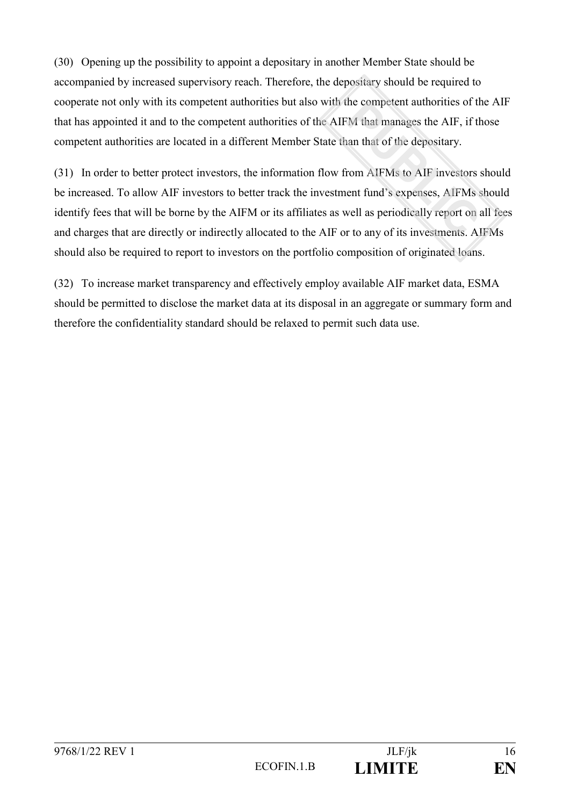(30) Opening up the possibility to appoint a depositary in another Member State should be accompanied by increased supervisory reach. Therefore, the depositary should be required to cooperate not only with its competent authorities but also with the competent authorities of the AIF that has appointed it and to the competent authorities of the AIFM that manages the AIF, if those competent authorities are located in a different Member State than that of the depositary.

(31) In order to better protect investors, the information flow from AIFMs to AIF investors should be increased. To allow AIF investors to better track the investment fund's expenses, AIFMs should identify fees that will be borne by the AIFM or its affiliates as well as periodically report on all fees and charges that are directly or indirectly allocated to the AIF or to any of its investments. AIFMs should also be required to report to investors on the portfolio composition of originated loans.

(32) To increase market transparency and effectively employ available AIF market data, ESMA should be permitted to disclose the market data at its disposal in an aggregate or summary form and therefore the confidentiality standard should be relaxed to permit such data use.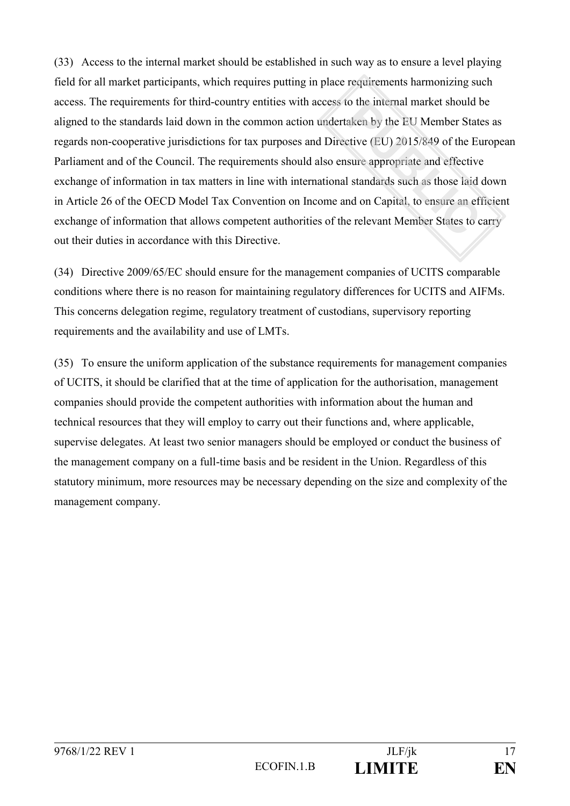(33) Access to the internal market should be established in such way as to ensure a level playing field for all market participants, which requires putting in place requirements harmonizing such access. The requirements for third-country entities with access to the internal market should be aligned to the standards laid down in the common action undertaken by the EU Member States as regards non-cooperative jurisdictions for tax purposes and Directive (EU) 2015/849 of the European Parliament and of the Council. The requirements should also ensure appropriate and effective exchange of information in tax matters in line with international standards such as those laid down in Article 26 of the OECD Model Tax Convention on Income and on Capital, to ensure an efficient exchange of information that allows competent authorities of the relevant Member States to carry out their duties in accordance with this Directive.

(34) Directive 2009/65/EC should ensure for the management companies of UCITS comparable conditions where there is no reason for maintaining regulatory differences for UCITS and AIFMs. This concerns delegation regime, regulatory treatment of custodians, supervisory reporting requirements and the availability and use of LMTs.

(35) To ensure the uniform application of the substance requirements for management companies of UCITS, it should be clarified that at the time of application for the authorisation, management companies should provide the competent authorities with information about the human and technical resources that they will employ to carry out their functions and, where applicable, supervise delegates. At least two senior managers should be employed or conduct the business of the management company on a full-time basis and be resident in the Union. Regardless of this statutory minimum, more resources may be necessary depending on the size and complexity of the management company.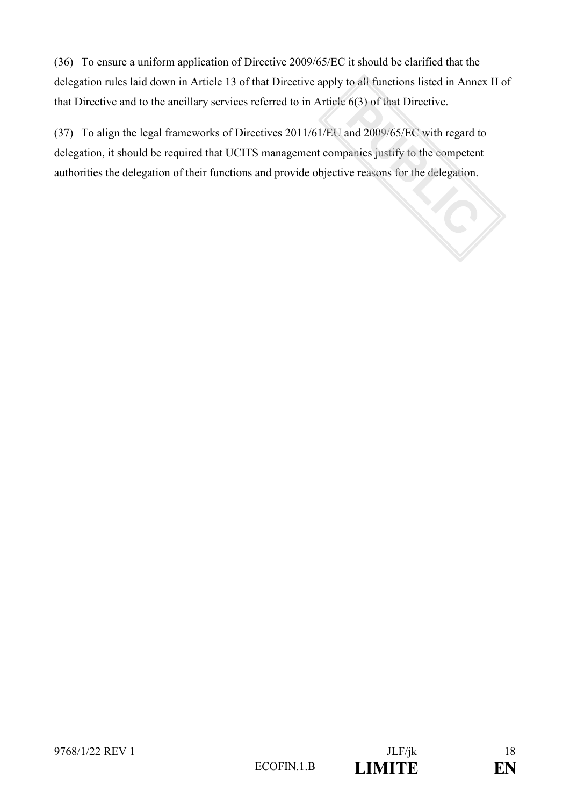(36) To ensure a uniform application of Directive 2009/65/EC it should be clarified that the delegation rules laid down in Article 13 of that Directive apply to all functions listed in Annex II of that Directive and to the ancillary services referred to in Article 6(3) of that Directive.

(37) To align the legal frameworks of Directives 2011/61/EU and 2009/65/EC with regard to delegation, it should be required that UCITS management companies justify to the competent authorities the delegation of their functions and provide objective reasons for the delegation.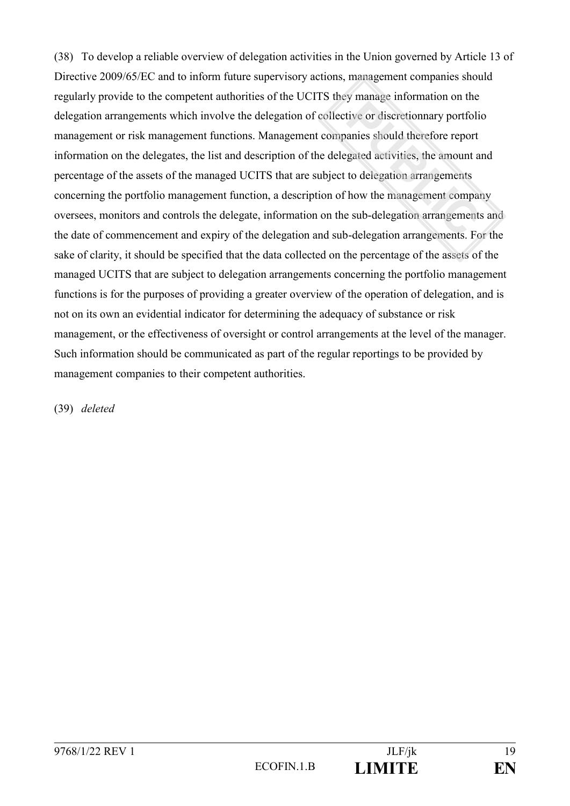(38) To develop a reliable overview of delegation activities in the Union governed by Article 13 of Directive 2009/65/EC and to inform future supervisory actions, management companies should regularly provide to the competent authorities of the UCITS they manage information on the delegation arrangements which involve the delegation of collective or discretionnary portfolio management or risk management functions. Management companies should therefore report information on the delegates, the list and description of the delegated activities, the amount and percentage of the assets of the managed UCITS that are subject to delegation arrangements concerning the portfolio management function, a description of how the management company oversees, monitors and controls the delegate, information on the sub-delegation arrangements and the date of commencement and expiry of the delegation and sub-delegation arrangements. For the sake of clarity, it should be specified that the data collected on the percentage of the assets of the managed UCITS that are subject to delegation arrangements concerning the portfolio management functions is for the purposes of providing a greater overview of the operation of delegation, and is not on its own an evidential indicator for determining the adequacy of substance or risk management, or the effectiveness of oversight or control arrangements at the level of the manager. Such information should be communicated as part of the regular reportings to be provided by management companies to their competent authorities.

(39) *deleted*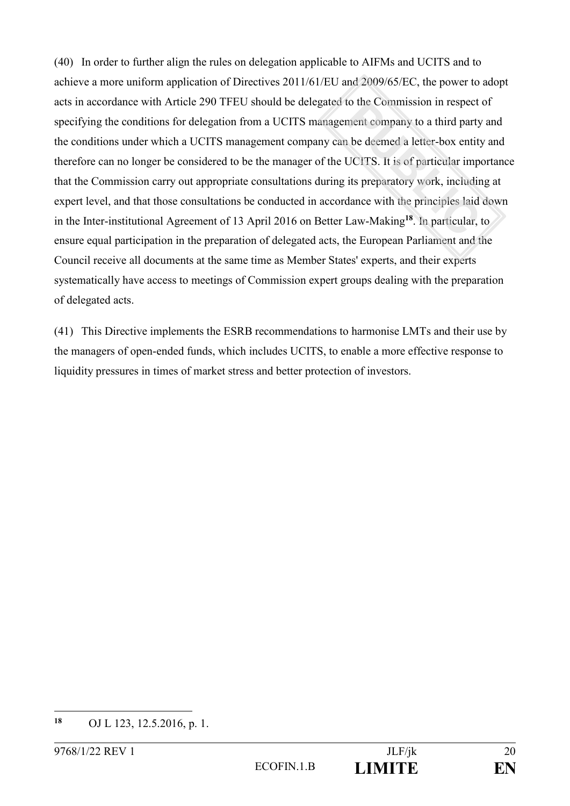(40) In order to further align the rules on delegation applicable to AIFMs and UCITS and to achieve a more uniform application of Directives 2011/61/EU and 2009/65/EC, the power to adopt acts in accordance with Article 290 TFEU should be delegated to the Commission in respect of specifying the conditions for delegation from a UCITS management company to a third party and the conditions under which a UCITS management company can be deemed a letter-box entity and therefore can no longer be considered to be the manager of the UCITS. It is of particular importance that the Commission carry out appropriate consultations during its preparatory work, including at expert level, and that those consultations be conducted in accordance with the principles laid down in the Inter-institutional Agreement of 13 April 2016 on Better Law-Making**<sup>18</sup>**. In particular, to ensure equal participation in the preparation of delegated acts, the European Parliament and the Council receive all documents at the same time as Member States' experts, and their experts systematically have access to meetings of Commission expert groups dealing with the preparation of delegated acts.

(41) This Directive implements the ESRB recommendations to harmonise LMTs and their use by the managers of open-ended funds, which includes UCITS, to enable a more effective response to liquidity pressures in times of market stress and better protection of investors.

<sup>18</sup> **<sup>18</sup>** OJ L 123, 12.5.2016, p. 1.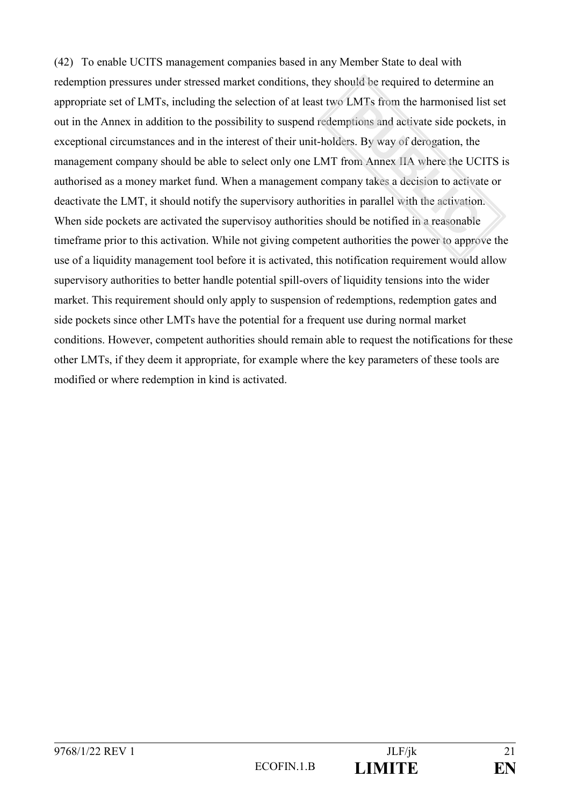(42) To enable UCITS management companies based in any Member State to deal with redemption pressures under stressed market conditions, they should be required to determine an appropriate set of LMTs, including the selection of at least two LMTs from the harmonised list set out in the Annex in addition to the possibility to suspend redemptions and activate side pockets, in exceptional circumstances and in the interest of their unit-holders. By way of derogation, the management company should be able to select only one LMT from Annex IIA where the UCITS is authorised as a money market fund. When a management company takes a decision to activate or deactivate the LMT, it should notify the supervisory authorities in parallel with the activation. When side pockets are activated the supervisoy authorities should be notified in a reasonable timeframe prior to this activation. While not giving competent authorities the power to approve the use of a liquidity management tool before it is activated, this notification requirement would allow supervisory authorities to better handle potential spill-overs of liquidity tensions into the wider market. This requirement should only apply to suspension of redemptions, redemption gates and side pockets since other LMTs have the potential for a frequent use during normal market conditions. However, competent authorities should remain able to request the notifications for these other LMTs, if they deem it appropriate, for example where the key parameters of these tools are modified or where redemption in kind is activated.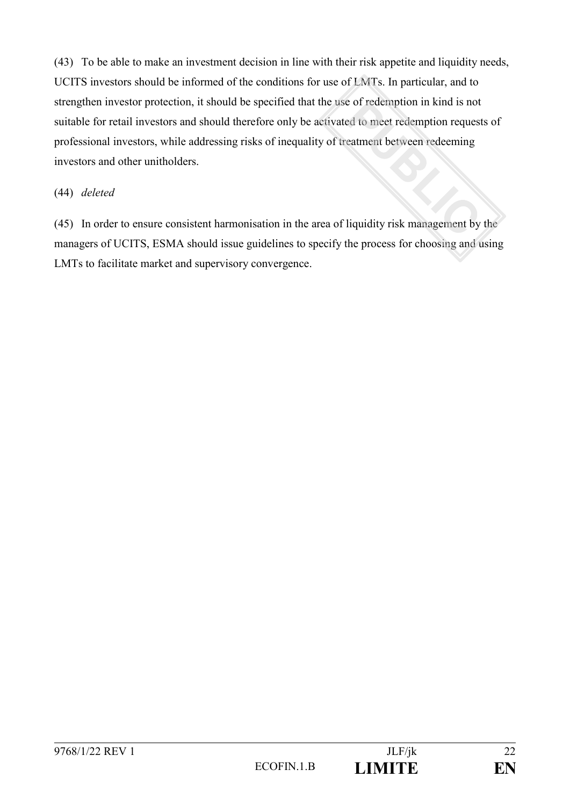(43) To be able to make an investment decision in line with their risk appetite and liquidity needs, UCITS investors should be informed of the conditions for use of LMTs. In particular, and to strengthen investor protection, it should be specified that the use of redemption in kind is not suitable for retail investors and should therefore only be activated to meet redemption requests of professional investors, while addressing risks of inequality of treatment between redeeming investors and other unitholders.

## (44) *deleted*

(45) In order to ensure consistent harmonisation in the area of liquidity risk management by the managers of UCITS, ESMA should issue guidelines to specify the process for choosing and using LMTs to facilitate market and supervisory convergence.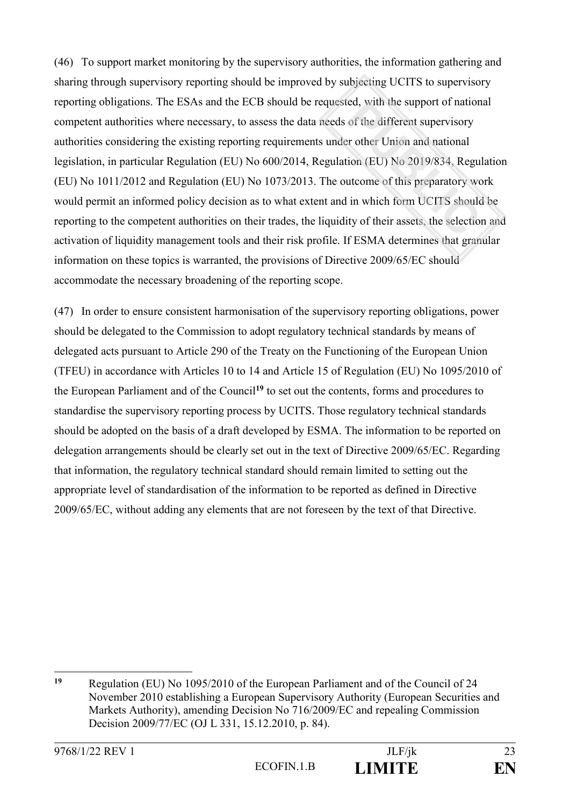(46) To support market monitoring by the supervisory authorities, the information gathering and sharing through supervisory reporting should be improved by subjecting UCITS to supervisory reporting obligations. The ESAs and the ECB should be requested, with the support of national competent authorities where necessary, to assess the data needs of the different supervisory authorities considering the existing reporting requirements under other Union and national legislation, in particular Regulation (EU) No 600/2014, Regulation (EU) No 2019/834, Regulation (EU) No 1011/2012 and Regulation (EU) No 1073/2013. The outcome of this preparatory work would permit an informed policy decision as to what extent and in which form UCITS should be reporting to the competent authorities on their trades, the liquidity of their assets, the selection and activation of liquidity management tools and their risk profile. If ESMA determines that granular information on these topics is warranted, the provisions of Directive 2009/65/EC should accommodate the necessary broadening of the reporting scope.

(47) In order to ensure consistent harmonisation of the supervisory reporting obligations, power should be delegated to the Commission to adopt regulatory technical standards by means of delegated acts pursuant to Article 290 of the Treaty on the Functioning of the European Union (TFEU) in accordance with Articles 10 to 14 and Article 15 of Regulation (EU) No 1095/2010 of the European Parliament and of the Council**<sup>19</sup>** to set out the contents, forms and procedures to standardise the supervisory reporting process by UCITS. Those regulatory technical standards should be adopted on the basis of a draft developed by ESMA. The information to be reported on delegation arrangements should be clearly set out in the text of Directive 2009/65/EC. Regarding that information, the regulatory technical standard should remain limited to setting out the appropriate level of standardisation of the information to be reported as defined in Directive 2009/65/EC, without adding any elements that are not foreseen by the text of that Directive.

1

**<sup>19</sup>** Regulation (EU) No 1095/2010 of the European Parliament and of the Council of 24 November 2010 establishing a European Supervisory Authority (European Securities and Markets Authority), amending Decision No 716/2009/EC and repealing Commission Decision 2009/77/EC (OJ L 331, 15.12.2010, p. 84).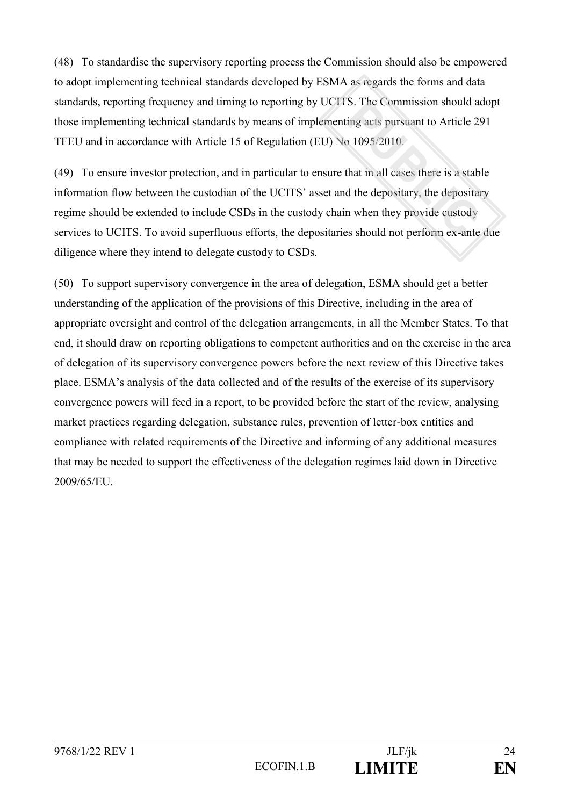(48) To standardise the supervisory reporting process the Commission should also be empowered to adopt implementing technical standards developed by ESMA as regards the forms and data standards, reporting frequency and timing to reporting by UCITS. The Commission should adopt those implementing technical standards by means of implementing acts pursuant to Article 291 TFEU and in accordance with Article 15 of Regulation (EU) No 1095/2010.

(49) To ensure investor protection, and in particular to ensure that in all cases there is a stable information flow between the custodian of the UCITS' asset and the depositary, the depositary regime should be extended to include CSDs in the custody chain when they provide custody services to UCITS. To avoid superfluous efforts, the depositaries should not perform ex-ante due diligence where they intend to delegate custody to CSDs.

(50) To support supervisory convergence in the area of delegation, ESMA should get a better understanding of the application of the provisions of this Directive, including in the area of appropriate oversight and control of the delegation arrangements, in all the Member States. To that end, it should draw on reporting obligations to competent authorities and on the exercise in the area of delegation of its supervisory convergence powers before the next review of this Directive takes place. ESMA's analysis of the data collected and of the results of the exercise of its supervisory convergence powers will feed in a report, to be provided before the start of the review, analysing market practices regarding delegation, substance rules, prevention of letter-box entities and compliance with related requirements of the Directive and informing of any additional measures that may be needed to support the effectiveness of the delegation regimes laid down in Directive 2009/65/EU.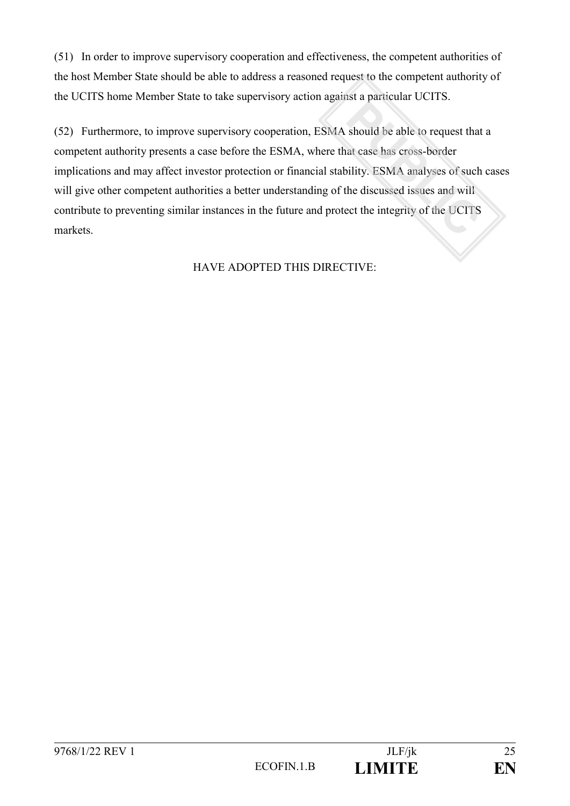(51) In order to improve supervisory cooperation and effectiveness, the competent authorities of the host Member State should be able to address a reasoned request to the competent authority of the UCITS home Member State to take supervisory action against a particular UCITS.

(52) Furthermore, to improve supervisory cooperation, ESMA should be able to request that a competent authority presents a case before the ESMA, where that case has cross-border implications and may affect investor protection or financial stability. ESMA analyses of such cases will give other competent authorities a better understanding of the discussed issues and will contribute to preventing similar instances in the future and protect the integrity of the UCITS markets.

# HAVE ADOPTED THIS DIRECTIVE: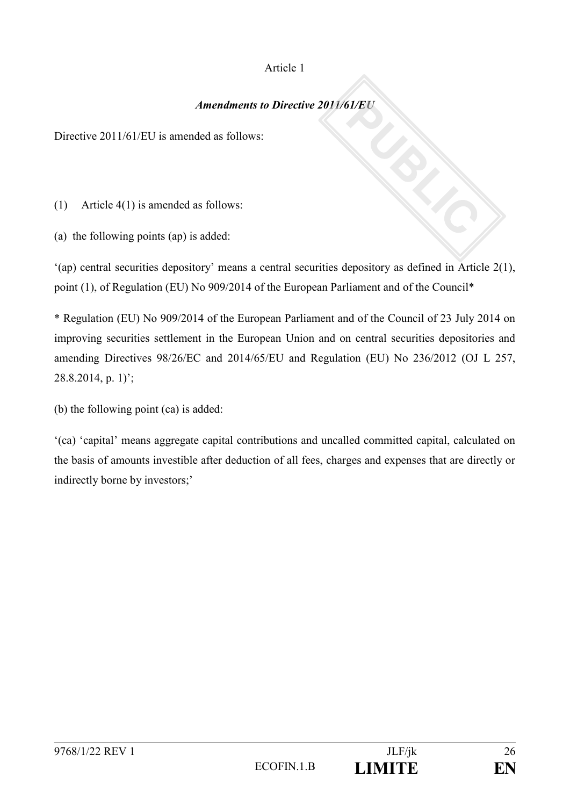# Article 1

# *Amendments to Directive 2011/61/EU*

Directive 2011/61/EU is amended as follows:

(1) Article 4(1) is amended as follows:

(a) the following points (ap) is added:

'(ap) central securities depository' means a central securities depository as defined in Article 2(1), point (1), of Regulation (EU) No 909/2014 of the European Parliament and of the Council\*

\* Regulation (EU) No 909/2014 of the European Parliament and of the Council of 23 July 2014 on improving securities settlement in the European Union and on central securities depositories and amending Directives 98/26/EC and 2014/65/EU and Regulation (EU) No 236/2012 (OJ L 257, 28.8.2014, p. 1)';

(b) the following point (ca) is added:

'(ca) 'capital' means aggregate capital contributions and uncalled committed capital, calculated on the basis of amounts investible after deduction of all fees, charges and expenses that are directly or indirectly borne by investors;'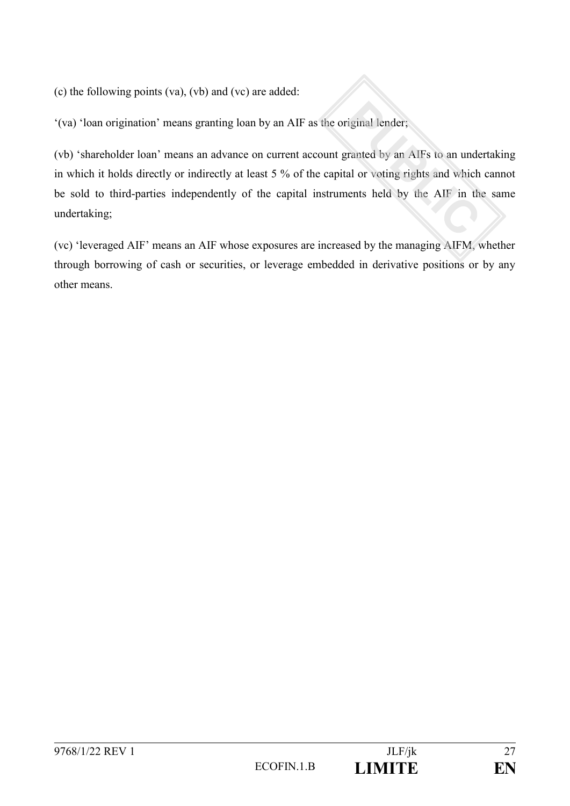(c) the following points (va), (vb) and (vc) are added:

'(va) 'loan origination' means granting loan by an AIF as the original lender;

(vb) 'shareholder loan' means an advance on current account granted by an AIFs to an undertaking in which it holds directly or indirectly at least 5 % of the capital or voting rights and which cannot be sold to third-parties independently of the capital instruments held by the AIF in the same undertaking;

(vc) 'leveraged AIF' means an AIF whose exposures are increased by the managing AIFM, whether through borrowing of cash or securities, or leverage embedded in derivative positions or by any other means.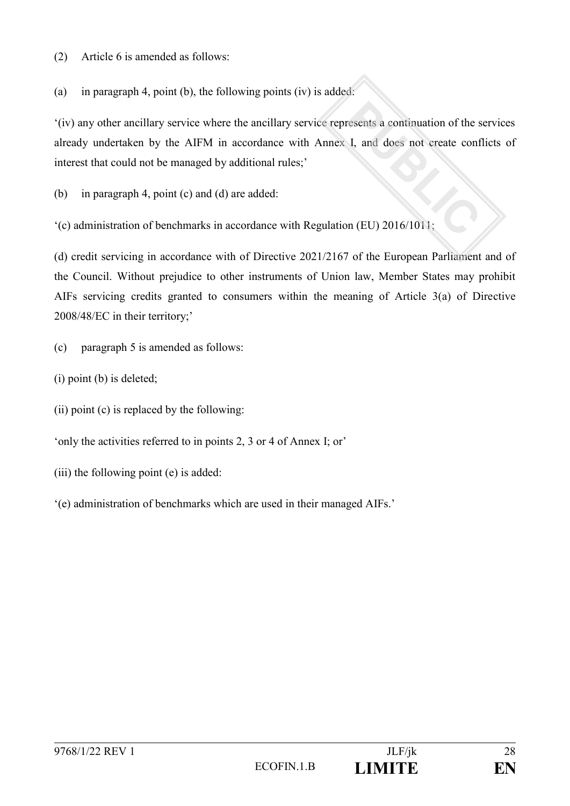(2) Article 6 is amended as follows:

(a) in paragraph 4, point (b), the following points (iv) is added:

'(iv) any other ancillary service where the ancillary service represents a continuation of the services already undertaken by the AIFM in accordance with Annex I, and does not create conflicts of interest that could not be managed by additional rules;'

(b) in paragraph 4, point (c) and (d) are added:

'(c) administration of benchmarks in accordance with Regulation (EU) 2016/1011;

(d) credit servicing in accordance with of Directive 2021/2167 of the European Parliament and of the Council. Without prejudice to other instruments of Union law, Member States may prohibit AIFs servicing credits granted to consumers within the meaning of Article 3(a) of Directive 2008/48/EC in their territory;'

(c) paragraph 5 is amended as follows:

(i) point (b) is deleted;

(ii) point (c) is replaced by the following:

'only the activities referred to in points 2, 3 or 4 of Annex I; or'

(iii) the following point (e) is added:

'(e) administration of benchmarks which are used in their managed AIFs.'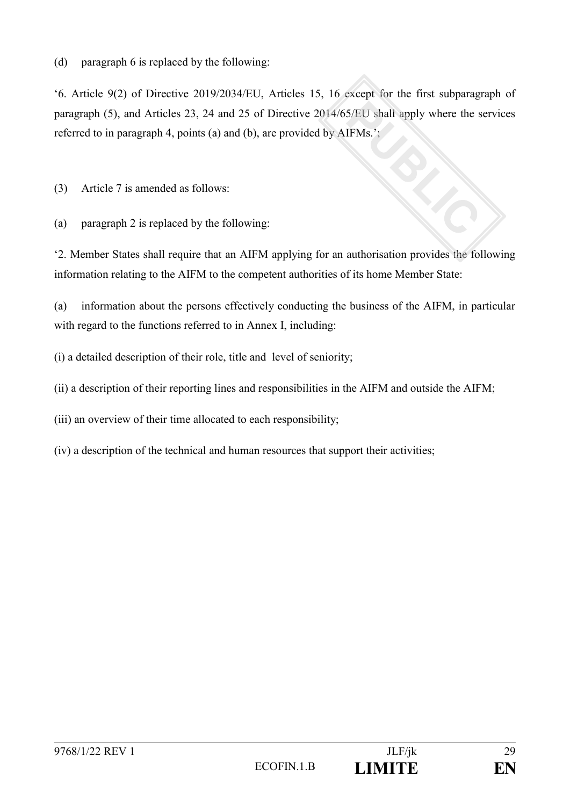(d) paragraph 6 is replaced by the following:

'6. Article 9(2) of Directive 2019/2034/EU, Articles 15, 16 except for the first subparagraph of paragraph (5), and Articles 23, 24 and 25 of Directive 2014/65/EU shall apply where the services referred to in paragraph 4, points (a) and (b), are provided by AIFMs.';

(3) Article 7 is amended as follows:

(a) paragraph 2 is replaced by the following:

'2. Member States shall require that an AIFM applying for an authorisation provides the following information relating to the AIFM to the competent authorities of its home Member State:

(a) information about the persons effectively conducting the business of the AIFM, in particular with regard to the functions referred to in Annex I, including:

(i) a detailed description of their role, title and level of seniority;

(ii) a description of their reporting lines and responsibilities in the AIFM and outside the AIFM;

(iii) an overview of their time allocated to each responsibility;

(iv) a description of the technical and human resources that support their activities;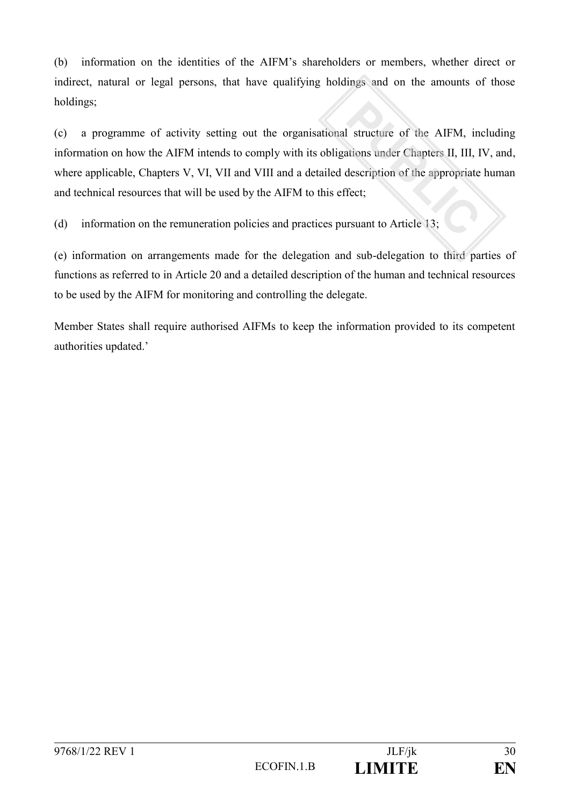(b) information on the identities of the AIFM's shareholders or members, whether direct or indirect, natural or legal persons, that have qualifying holdings and on the amounts of those holdings;

(c) a programme of activity setting out the organisational structure of the AIFM, including information on how the AIFM intends to comply with its obligations under Chapters II, III, IV, and, where applicable, Chapters V, VI, VII and VIII and a detailed description of the appropriate human and technical resources that will be used by the AIFM to this effect;

(d) information on the remuneration policies and practices pursuant to Article 13;

(e) information on arrangements made for the delegation and sub-delegation to third parties of functions as referred to in Article 20 and a detailed description of the human and technical resources to be used by the AIFM for monitoring and controlling the delegate.

Member States shall require authorised AIFMs to keep the information provided to its competent authorities updated.'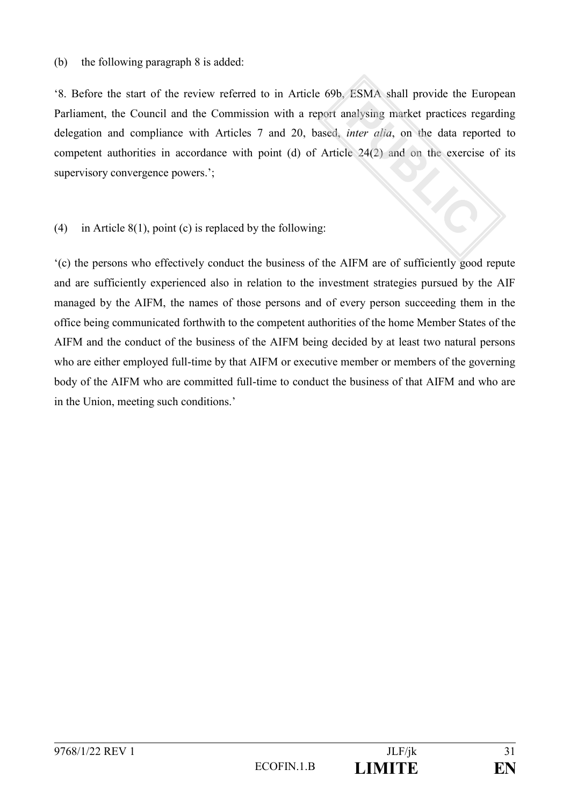#### (b) the following paragraph 8 is added:

'8. Before the start of the review referred to in Article 69b, ESMA shall provide the European Parliament, the Council and the Commission with a report analysing market practices regarding delegation and compliance with Articles 7 and 20, based, *inter alia*, on the data reported to competent authorities in accordance with point (d) of Article 24(2) and on the exercise of its supervisory convergence powers.';

### (4) in Article 8(1), point (c) is replaced by the following:

'(c) the persons who effectively conduct the business of the AIFM are of sufficiently good repute and are sufficiently experienced also in relation to the investment strategies pursued by the AIF managed by the AIFM, the names of those persons and of every person succeeding them in the office being communicated forthwith to the competent authorities of the home Member States of the AIFM and the conduct of the business of the AIFM being decided by at least two natural persons who are either employed full-time by that AIFM or executive member or members of the governing body of the AIFM who are committed full-time to conduct the business of that AIFM and who are in the Union, meeting such conditions.'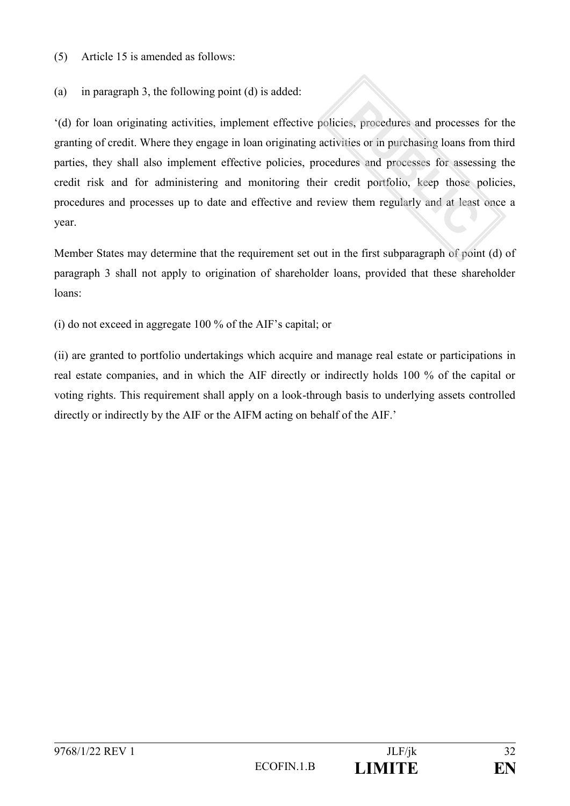(5) Article 15 is amended as follows:

(a) in paragraph 3, the following point (d) is added:

'(d) for loan originating activities, implement effective policies, procedures and processes for the granting of credit. Where they engage in loan originating activities or in purchasing loans from third parties, they shall also implement effective policies, procedures and processes for assessing the credit risk and for administering and monitoring their credit portfolio, keep those policies, procedures and processes up to date and effective and review them regularly and at least once a year.

Member States may determine that the requirement set out in the first subparagraph of point (d) of paragraph 3 shall not apply to origination of shareholder loans, provided that these shareholder loans:

(i) do not exceed in aggregate 100 % of the AIF's capital; or

(ii) are granted to portfolio undertakings which acquire and manage real estate or participations in real estate companies, and in which the AIF directly or indirectly holds 100 % of the capital or voting rights. This requirement shall apply on a look-through basis to underlying assets controlled directly or indirectly by the AIF or the AIFM acting on behalf of the AIF.'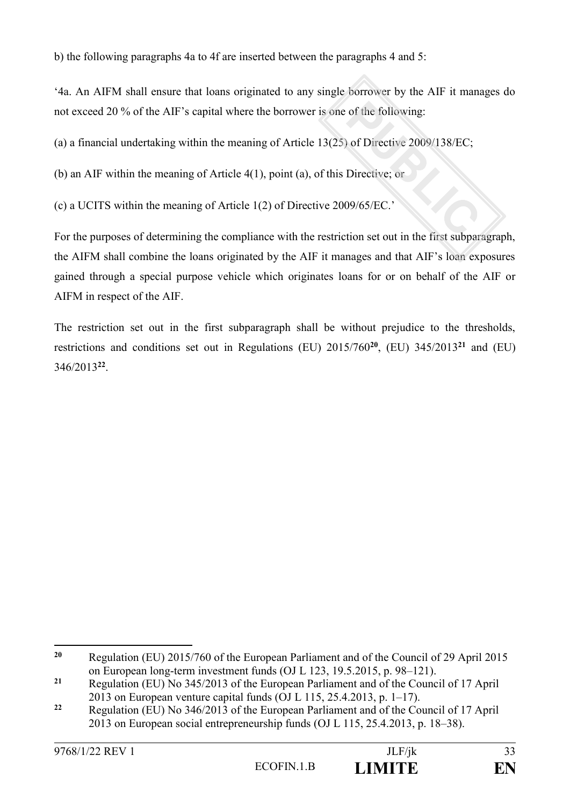b) the following paragraphs 4a to 4f are inserted between the paragraphs 4 and 5:

'4a. An AIFM shall ensure that loans originated to any single borrower by the AIF it manages do not exceed 20 % of the AIF's capital where the borrower is one of the following:

(a) a financial undertaking within the meaning of Article 13(25) of Directive 2009/138/EC;

(b) an AIF within the meaning of Article 4(1), point (a), of this Directive; or

(c) a UCITS within the meaning of Article 1(2) of Directive 2009/65/EC.'

For the purposes of determining the compliance with the restriction set out in the first subparagraph, the AIFM shall combine the loans originated by the AIF it manages and that AIF's loan exposures gained through a special purpose vehicle which originates loans for or on behalf of the AIF or AIFM in respect of the AIF.

The restriction set out in the first subparagraph shall be without prejudice to the thresholds, restrictions and conditions set out in Regulations (EU) 2015/760**<sup>20</sup>**, (EU) 345/2013**<sup>21</sup>** and (EU) 346/2013**<sup>22</sup>** .

 $20$ **<sup>20</sup>** Regulation (EU) 2015/760 of the European Parliament and of the Council of 29 April 2015 on European long-term investment funds (OJ L 123, 19.5.2015, p. 98–121).

**<sup>21</sup>** Regulation (EU) No 345/2013 of the European Parliament and of the Council of 17 April 2013 on European venture capital funds (OJ L 115, 25.4.2013, p. 1–17).

**<sup>22</sup>** Regulation (EU) No 346/2013 of the European Parliament and of the Council of 17 April 2013 on European social entrepreneurship funds (OJ L 115, 25.4.2013, p. 18–38).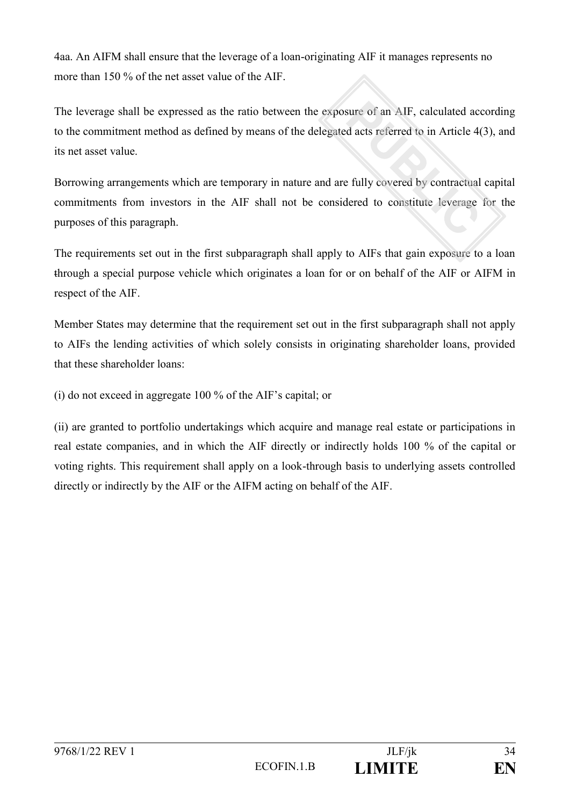4aa. An AIFM shall ensure that the leverage of a loan-originating AIF it manages represents no more than 150 % of the net asset value of the AIF.

The leverage shall be expressed as the ratio between the exposure of an AIF, calculated according to the commitment method as defined by means of the delegated acts referred to in Article 4(3), and its net asset value.

Borrowing arrangements which are temporary in nature and are fully covered by contractual capital commitments from investors in the AIF shall not be considered to constitute leverage for the purposes of this paragraph.

The requirements set out in the first subparagraph shall apply to AIFs that gain exposure to a loan through a special purpose vehicle which originates a loan for or on behalf of the AIF or AIFM in respect of the AIF.

Member States may determine that the requirement set out in the first subparagraph shall not apply to AIFs the lending activities of which solely consists in originating shareholder loans, provided that these shareholder loans:

(i) do not exceed in aggregate 100 % of the AIF's capital; or

(ii) are granted to portfolio undertakings which acquire and manage real estate or participations in real estate companies, and in which the AIF directly or indirectly holds 100 % of the capital or voting rights. This requirement shall apply on a look-through basis to underlying assets controlled directly or indirectly by the AIF or the AIFM acting on behalf of the AIF.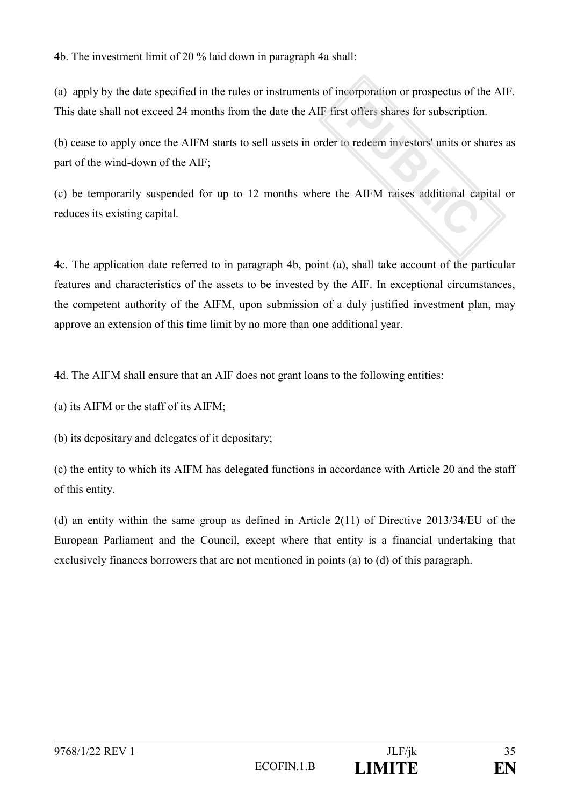4b. The investment limit of 20 % laid down in paragraph 4a shall:

(a) apply by the date specified in the rules or instruments of incorporation or prospectus of the AIF. This date shall not exceed 24 months from the date the AIF first offers shares for subscription.

(b) cease to apply once the AIFM starts to sell assets in order to redeem investors' units or shares as part of the wind-down of the AIF;

(c) be temporarily suspended for up to 12 months where the AIFM raises additional capital or reduces its existing capital.

4c. The application date referred to in paragraph 4b, point (a), shall take account of the particular features and characteristics of the assets to be invested by the AIF. In exceptional circumstances, the competent authority of the AIFM, upon submission of a duly justified investment plan, may approve an extension of this time limit by no more than one additional year.

4d. The AIFM shall ensure that an AIF does not grant loans to the following entities:

(a) its AIFM or the staff of its AIFM;

(b) its depositary and delegates of it depositary;

(c) the entity to which its AIFM has delegated functions in accordance with Article 20 and the staff of this entity.

(d) an entity within the same group as defined in Article  $2(11)$  of Directive  $2013/34/EU$  of the European Parliament and the Council, except where that entity is a financial undertaking that exclusively finances borrowers that are not mentioned in points (a) to (d) of this paragraph.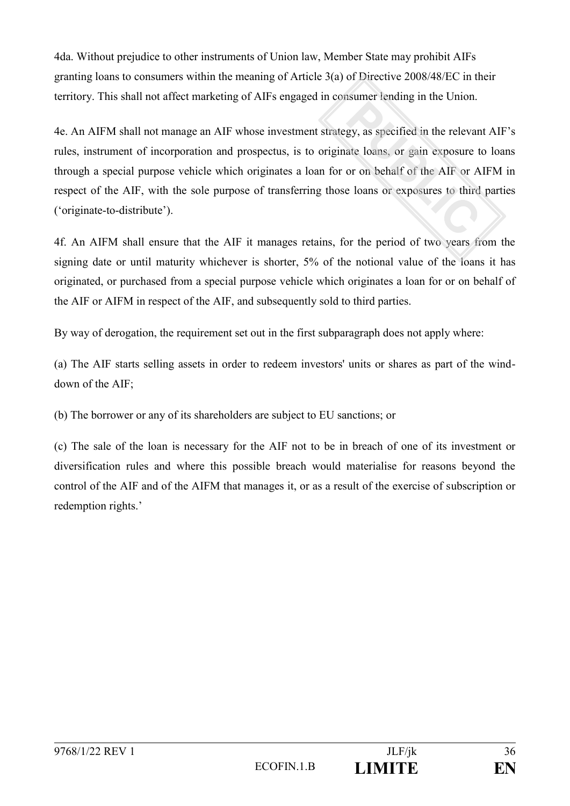4da. Without prejudice to other instruments of Union law, Member State may prohibit AIFs granting loans to consumers within the meaning of Article 3(a) of Directive 2008/48/EC in their territory. This shall not affect marketing of AIFs engaged in consumer lending in the Union.

4e. An AIFM shall not manage an AIF whose investment strategy, as specified in the relevant AIF's rules, instrument of incorporation and prospectus, is to originate loans, or gain exposure to loans through a special purpose vehicle which originates a loan for or on behalf of the AIF or AIFM in respect of the AIF, with the sole purpose of transferring those loans or exposures to third parties ('originate-to-distribute').

4f. An AIFM shall ensure that the AIF it manages retains, for the period of two years from the signing date or until maturity whichever is shorter, 5% of the notional value of the loans it has originated, or purchased from a special purpose vehicle which originates a loan for or on behalf of the AIF or AIFM in respect of the AIF, and subsequently sold to third parties.

By way of derogation, the requirement set out in the first subparagraph does not apply where:

(a) The AIF starts selling assets in order to redeem investors' units or shares as part of the winddown of the AIF;

(b) The borrower or any of its shareholders are subject to EU sanctions; or

(c) The sale of the loan is necessary for the AIF not to be in breach of one of its investment or diversification rules and where this possible breach would materialise for reasons beyond the control of the AIF and of the AIFM that manages it, or as a result of the exercise of subscription or redemption rights.'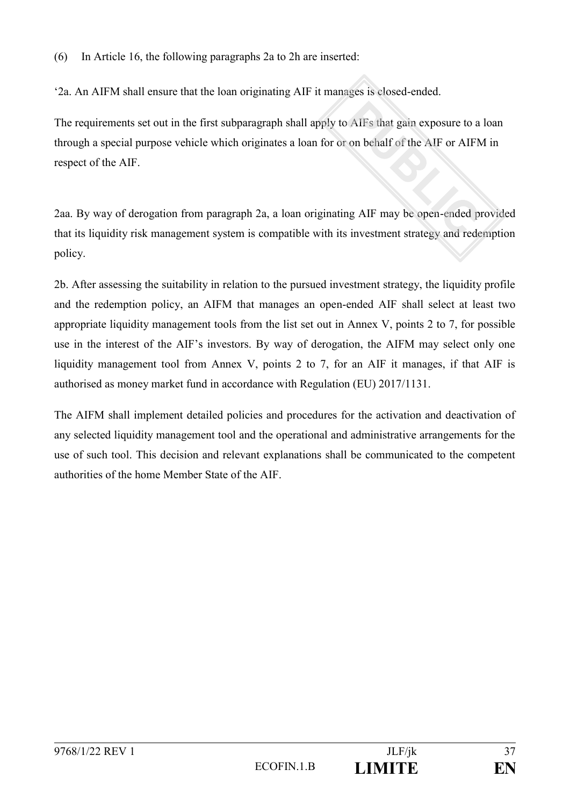(6) In Article 16, the following paragraphs 2a to 2h are inserted:

'2a. An AIFM shall ensure that the loan originating AIF it manages is closed-ended.

The requirements set out in the first subparagraph shall apply to AIFs that gain exposure to a loan through a special purpose vehicle which originates a loan for or on behalf of the AIF or AIFM in respect of the AIF.

2aa. By way of derogation from paragraph 2a, a loan originating AIF may be open-ended provided that its liquidity risk management system is compatible with its investment strategy and redemption policy.

2b. After assessing the suitability in relation to the pursued investment strategy, the liquidity profile and the redemption policy, an AIFM that manages an open-ended AIF shall select at least two appropriate liquidity management tools from the list set out in Annex V, points 2 to 7, for possible use in the interest of the AIF's investors. By way of derogation, the AIFM may select only one liquidity management tool from Annex V, points 2 to 7, for an AIF it manages, if that AIF is authorised as money market fund in accordance with Regulation (EU) 2017/1131.

The AIFM shall implement detailed policies and procedures for the activation and deactivation of any selected liquidity management tool and the operational and administrative arrangements for the use of such tool. This decision and relevant explanations shall be communicated to the competent authorities of the home Member State of the AIF.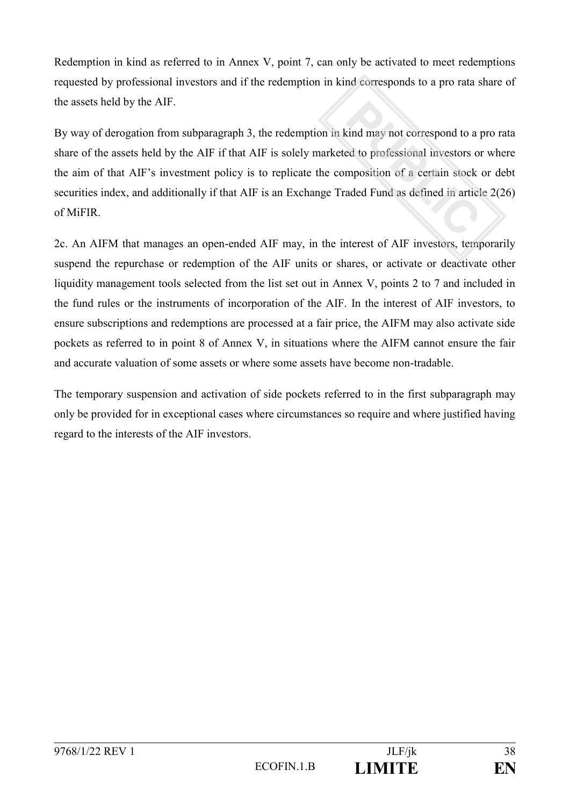Redemption in kind as referred to in Annex V, point 7, can only be activated to meet redemptions requested by professional investors and if the redemption in kind corresponds to a pro rata share of the assets held by the AIF.

By way of derogation from subparagraph 3, the redemption in kind may not correspond to a pro rata share of the assets held by the AIF if that AIF is solely marketed to professional investors or where the aim of that AIF's investment policy is to replicate the composition of a certain stock or debt securities index, and additionally if that AIF is an Exchange Traded Fund as defined in article 2(26) of MiFIR.

2c. An AIFM that manages an open-ended AIF may, in the interest of AIF investors, temporarily suspend the repurchase or redemption of the AIF units or shares, or activate or deactivate other liquidity management tools selected from the list set out in Annex V, points 2 to 7 and included in the fund rules or the instruments of incorporation of the AIF. In the interest of AIF investors, to ensure subscriptions and redemptions are processed at a fair price, the AIFM may also activate side pockets as referred to in point 8 of Annex V, in situations where the AIFM cannot ensure the fair and accurate valuation of some assets or where some assets have become non-tradable.

The temporary suspension and activation of side pockets referred to in the first subparagraph may only be provided for in exceptional cases where circumstances so require and where justified having regard to the interests of the AIF investors.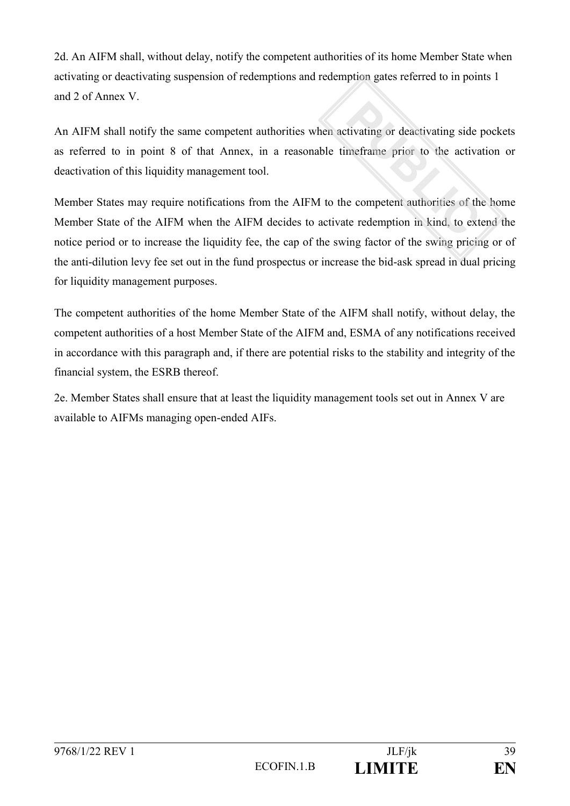2d. An AIFM shall, without delay, notify the competent authorities of its home Member State when activating or deactivating suspension of redemptions and redemption gates referred to in points 1 and 2 of Annex V.

An AIFM shall notify the same competent authorities when activating or deactivating side pockets as referred to in point 8 of that Annex, in a reasonable timeframe prior to the activation or deactivation of this liquidity management tool.

Member States may require notifications from the AIFM to the competent authorities of the home Member State of the AIFM when the AIFM decides to activate redemption in kind, to extend the notice period or to increase the liquidity fee, the cap of the swing factor of the swing pricing or of the anti-dilution levy fee set out in the fund prospectus or increase the bid-ask spread in dual pricing for liquidity management purposes.

The competent authorities of the home Member State of the AIFM shall notify, without delay, the competent authorities of a host Member State of the AIFM and, ESMA of any notifications received in accordance with this paragraph and, if there are potential risks to the stability and integrity of the financial system, the ESRB thereof.

2e. Member States shall ensure that at least the liquidity management tools set out in Annex V are available to AIFMs managing open-ended AIFs.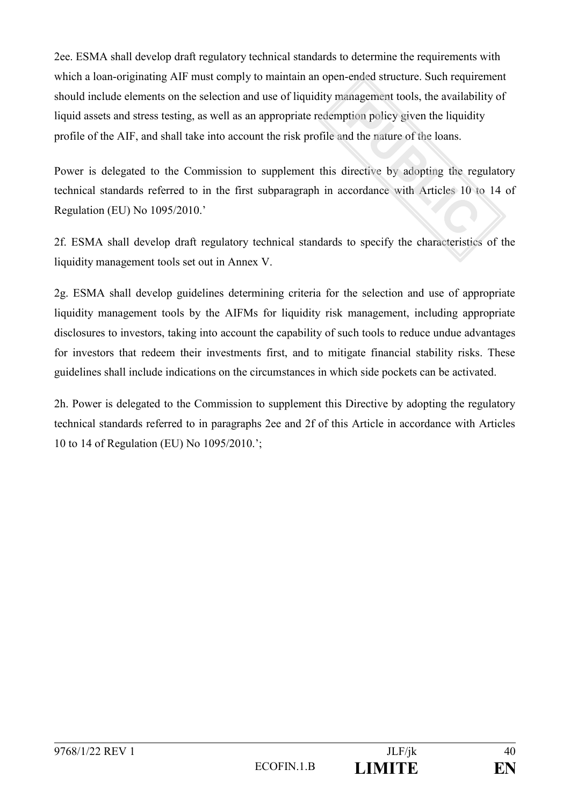2ee. ESMA shall develop draft regulatory technical standards to determine the requirements with which a loan-originating AIF must comply to maintain an open-ended structure. Such requirement should include elements on the selection and use of liquidity management tools, the availability of liquid assets and stress testing, as well as an appropriate redemption policy given the liquidity profile of the AIF, and shall take into account the risk profile and the nature of the loans.

Power is delegated to the Commission to supplement this directive by adopting the regulatory technical standards referred to in the first subparagraph in accordance with Articles 10 to 14 of Regulation (EU) No 1095/2010.'

2f. ESMA shall develop draft regulatory technical standards to specify the characteristics of the liquidity management tools set out in Annex V.

2g. ESMA shall develop guidelines determining criteria for the selection and use of appropriate liquidity management tools by the AIFMs for liquidity risk management, including appropriate disclosures to investors, taking into account the capability of such tools to reduce undue advantages for investors that redeem their investments first, and to mitigate financial stability risks. These guidelines shall include indications on the circumstances in which side pockets can be activated.

2h. Power is delegated to the Commission to supplement this Directive by adopting the regulatory technical standards referred to in paragraphs 2ee and 2f of this Article in accordance with Articles 10 to 14 of Regulation (EU) No 1095/2010.';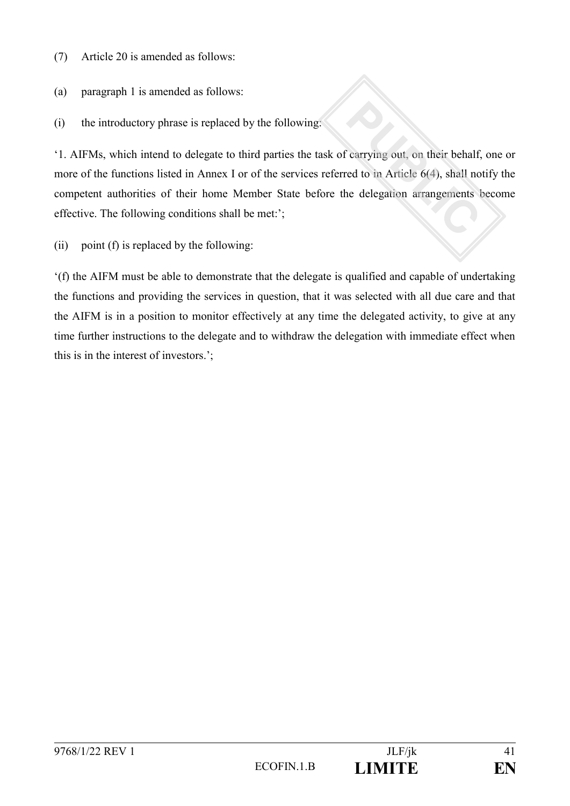(7) Article 20 is amended as follows:

(a) paragraph 1 is amended as follows:

(i) the introductory phrase is replaced by the following:

'1. AIFMs, which intend to delegate to third parties the task of carrying out, on their behalf, one or more of the functions listed in Annex I or of the services referred to in Article 6(4), shall notify the competent authorities of their home Member State before the delegation arrangements become effective. The following conditions shall be met:';

(ii) point (f) is replaced by the following:

'(f) the AIFM must be able to demonstrate that the delegate is qualified and capable of undertaking the functions and providing the services in question, that it was selected with all due care and that the AIFM is in a position to monitor effectively at any time the delegated activity, to give at any time further instructions to the delegate and to withdraw the delegation with immediate effect when this is in the interest of investors.';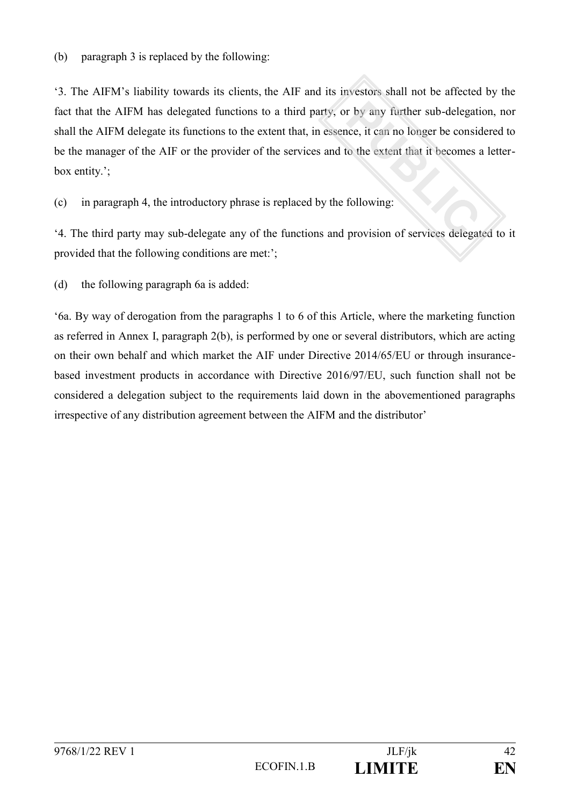'3. The AIFM's liability towards its clients, the AIF and its investors shall not be affected by the fact that the AIFM has delegated functions to a third party, or by any further sub-delegation, nor shall the AIFM delegate its functions to the extent that, in essence, it can no longer be considered to be the manager of the AIF or the provider of the services and to the extent that it becomes a letterbox entity.';

(c) in paragraph 4, the introductory phrase is replaced by the following:

'4. The third party may sub-delegate any of the functions and provision of services delegated to it provided that the following conditions are met:';

(d) the following paragraph 6a is added:

'6a. By way of derogation from the paragraphs 1 to 6 of this Article, where the marketing function as referred in Annex I, paragraph 2(b), is performed by one or several distributors, which are acting on their own behalf and which market the AIF under Directive 2014/65/EU or through insurancebased investment products in accordance with Directive 2016/97/EU, such function shall not be considered a delegation subject to the requirements laid down in the abovementioned paragraphs irrespective of any distribution agreement between the AIFM and the distributor'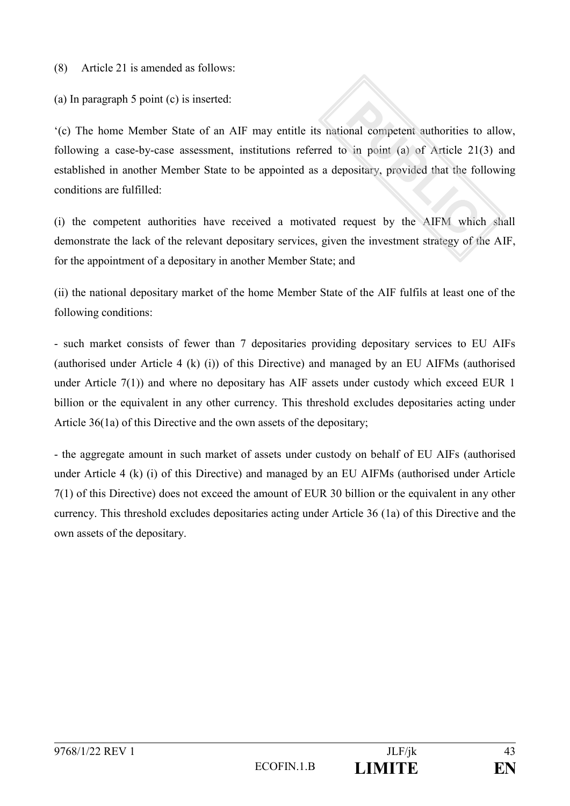(8) Article 21 is amended as follows:

(a) In paragraph 5 point (c) is inserted:

'(c) The home Member State of an AIF may entitle its national competent authorities to allow, following a case-by-case assessment, institutions referred to in point (a) of Article 21(3) and established in another Member State to be appointed as a depositary, provided that the following conditions are fulfilled:

(i) the competent authorities have received a motivated request by the AIFM which shall demonstrate the lack of the relevant depositary services, given the investment strategy of the AIF, for the appointment of a depositary in another Member State; and

(ii) the national depositary market of the home Member State of the AIF fulfils at least one of the following conditions:

- such market consists of fewer than 7 depositaries providing depositary services to EU AIFs (authorised under Article 4 (k) (i)) of this Directive) and managed by an EU AIFMs (authorised under Article 7(1)) and where no depositary has AIF assets under custody which exceed EUR 1 billion or the equivalent in any other currency. This threshold excludes depositaries acting under Article 36(1a) of this Directive and the own assets of the depositary;

- the aggregate amount in such market of assets under custody on behalf of EU AIFs (authorised under Article 4 (k) (i) of this Directive) and managed by an EU AIFMs (authorised under Article 7(1) of this Directive) does not exceed the amount of EUR 30 billion or the equivalent in any other currency. This threshold excludes depositaries acting under Article 36 (1a) of this Directive and the own assets of the depositary.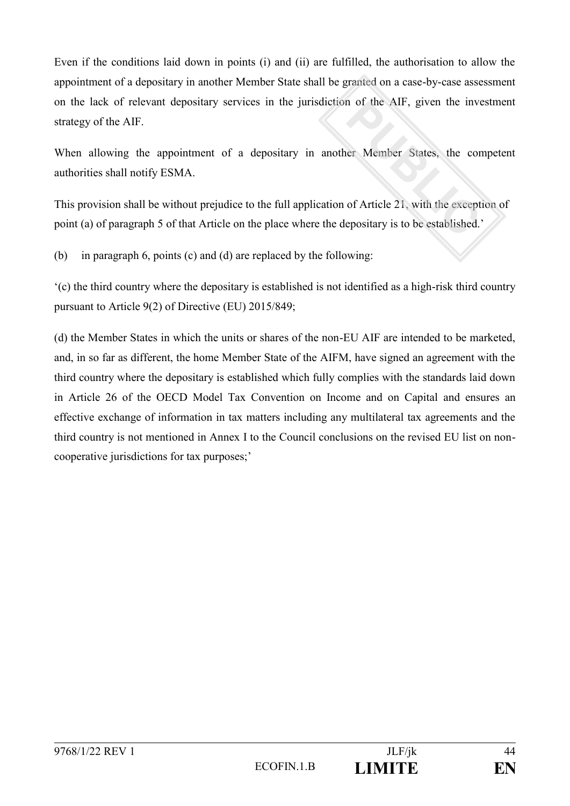Even if the conditions laid down in points (i) and (ii) are fulfilled, the authorisation to allow the appointment of a depositary in another Member State shall be granted on a case-by-case assessment on the lack of relevant depositary services in the jurisdiction of the AIF, given the investment strategy of the AIF.

When allowing the appointment of a depositary in another Member States, the competent authorities shall notify ESMA.

This provision shall be without prejudice to the full application of Article 21, with the exception of point (a) of paragraph 5 of that Article on the place where the depositary is to be established.'

(b) in paragraph 6, points (c) and (d) are replaced by the following:

'(c) the third country where the depositary is established is not identified as a high-risk third country pursuant to Article 9(2) of Directive (EU) 2015/849;

(d) the Member States in which the units or shares of the non-EU AIF are intended to be marketed, and, in so far as different, the home Member State of the AIFM, have signed an agreement with the third country where the depositary is established which fully complies with the standards laid down in Article 26 of the OECD Model Tax Convention on Income and on Capital and ensures an effective exchange of information in tax matters including any multilateral tax agreements and the third country is not mentioned in Annex I to the Council conclusions on the revised EU list on noncooperative jurisdictions for tax purposes;'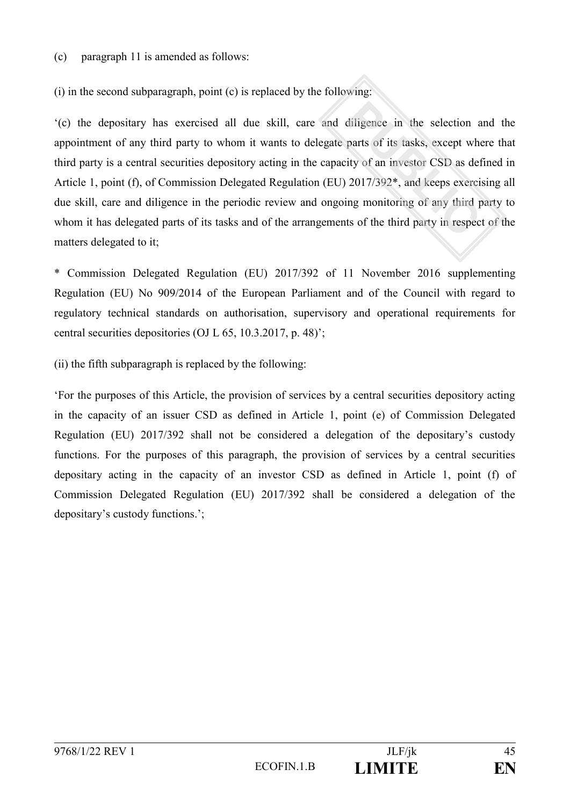(c) paragraph 11 is amended as follows:

(i) in the second subparagraph, point (c) is replaced by the following:

'(c) the depositary has exercised all due skill, care and diligence in the selection and the appointment of any third party to whom it wants to delegate parts of its tasks, except where that third party is a central securities depository acting in the capacity of an investor CSD as defined in Article 1, point (f), of Commission Delegated Regulation (EU) 2017/392\*, and keeps exercising all due skill, care and diligence in the periodic review and ongoing monitoring of any third party to whom it has delegated parts of its tasks and of the arrangements of the third party in respect of the matters delegated to it;

\* Commission Delegated Regulation (EU) 2017/392 of 11 November 2016 supplementing Regulation (EU) No 909/2014 of the European Parliament and of the Council with regard to regulatory technical standards on authorisation, supervisory and operational requirements for central securities depositories (OJ L 65, 10.3.2017, p. 48)';

(ii) the fifth subparagraph is replaced by the following:

'For the purposes of this Article, the provision of services by a central securities depository acting in the capacity of an issuer CSD as defined in Article 1, point (e) of Commission Delegated Regulation (EU) 2017/392 shall not be considered a delegation of the depositary's custody functions. For the purposes of this paragraph, the provision of services by a central securities depositary acting in the capacity of an investor CSD as defined in Article 1, point (f) of Commission Delegated Regulation (EU) 2017/392 shall be considered a delegation of the depositary's custody functions.';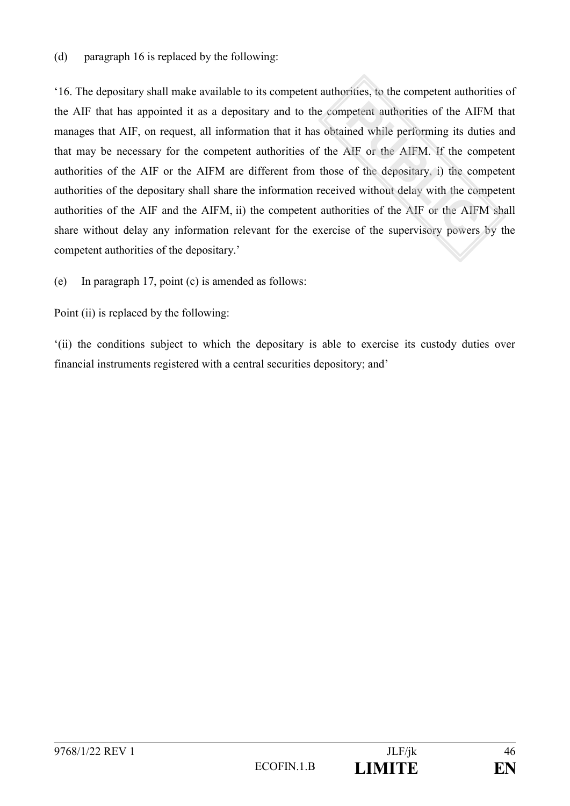(d) paragraph 16 is replaced by the following:

'16. The depositary shall make available to its competent authorities, to the competent authorities of the AIF that has appointed it as a depositary and to the competent authorities of the AIFM that manages that AIF, on request, all information that it has obtained while performing its duties and that may be necessary for the competent authorities of the AIF or the AIFM. If the competent authorities of the AIF or the AIFM are different from those of the depositary, i) the competent authorities of the depositary shall share the information received without delay with the competent authorities of the AIF and the AIFM, ii) the competent authorities of the AIF or the AIFM shall share without delay any information relevant for the exercise of the supervisory powers by the competent authorities of the depositary.'

(e) In paragraph 17, point (c) is amended as follows:

Point (ii) is replaced by the following:

'(ii) the conditions subject to which the depositary is able to exercise its custody duties over financial instruments registered with a central securities depository; and'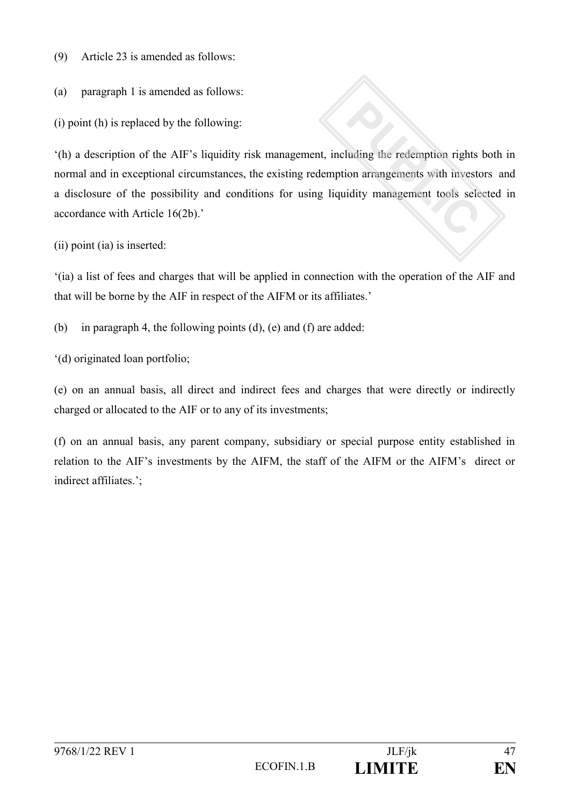(9) Article 23 is amended as follows:

(a) paragraph 1 is amended as follows:

(i) point (h) is replaced by the following:

'(h) a description of the AIF's liquidity risk management, including the redemption rights both in normal and in exceptional circumstances, the existing redemption arrangements with investors and a disclosure of the possibility and conditions for using liquidity management tools selected in accordance with Article 16(2b).'

(ii) point (ia) is inserted:

'(ia) a list of fees and charges that will be applied in connection with the operation of the AIF and that will be borne by the AIF in respect of the AIFM or its affiliates.'

(b) in paragraph 4, the following points (d), (e) and (f) are added:

'(d) originated loan portfolio;

(e) on an annual basis, all direct and indirect fees and charges that were directly or indirectly charged or allocated to the AIF or to any of its investments;

(f) on an annual basis, any parent company, subsidiary or special purpose entity established in relation to the AIF's investments by the AIFM, the staff of the AIFM or the AIFM's direct or indirect affiliates.';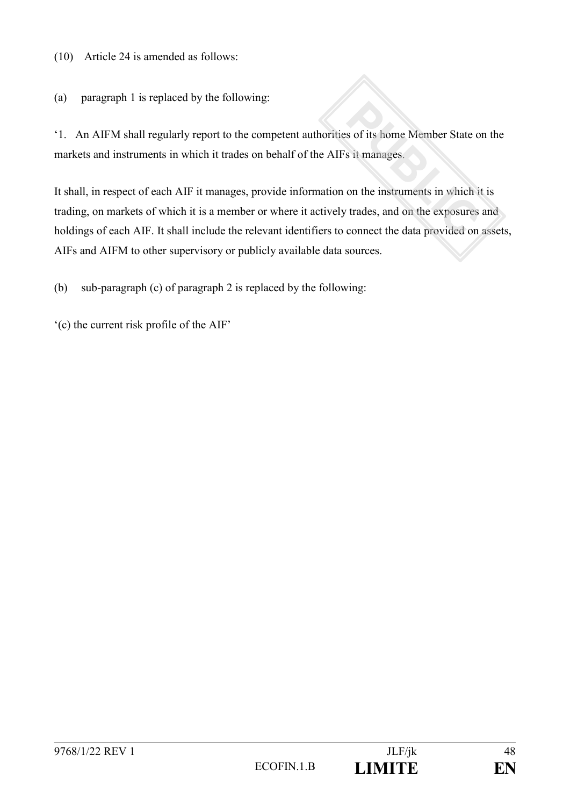(10) Article 24 is amended as follows:

(a) paragraph 1 is replaced by the following:

'1. An AIFM shall regularly report to the competent authorities of its home Member State on the markets and instruments in which it trades on behalf of the AIFs it manages.

It shall, in respect of each AIF it manages, provide information on the instruments in which it is trading, on markets of which it is a member or where it actively trades, and on the exposures and holdings of each AIF. It shall include the relevant identifiers to connect the data provided on assets, AIFs and AIFM to other supervisory or publicly available data sources.

(b) sub-paragraph (c) of paragraph 2 is replaced by the following:

'(c) the current risk profile of the AIF'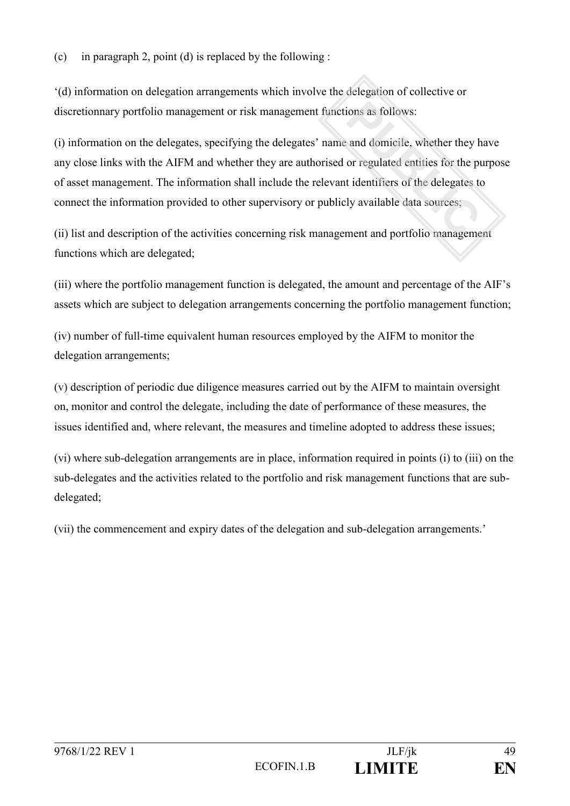'(d) information on delegation arrangements which involve the delegation of collective or discretionnary portfolio management or risk management functions as follows:

(i) information on the delegates, specifying the delegates' name and domicile, whether they have any close links with the AIFM and whether they are authorised or regulated entities for the purpose of asset management. The information shall include the relevant identifiers of the delegates to connect the information provided to other supervisory or publicly available data sources;

(ii) list and description of the activities concerning risk management and portfolio management functions which are delegated;

(iii) where the portfolio management function is delegated, the amount and percentage of the AIF's assets which are subject to delegation arrangements concerning the portfolio management function;

(iv) number of full-time equivalent human resources employed by the AIFM to monitor the delegation arrangements;

(v) description of periodic due diligence measures carried out by the AIFM to maintain oversight on, monitor and control the delegate, including the date of performance of these measures, the issues identified and, where relevant, the measures and timeline adopted to address these issues;

(vi) where sub-delegation arrangements are in place, information required in points (i) to (iii) on the sub-delegates and the activities related to the portfolio and risk management functions that are subdelegated;

(vii) the commencement and expiry dates of the delegation and sub-delegation arrangements.'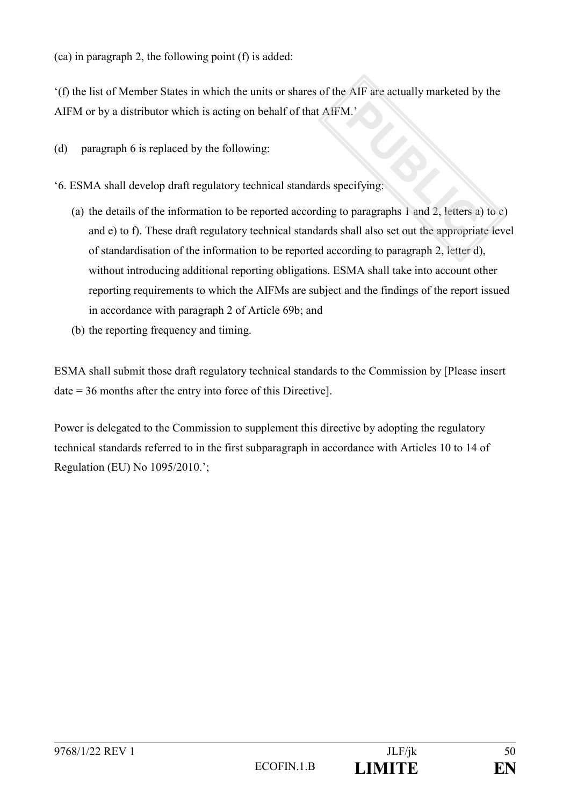(ca) in paragraph 2, the following point (f) is added:

'(f) the list of Member States in which the units or shares of the AIF are actually marketed by the AIFM or by a distributor which is acting on behalf of that AIFM.'

- (d) paragraph 6 is replaced by the following:
- '6. ESMA shall develop draft regulatory technical standards specifying:
	- (a) the details of the information to be reported according to paragraphs 1 and 2, letters a) to c) and e) to f). These draft regulatory technical standards shall also set out the appropriate level of standardisation of the information to be reported according to paragraph 2, letter d), without introducing additional reporting obligations. ESMA shall take into account other reporting requirements to which the AIFMs are subject and the findings of the report issued in accordance with paragraph 2 of Article 69b; and
	- (b) the reporting frequency and timing.

ESMA shall submit those draft regulatory technical standards to the Commission by [Please insert date = 36 months after the entry into force of this Directive].

Power is delegated to the Commission to supplement this directive by adopting the regulatory technical standards referred to in the first subparagraph in accordance with Articles 10 to 14 of Regulation (EU) No 1095/2010.';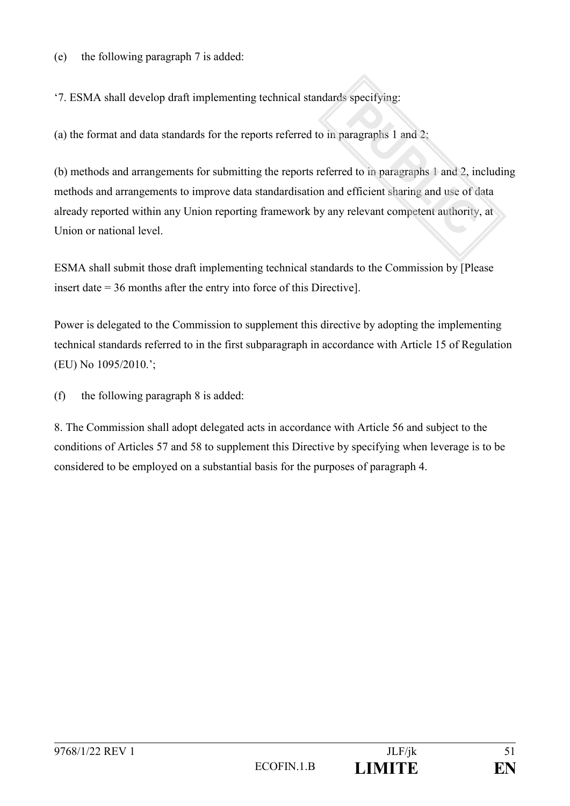(e) the following paragraph 7 is added:

'7. ESMA shall develop draft implementing technical standards specifying:

(a) the format and data standards for the reports referred to in paragraphs 1 and 2;

(b) methods and arrangements for submitting the reports referred to in paragraphs 1 and 2, including methods and arrangements to improve data standardisation and efficient sharing and use of data already reported within any Union reporting framework by any relevant competent authority, at Union or national level.

ESMA shall submit those draft implementing technical standards to the Commission by [Please insert date = 36 months after the entry into force of this Directive].

Power is delegated to the Commission to supplement this directive by adopting the implementing technical standards referred to in the first subparagraph in accordance with Article 15 of Regulation (EU) No 1095/2010.';

(f) the following paragraph 8 is added:

8. The Commission shall adopt delegated acts in accordance with Article 56 and subject to the conditions of Articles 57 and 58 to supplement this Directive by specifying when leverage is to be considered to be employed on a substantial basis for the purposes of paragraph 4.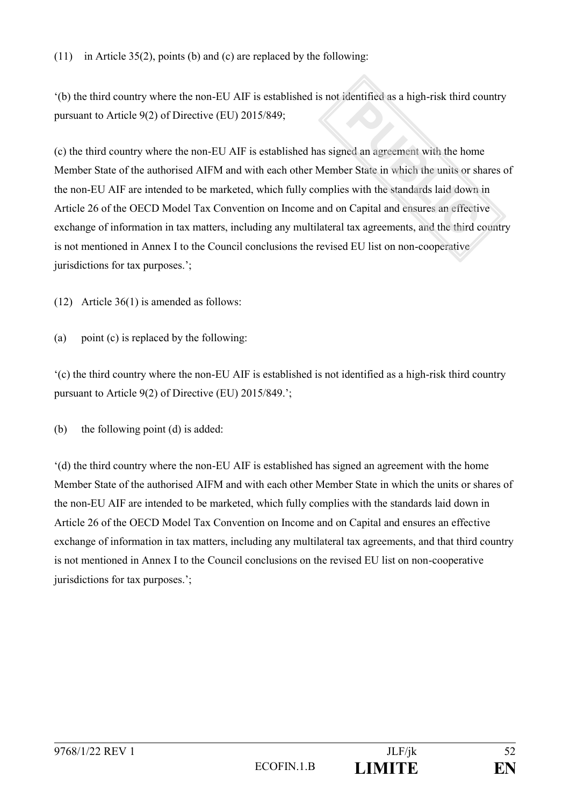'(b) the third country where the non-EU AIF is established is not identified as a high-risk third country pursuant to Article 9(2) of Directive (EU) 2015/849;

(c) the third country where the non-EU AIF is established has signed an agreement with the home Member State of the authorised AIFM and with each other Member State in which the units or shares of the non-EU AIF are intended to be marketed, which fully complies with the standards laid down in Article 26 of the OECD Model Tax Convention on Income and on Capital and ensures an effective exchange of information in tax matters, including any multilateral tax agreements, and the third country is not mentioned in Annex I to the Council conclusions the revised EU list on non-cooperative jurisdictions for tax purposes.';

(12) Article 36(1) is amended as follows:

(a) point (c) is replaced by the following:

'(c) the third country where the non-EU AIF is established is not identified as a high-risk third country pursuant to Article 9(2) of Directive (EU) 2015/849.';

(b) the following point (d) is added:

'(d) the third country where the non-EU AIF is established has signed an agreement with the home Member State of the authorised AIFM and with each other Member State in which the units or shares of the non-EU AIF are intended to be marketed, which fully complies with the standards laid down in Article 26 of the OECD Model Tax Convention on Income and on Capital and ensures an effective exchange of information in tax matters, including any multilateral tax agreements, and that third country is not mentioned in Annex I to the Council conclusions on the revised EU list on non-cooperative jurisdictions for tax purposes.';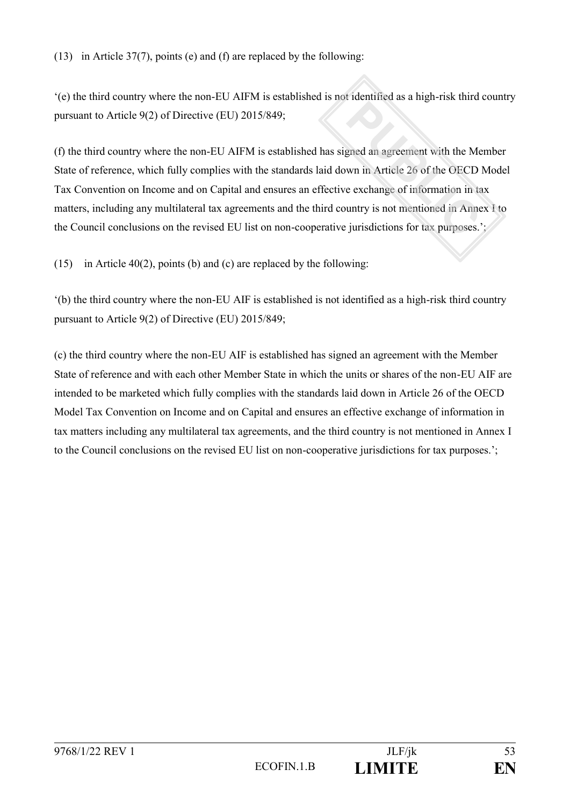'(e) the third country where the non-EU AIFM is established is not identified as a high-risk third country pursuant to Article 9(2) of Directive (EU) 2015/849;

(f) the third country where the non-EU AIFM is established has signed an agreement with the Member State of reference, which fully complies with the standards laid down in Article 26 of the OECD Model Tax Convention on Income and on Capital and ensures an effective exchange of information in tax matters, including any multilateral tax agreements and the third country is not mentioned in Annex I to the Council conclusions on the revised EU list on non-cooperative jurisdictions for tax purposes.';

(15) in Article 40(2), points (b) and (c) are replaced by the following:

'(b) the third country where the non-EU AIF is established is not identified as a high-risk third country pursuant to Article 9(2) of Directive (EU) 2015/849;

(c) the third country where the non-EU AIF is established has signed an agreement with the Member State of reference and with each other Member State in which the units or shares of the non-EU AIF are intended to be marketed which fully complies with the standards laid down in Article 26 of the OECD Model Tax Convention on Income and on Capital and ensures an effective exchange of information in tax matters including any multilateral tax agreements, and the third country is not mentioned in Annex I to the Council conclusions on the revised EU list on non-cooperative jurisdictions for tax purposes.';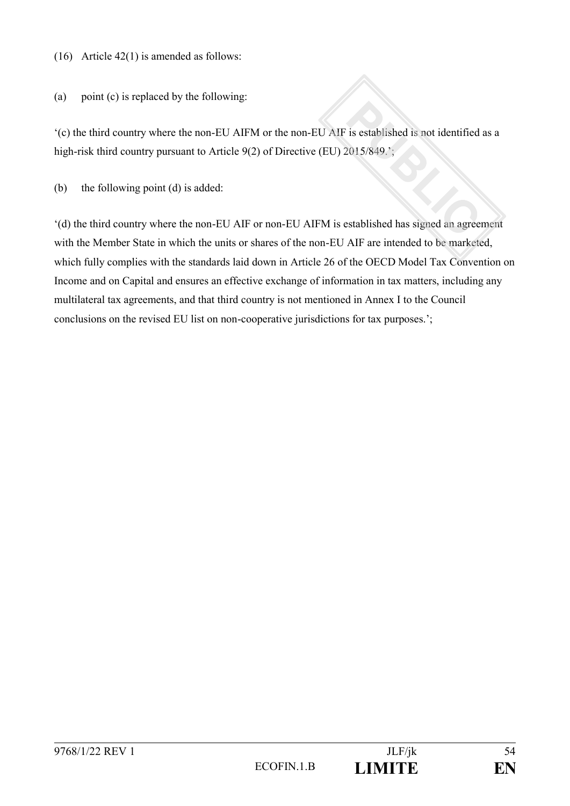(16) Article 42(1) is amended as follows:

(a) point (c) is replaced by the following:

'(c) the third country where the non-EU AIFM or the non-EU AIF is established is not identified as a high-risk third country pursuant to Article 9(2) of Directive (EU) 2015/849.<sup>'</sup>;

(b) the following point (d) is added:

'(d) the third country where the non-EU AIF or non-EU AIFM is established has signed an agreement with the Member State in which the units or shares of the non-EU AIF are intended to be marketed, which fully complies with the standards laid down in Article 26 of the OECD Model Tax Convention on Income and on Capital and ensures an effective exchange of information in tax matters, including any multilateral tax agreements, and that third country is not mentioned in Annex I to the Council conclusions on the revised EU list on non-cooperative jurisdictions for tax purposes.';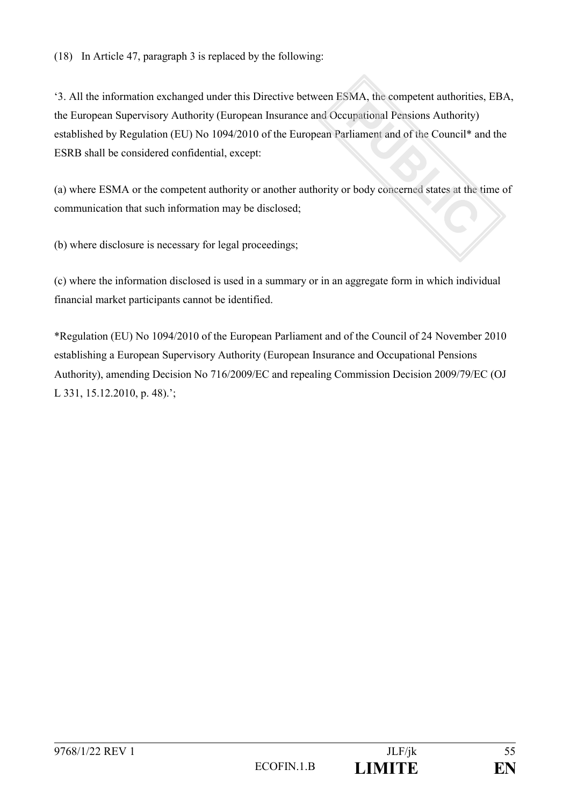(18) In Article 47, paragraph 3 is replaced by the following:

'3. All the information exchanged under this Directive between ESMA, the competent authorities, EBA, the European Supervisory Authority (European Insurance and Occupational Pensions Authority) established by Regulation (EU) No 1094/2010 of the European Parliament and of the Council\* and the ESRB shall be considered confidential, except:

(a) where ESMA or the competent authority or another authority or body concerned states at the time of communication that such information may be disclosed;

(b) where disclosure is necessary for legal proceedings;

(c) where the information disclosed is used in a summary or in an aggregate form in which individual financial market participants cannot be identified.

\*Regulation (EU) No 1094/2010 of the European Parliament and of the Council of 24 November 2010 establishing a European Supervisory Authority (European Insurance and Occupational Pensions Authority), amending Decision No 716/2009/EC and repealing Commission Decision 2009/79/EC (OJ L 331, 15.12.2010, p. 48).';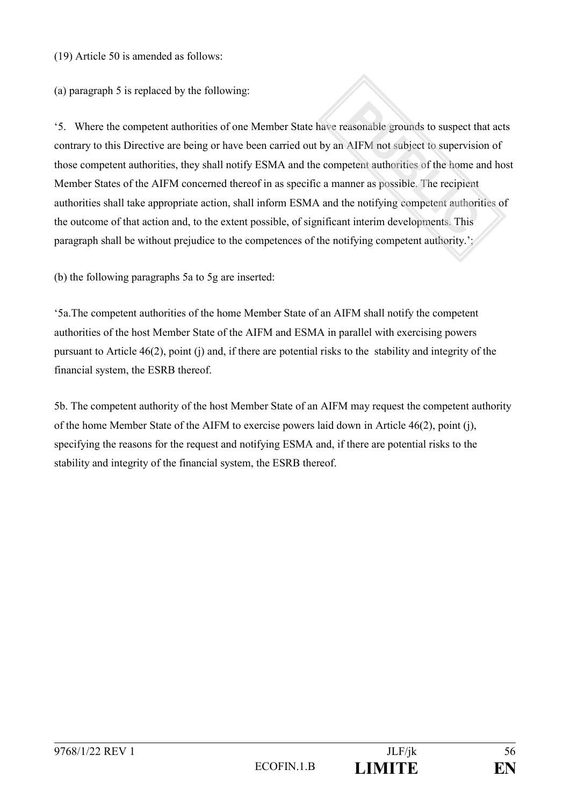(19) Article 50 is amended as follows:

(a) paragraph 5 is replaced by the following:

'5. Where the competent authorities of one Member State have reasonable grounds to suspect that acts contrary to this Directive are being or have been carried out by an AIFM not subject to supervision of those competent authorities, they shall notify ESMA and the competent authorities of the home and host Member States of the AIFM concerned thereof in as specific a manner as possible. The recipient authorities shall take appropriate action, shall inform ESMA and the notifying competent authorities of the outcome of that action and, to the extent possible, of significant interim developments. This paragraph shall be without prejudice to the competences of the notifying competent authority.';

(b) the following paragraphs 5a to 5g are inserted:

'5a.The competent authorities of the home Member State of an AIFM shall notify the competent authorities of the host Member State of the AIFM and ESMA in parallel with exercising powers pursuant to Article 46(2), point (j) and, if there are potential risks to the stability and integrity of the financial system, the ESRB thereof.

5b. The competent authority of the host Member State of an AIFM may request the competent authority of the home Member State of the AIFM to exercise powers laid down in Article 46(2), point (j), specifying the reasons for the request and notifying ESMA and, if there are potential risks to the stability and integrity of the financial system, the ESRB thereof.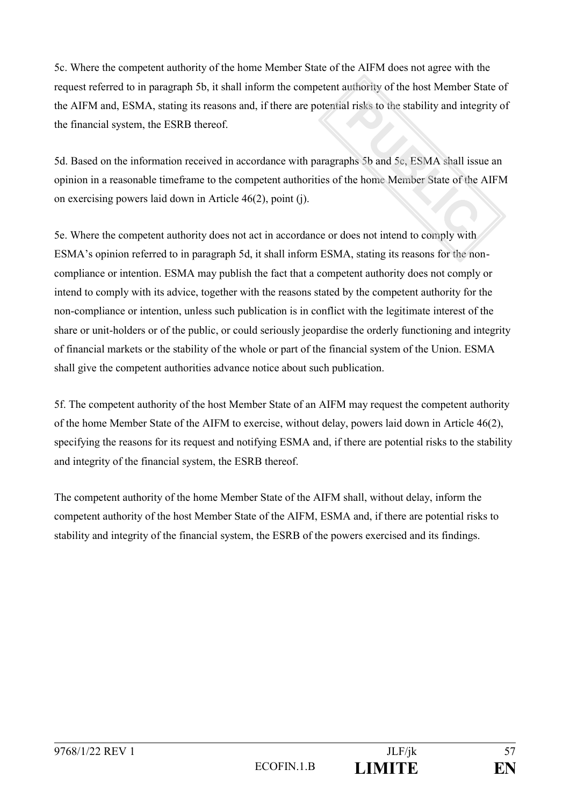5c. Where the competent authority of the home Member State of the AIFM does not agree with the request referred to in paragraph 5b, it shall inform the competent authority of the host Member State of the AIFM and, ESMA, stating its reasons and, if there are potential risks to the stability and integrity of the financial system, the ESRB thereof.

5d. Based on the information received in accordance with paragraphs 5b and 5c, ESMA shall issue an opinion in a reasonable timeframe to the competent authorities of the home Member State of the AIFM on exercising powers laid down in Article 46(2), point (j).

5e. Where the competent authority does not act in accordance or does not intend to comply with ESMA's opinion referred to in paragraph 5d, it shall inform ESMA, stating its reasons for the noncompliance or intention. ESMA may publish the fact that a competent authority does not comply or intend to comply with its advice, together with the reasons stated by the competent authority for the non-compliance or intention, unless such publication is in conflict with the legitimate interest of the share or unit-holders or of the public, or could seriously jeopardise the orderly functioning and integrity of financial markets or the stability of the whole or part of the financial system of the Union. ESMA shall give the competent authorities advance notice about such publication.

5f. The competent authority of the host Member State of an AIFM may request the competent authority of the home Member State of the AIFM to exercise, without delay, powers laid down in Article 46(2), specifying the reasons for its request and notifying ESMA and, if there are potential risks to the stability and integrity of the financial system, the ESRB thereof.

The competent authority of the home Member State of the AIFM shall, without delay, inform the competent authority of the host Member State of the AIFM, ESMA and, if there are potential risks to stability and integrity of the financial system, the ESRB of the powers exercised and its findings.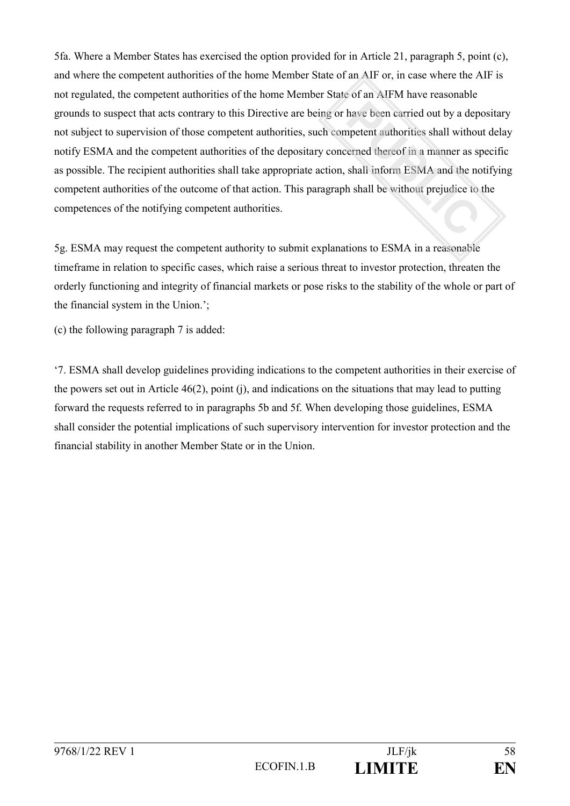5fa. Where a Member States has exercised the option provided for in Article 21, paragraph 5, point (c), and where the competent authorities of the home Member State of an AIF or, in case where the AIF is not regulated, the competent authorities of the home Member State of an AIFM have reasonable grounds to suspect that acts contrary to this Directive are being or have been carried out by a depositary not subject to supervision of those competent authorities, such competent authorities shall without delay notify ESMA and the competent authorities of the depositary concerned thereof in a manner as specific as possible. The recipient authorities shall take appropriate action, shall inform ESMA and the notifying competent authorities of the outcome of that action. This paragraph shall be without prejudice to the competences of the notifying competent authorities.

5g. ESMA may request the competent authority to submit explanations to ESMA in a reasonable timeframe in relation to specific cases, which raise a serious threat to investor protection, threaten the orderly functioning and integrity of financial markets or pose risks to the stability of the whole or part of the financial system in the Union.';

(c) the following paragraph 7 is added:

'7. ESMA shall develop guidelines providing indications to the competent authorities in their exercise of the powers set out in Article 46(2), point (j), and indications on the situations that may lead to putting forward the requests referred to in paragraphs 5b and 5f. When developing those guidelines, ESMA shall consider the potential implications of such supervisory intervention for investor protection and the financial stability in another Member State or in the Union.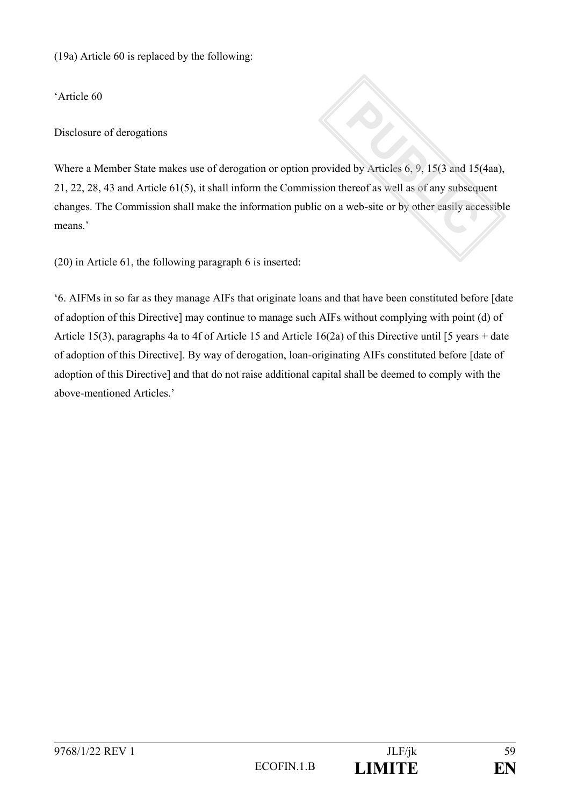(19a) Article 60 is replaced by the following:

'Article 60

Disclosure of derogations

Where a Member State makes use of derogation or option provided by Articles 6, 9, 15(3 and 15(4aa), 21, 22, 28, 43 and Article 61(5), it shall inform the Commission thereof as well as of any subsequent changes. The Commission shall make the information public on a web-site or by other easily accessible means.'

(20) in Article 61, the following paragraph 6 is inserted:

'6. AIFMs in so far as they manage AIFs that originate loans and that have been constituted before [date of adoption of this Directive] may continue to manage such AIFs without complying with point (d) of Article 15(3), paragraphs 4a to 4f of Article 15 and Article 16(2a) of this Directive until [5 years + date of adoption of this Directive]. By way of derogation, loan-originating AIFs constituted before [date of adoption of this Directive] and that do not raise additional capital shall be deemed to comply with the above-mentioned Articles.'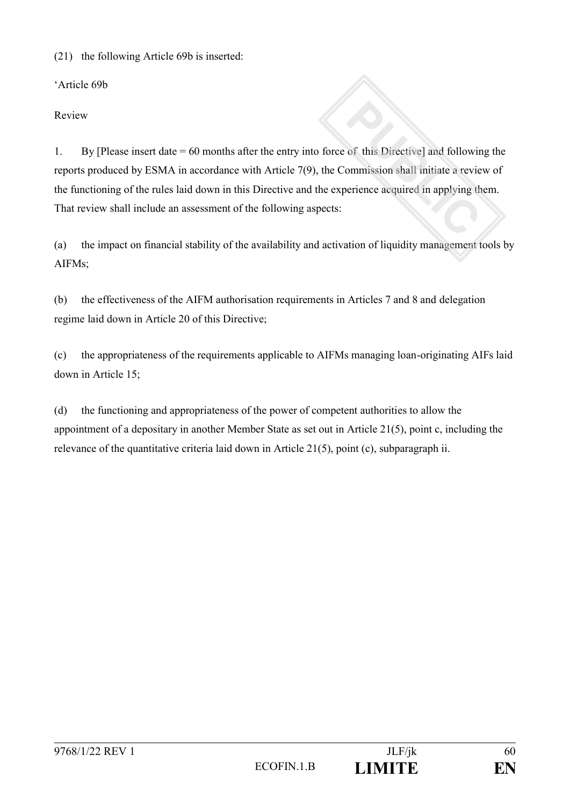(21) the following Article 69b is inserted:

'Article 69b

Review

1. By [Please insert date = 60 months after the entry into force of this Directive] and following the reports produced by ESMA in accordance with Article 7(9), the Commission shall initiate a review of the functioning of the rules laid down in this Directive and the experience acquired in applying them. That review shall include an assessment of the following aspects:

(a) the impact on financial stability of the availability and activation of liquidity management tools by AIFMs;

(b) the effectiveness of the AIFM authorisation requirements in Articles 7 and 8 and delegation regime laid down in Article 20 of this Directive;

(c) the appropriateness of the requirements applicable to AIFMs managing loan-originating AIFs laid down in Article 15;

(d) the functioning and appropriateness of the power of competent authorities to allow the appointment of a depositary in another Member State as set out in Article 21(5), point c, including the relevance of the quantitative criteria laid down in Article 21(5), point (c), subparagraph ii.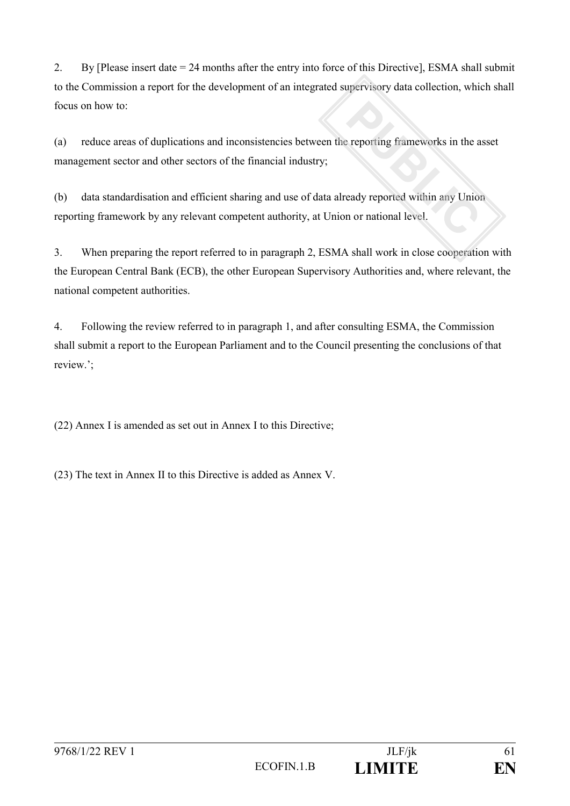2. By [Please insert date = 24 months after the entry into force of this Directive], ESMA shall submit to the Commission a report for the development of an integrated supervisory data collection, which shall focus on how to:

(a) reduce areas of duplications and inconsistencies between the reporting frameworks in the asset management sector and other sectors of the financial industry;

(b) data standardisation and efficient sharing and use of data already reported within any Union reporting framework by any relevant competent authority, at Union or national level.

3. When preparing the report referred to in paragraph 2, ESMA shall work in close cooperation with the European Central Bank (ECB), the other European Supervisory Authorities and, where relevant, the national competent authorities.

4. Following the review referred to in paragraph 1, and after consulting ESMA, the Commission shall submit a report to the European Parliament and to the Council presenting the conclusions of that review.';

(22) Annex I is amended as set out in Annex I to this Directive;

(23) The text in Annex II to this Directive is added as Annex V.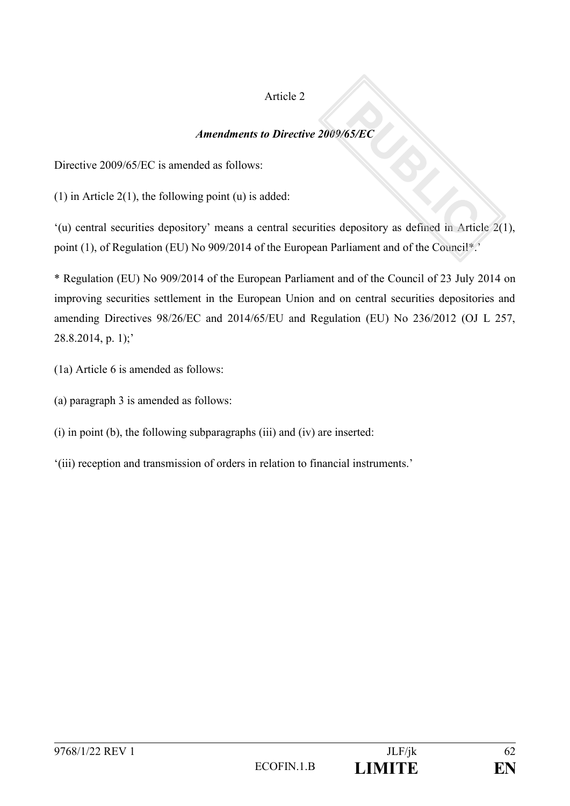## Article 2

## *Amendments to Directive 2009/65/EC*

Directive 2009/65/EC is amended as follows:

(1) in Article 2(1), the following point (u) is added:

'(u) central securities depository' means a central securities depository as defined in Article 2(1), point (1), of Regulation (EU) No 909/2014 of the European Parliament and of the Council\*.'

\* Regulation (EU) No 909/2014 of the European Parliament and of the Council of 23 July 2014 on improving securities settlement in the European Union and on central securities depositories and amending Directives 98/26/EC and 2014/65/EU and Regulation (EU) No 236/2012 (OJ L 257,  $28.8.2014$ , p. 1);'

- (1a) Article 6 is amended as follows:
- (a) paragraph 3 is amended as follows:
- (i) in point (b), the following subparagraphs (iii) and (iv) are inserted:
- '(iii) reception and transmission of orders in relation to financial instruments.'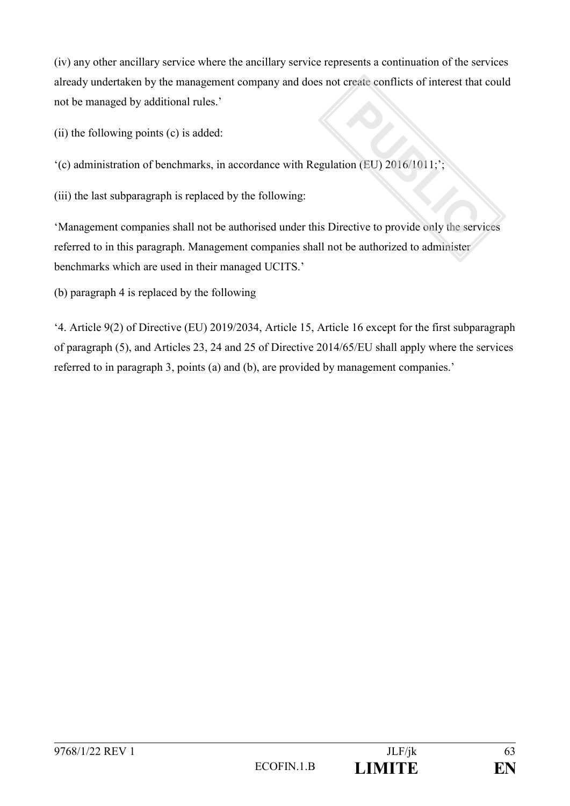(iv) any other ancillary service where the ancillary service represents a continuation of the services already undertaken by the management company and does not create conflicts of interest that could not be managed by additional rules.'

(ii) the following points (c) is added:

'(c) administration of benchmarks, in accordance with Regulation (EU) 2016/1011;';

(iii) the last subparagraph is replaced by the following:

'Management companies shall not be authorised under this Directive to provide only the services referred to in this paragraph. Management companies shall not be authorized to administer benchmarks which are used in their managed UCITS.'

(b) paragraph 4 is replaced by the following

'4. Article 9(2) of Directive (EU) 2019/2034, Article 15, Article 16 except for the first subparagraph of paragraph (5), and Articles 23, 24 and 25 of Directive 2014/65/EU shall apply where the services referred to in paragraph 3, points (a) and (b), are provided by management companies.'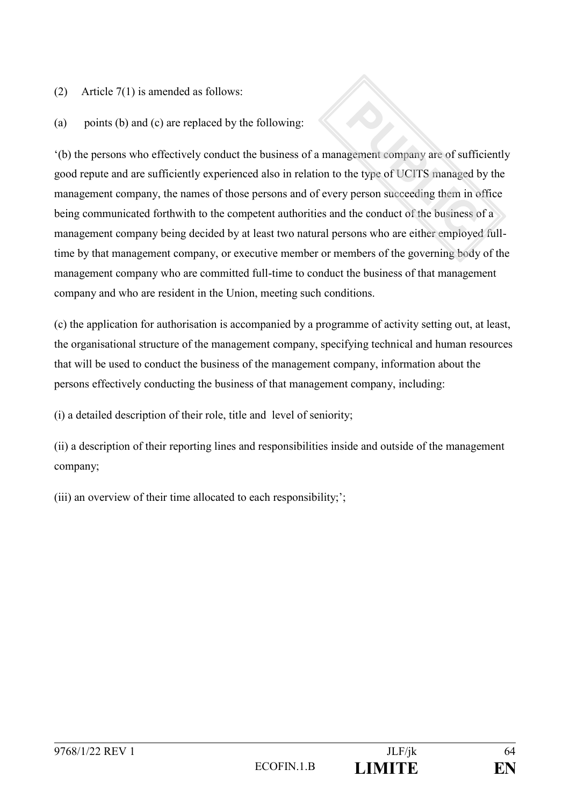(2) Article 7(1) is amended as follows:

(a) points (b) and (c) are replaced by the following:

'(b) the persons who effectively conduct the business of a management company are of sufficiently good repute and are sufficiently experienced also in relation to the type of UCITS managed by the management company, the names of those persons and of every person succeeding them in office being communicated forthwith to the competent authorities and the conduct of the business of a management company being decided by at least two natural persons who are either employed fulltime by that management company, or executive member or members of the governing body of the management company who are committed full-time to conduct the business of that management company and who are resident in the Union, meeting such conditions.

(c) the application for authorisation is accompanied by a programme of activity setting out, at least, the organisational structure of the management company, specifying technical and human resources that will be used to conduct the business of the management company, information about the persons effectively conducting the business of that management company, including:

(i) a detailed description of their role, title and level of seniority;

(ii) a description of their reporting lines and responsibilities inside and outside of the management company;

(iii) an overview of their time allocated to each responsibility;';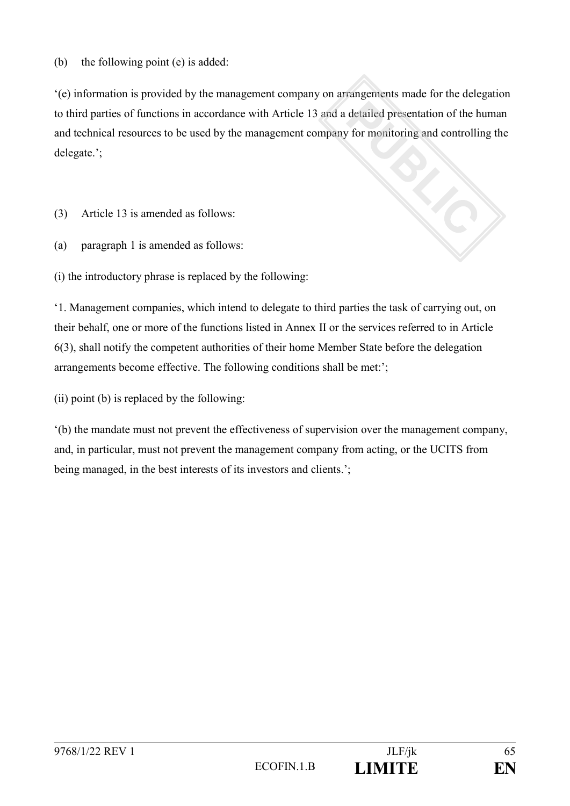(b) the following point (e) is added:

'(e) information is provided by the management company on arrangements made for the delegation to third parties of functions in accordance with Article 13 and a detailed presentation of the human and technical resources to be used by the management company for monitoring and controlling the delegate.';

(3) Article 13 is amended as follows:

(a) paragraph 1 is amended as follows:

(i) the introductory phrase is replaced by the following:

'1. Management companies, which intend to delegate to third parties the task of carrying out, on their behalf, one or more of the functions listed in Annex II or the services referred to in Article 6(3), shall notify the competent authorities of their home Member State before the delegation arrangements become effective. The following conditions shall be met:';

(ii) point (b) is replaced by the following:

'(b) the mandate must not prevent the effectiveness of supervision over the management company, and, in particular, must not prevent the management company from acting, or the UCITS from being managed, in the best interests of its investors and clients.';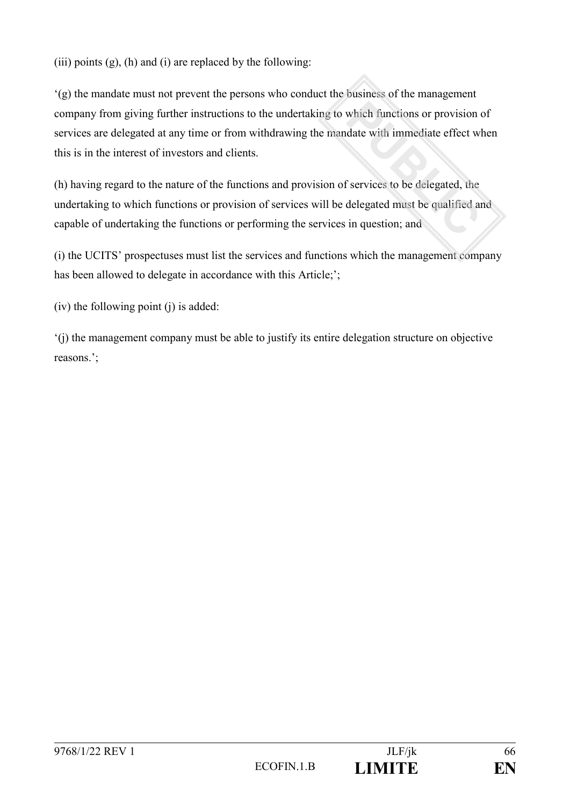(iii) points  $(g)$ ,  $(h)$  and  $(i)$  are replaced by the following:

'(g) the mandate must not prevent the persons who conduct the business of the management company from giving further instructions to the undertaking to which functions or provision of services are delegated at any time or from withdrawing the mandate with immediate effect when this is in the interest of investors and clients.

(h) having regard to the nature of the functions and provision of services to be delegated, the undertaking to which functions or provision of services will be delegated must be qualified and capable of undertaking the functions or performing the services in question; and

(i) the UCITS' prospectuses must list the services and functions which the management company has been allowed to delegate in accordance with this Article;';

(iv) the following point (j) is added:

'(j) the management company must be able to justify its entire delegation structure on objective reasons.';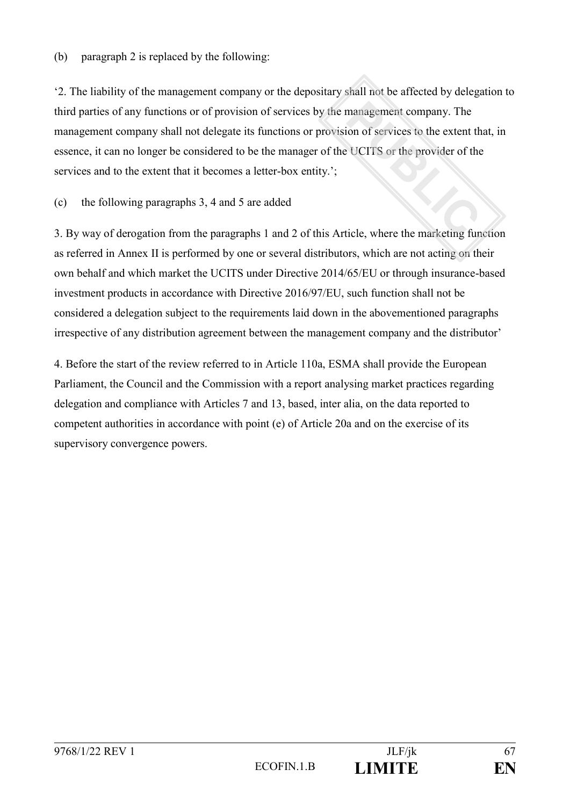(b) paragraph 2 is replaced by the following:

'2. The liability of the management company or the depositary shall not be affected by delegation to third parties of any functions or of provision of services by the management company. The management company shall not delegate its functions or provision of services to the extent that, in essence, it can no longer be considered to be the manager of the UCITS or the provider of the services and to the extent that it becomes a letter-box entity.';

## (c) the following paragraphs 3, 4 and 5 are added

3. By way of derogation from the paragraphs 1 and 2 of this Article, where the marketing function as referred in Annex II is performed by one or several distributors, which are not acting on their own behalf and which market the UCITS under Directive 2014/65/EU or through insurance-based investment products in accordance with Directive 2016/97/EU, such function shall not be considered a delegation subject to the requirements laid down in the abovementioned paragraphs irrespective of any distribution agreement between the management company and the distributor'

4. Before the start of the review referred to in Article 110a, ESMA shall provide the European Parliament, the Council and the Commission with a report analysing market practices regarding delegation and compliance with Articles 7 and 13, based, inter alia, on the data reported to competent authorities in accordance with point (e) of Article 20a and on the exercise of its supervisory convergence powers.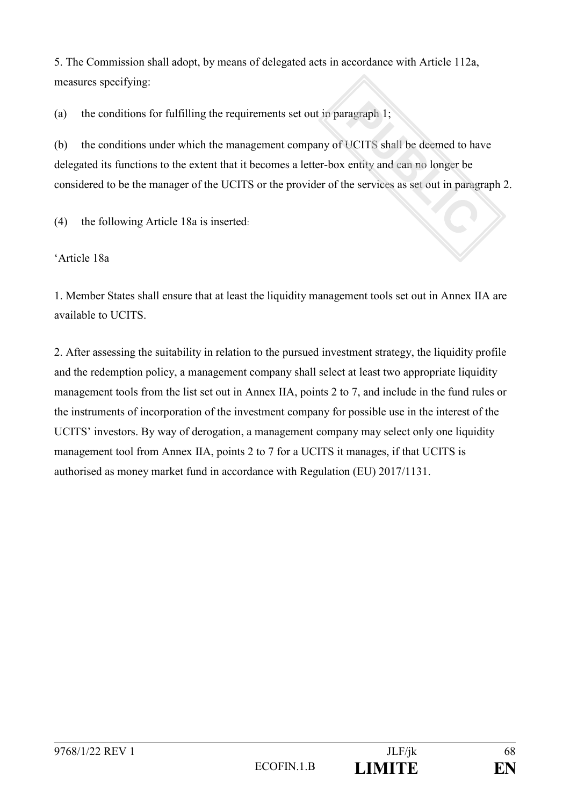5. The Commission shall adopt, by means of delegated acts in accordance with Article 112a, measures specifying:

(a) the conditions for fulfilling the requirements set out in paragraph 1;

(b) the conditions under which the management company of UCITS shall be deemed to have delegated its functions to the extent that it becomes a letter-box entity and can no longer be considered to be the manager of the UCITS or the provider of the services as set out in paragraph 2.

(4) the following Article 18a is inserted:

'Article 18a

1. Member States shall ensure that at least the liquidity management tools set out in Annex IIA are available to UCITS.

2. After assessing the suitability in relation to the pursued investment strategy, the liquidity profile and the redemption policy, a management company shall select at least two appropriate liquidity management tools from the list set out in Annex IIA, points 2 to 7, and include in the fund rules or the instruments of incorporation of the investment company for possible use in the interest of the UCITS' investors. By way of derogation, a management company may select only one liquidity management tool from Annex IIA, points 2 to 7 for a UCITS it manages, if that UCITS is authorised as money market fund in accordance with Regulation (EU) 2017/1131.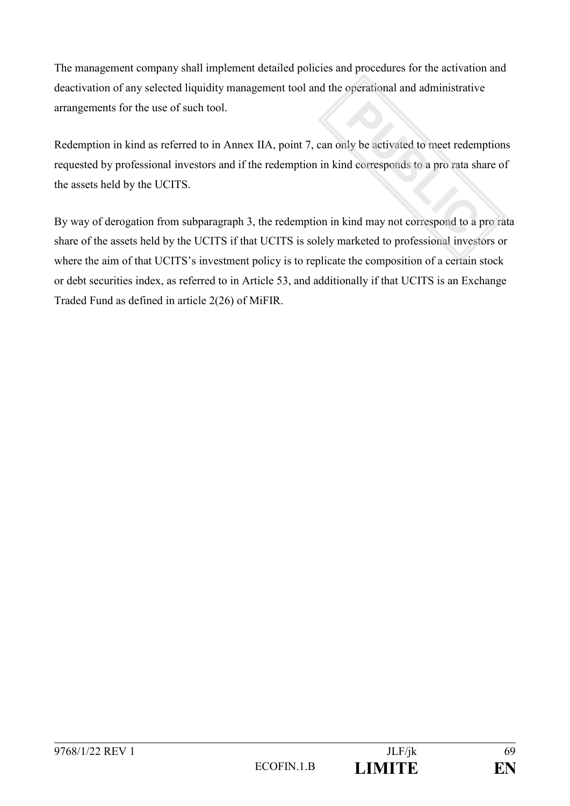The management company shall implement detailed policies and procedures for the activation and deactivation of any selected liquidity management tool and the operational and administrative arrangements for the use of such tool.

Redemption in kind as referred to in Annex IIA, point 7, can only be activated to meet redemptions requested by professional investors and if the redemption in kind corresponds to a pro rata share of the assets held by the UCITS.

By way of derogation from subparagraph 3, the redemption in kind may not correspond to a pro rata share of the assets held by the UCITS if that UCITS is solely marketed to professional investors or where the aim of that UCITS's investment policy is to replicate the composition of a certain stock or debt securities index, as referred to in Article 53, and additionally if that UCITS is an Exchange Traded Fund as defined in article 2(26) of MiFIR.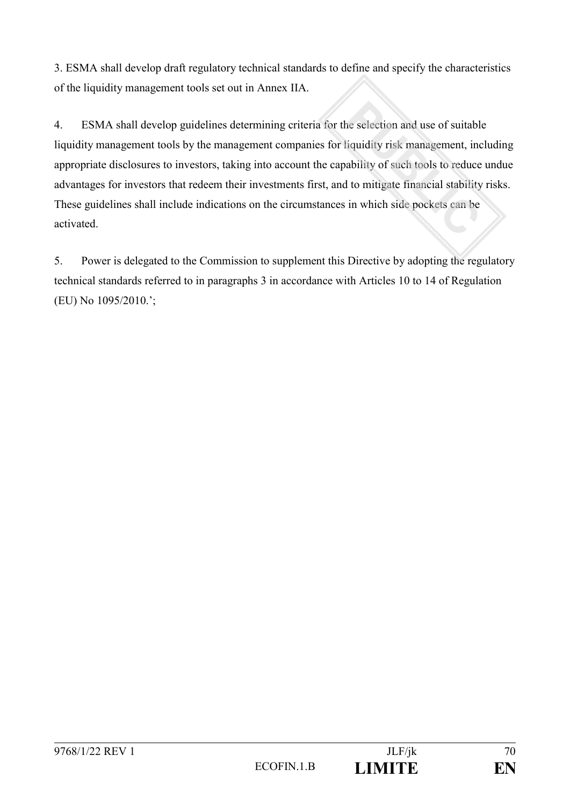3. ESMA shall develop draft regulatory technical standards to define and specify the characteristics of the liquidity management tools set out in Annex IIA.

4. ESMA shall develop guidelines determining criteria for the selection and use of suitable liquidity management tools by the management companies for liquidity risk management, including appropriate disclosures to investors, taking into account the capability of such tools to reduce undue advantages for investors that redeem their investments first, and to mitigate financial stability risks. These guidelines shall include indications on the circumstances in which side pockets can be activated.

5. Power is delegated to the Commission to supplement this Directive by adopting the regulatory technical standards referred to in paragraphs 3 in accordance with Articles 10 to 14 of Regulation (EU) No 1095/2010.';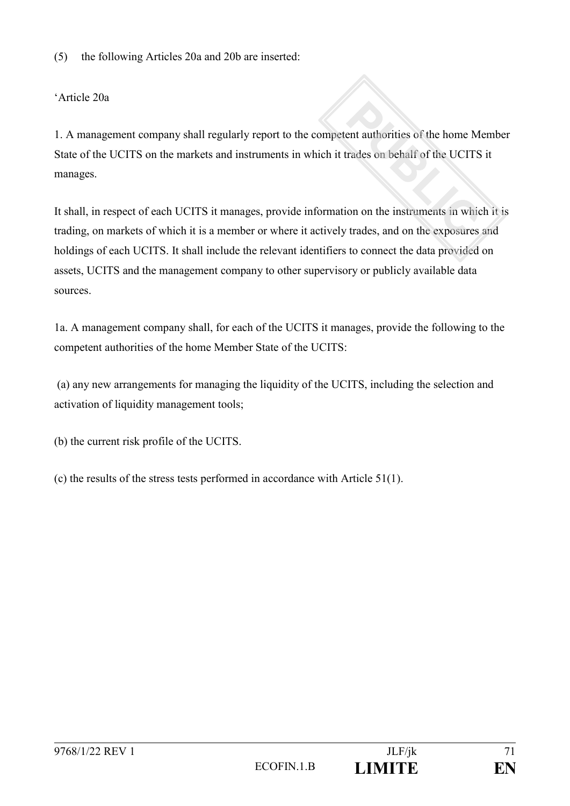(5) the following Articles 20a and 20b are inserted:

## 'Article 20a

1. A management company shall regularly report to the competent authorities of the home Member State of the UCITS on the markets and instruments in which it trades on behalf of the UCITS it manages.

It shall, in respect of each UCITS it manages, provide information on the instruments in which it is trading, on markets of which it is a member or where it actively trades, and on the exposures and holdings of each UCITS. It shall include the relevant identifiers to connect the data provided on assets, UCITS and the management company to other supervisory or publicly available data sources.

1a. A management company shall, for each of the UCITS it manages, provide the following to the competent authorities of the home Member State of the UCITS:

(a) any new arrangements for managing the liquidity of the UCITS, including the selection and activation of liquidity management tools;

(b) the current risk profile of the UCITS.

(c) the results of the stress tests performed in accordance with Article 51(1).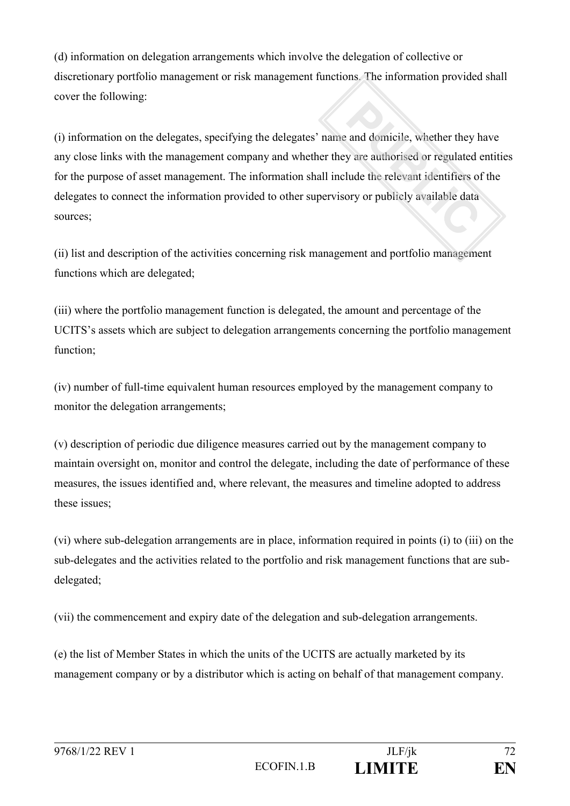(d) information on delegation arrangements which involve the delegation of collective or discretionary portfolio management or risk management functions. The information provided shall cover the following:

(i) information on the delegates, specifying the delegates' name and domicile, whether they have any close links with the management company and whether they are authorised or regulated entities for the purpose of asset management. The information shall include the relevant identifiers of the delegates to connect the information provided to other supervisory or publicly available data sources;

(ii) list and description of the activities concerning risk management and portfolio management functions which are delegated;

(iii) where the portfolio management function is delegated, the amount and percentage of the UCITS's assets which are subject to delegation arrangements concerning the portfolio management function;

(iv) number of full-time equivalent human resources employed by the management company to monitor the delegation arrangements;

(v) description of periodic due diligence measures carried out by the management company to maintain oversight on, monitor and control the delegate, including the date of performance of these measures, the issues identified and, where relevant, the measures and timeline adopted to address these issues;

(vi) where sub-delegation arrangements are in place, information required in points (i) to (iii) on the sub-delegates and the activities related to the portfolio and risk management functions that are subdelegated;

(vii) the commencement and expiry date of the delegation and sub-delegation arrangements.

(e) the list of Member States in which the units of the UCITS are actually marketed by its management company or by a distributor which is acting on behalf of that management company.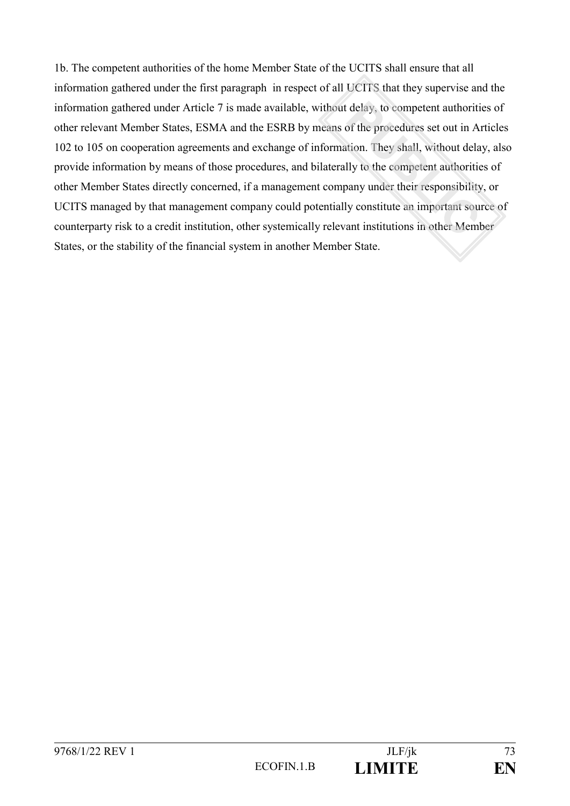1b. The competent authorities of the home Member State of the UCITS shall ensure that all information gathered under the first paragraph in respect of all UCITS that they supervise and the information gathered under Article 7 is made available, without delay, to competent authorities of other relevant Member States, ESMA and the ESRB by means of the procedures set out in Articles 102 to 105 on cooperation agreements and exchange of information. They shall, without delay, also provide information by means of those procedures, and bilaterally to the competent authorities of other Member States directly concerned, if a management company under their responsibility, or UCITS managed by that management company could potentially constitute an important source of counterparty risk to a credit institution, other systemically relevant institutions in other Member States, or the stability of the financial system in another Member State.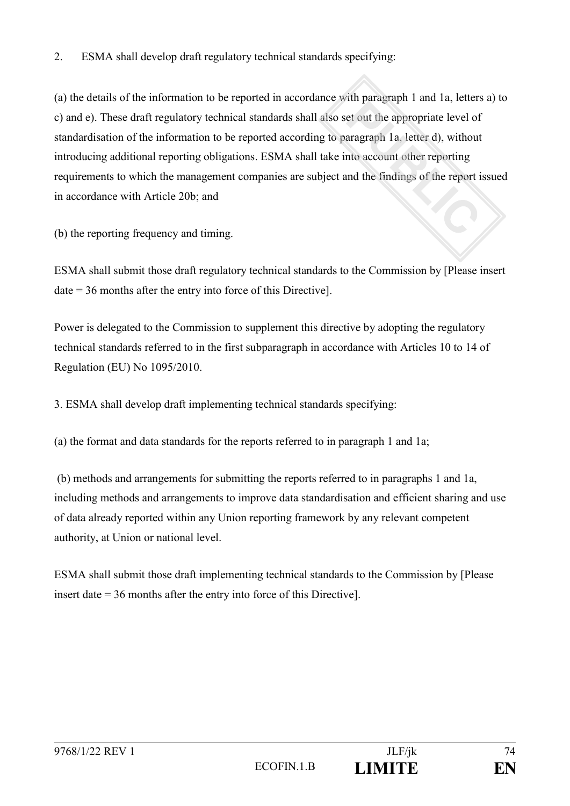### 2. ESMA shall develop draft regulatory technical standards specifying:

(a) the details of the information to be reported in accordance with paragraph 1 and 1a, letters a) to c) and e). These draft regulatory technical standards shall also set out the appropriate level of standardisation of the information to be reported according to paragraph 1a, letter d), without introducing additional reporting obligations. ESMA shall take into account other reporting requirements to which the management companies are subject and the findings of the report issued in accordance with Article 20b; and

(b) the reporting frequency and timing.

ESMA shall submit those draft regulatory technical standards to the Commission by [Please insert date = 36 months after the entry into force of this Directive].

Power is delegated to the Commission to supplement this directive by adopting the regulatory technical standards referred to in the first subparagraph in accordance with Articles 10 to 14 of Regulation (EU) No 1095/2010.

3. ESMA shall develop draft implementing technical standards specifying:

(a) the format and data standards for the reports referred to in paragraph 1 and 1a;

(b) methods and arrangements for submitting the reports referred to in paragraphs 1 and 1a, including methods and arrangements to improve data standardisation and efficient sharing and use of data already reported within any Union reporting framework by any relevant competent authority, at Union or national level.

ESMA shall submit those draft implementing technical standards to the Commission by [Please insert date = 36 months after the entry into force of this Directive].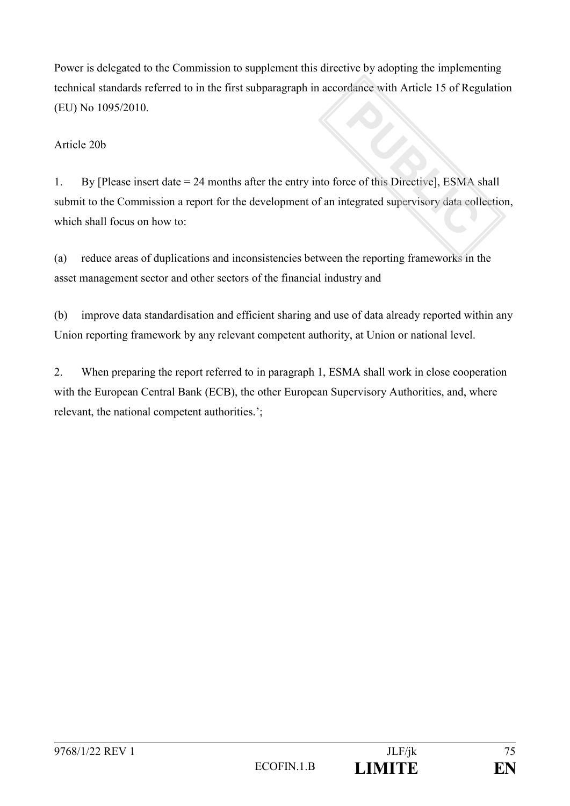Power is delegated to the Commission to supplement this directive by adopting the implementing technical standards referred to in the first subparagraph in accordance with Article 15 of Regulation (EU) No 1095/2010.

### Article 20b

1. By [Please insert date = 24 months after the entry into force of this Directive], ESMA shall submit to the Commission a report for the development of an integrated supervisory data collection, which shall focus on how to:

(a) reduce areas of duplications and inconsistencies between the reporting frameworks in the asset management sector and other sectors of the financial industry and

(b) improve data standardisation and efficient sharing and use of data already reported within any Union reporting framework by any relevant competent authority, at Union or national level.

2. When preparing the report referred to in paragraph 1, ESMA shall work in close cooperation with the European Central Bank (ECB), the other European Supervisory Authorities, and, where relevant, the national competent authorities.';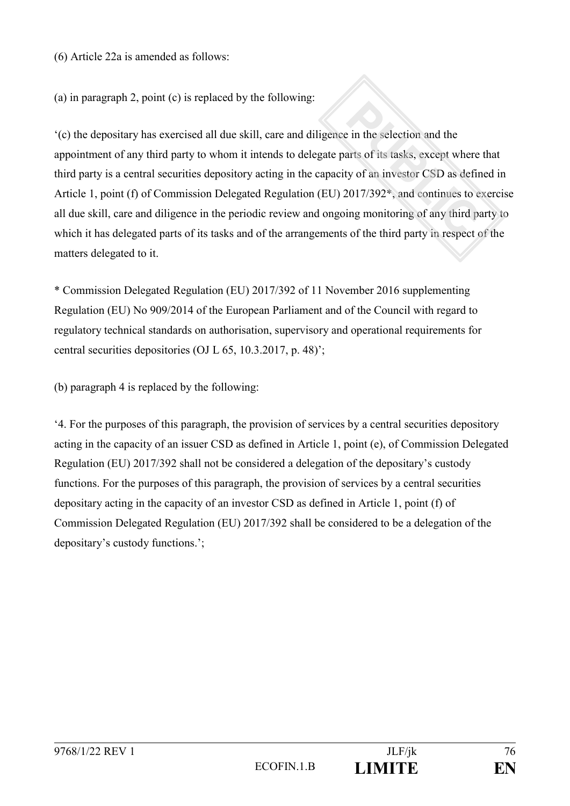(6) Article 22a is amended as follows:

(a) in paragraph 2, point (c) is replaced by the following:

'(c) the depositary has exercised all due skill, care and diligence in the selection and the appointment of any third party to whom it intends to delegate parts of its tasks, except where that third party is a central securities depository acting in the capacity of an investor CSD as defined in Article 1, point (f) of Commission Delegated Regulation (EU) 2017/392\*, and continues to exercise all due skill, care and diligence in the periodic review and ongoing monitoring of any third party to which it has delegated parts of its tasks and of the arrangements of the third party in respect of the matters delegated to it.

\* Commission Delegated Regulation (EU) 2017/392 of 11 November 2016 supplementing Regulation (EU) No 909/2014 of the European Parliament and of the Council with regard to regulatory technical standards on authorisation, supervisory and operational requirements for central securities depositories (OJ L 65, 10.3.2017, p. 48)';

(b) paragraph 4 is replaced by the following:

'4. For the purposes of this paragraph, the provision of services by a central securities depository acting in the capacity of an issuer CSD as defined in Article 1, point (e), of Commission Delegated Regulation (EU) 2017/392 shall not be considered a delegation of the depositary's custody functions. For the purposes of this paragraph, the provision of services by a central securities depositary acting in the capacity of an investor CSD as defined in Article 1, point (f) of Commission Delegated Regulation (EU) 2017/392 shall be considered to be a delegation of the depositary's custody functions.';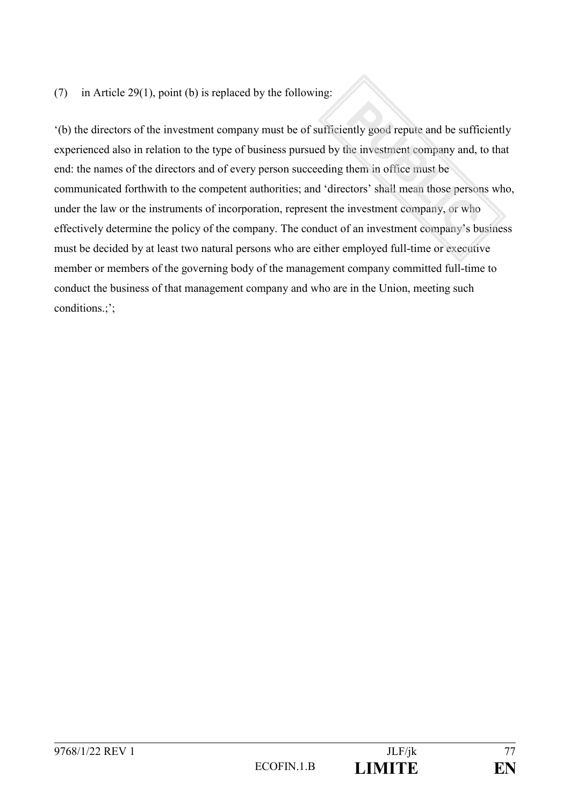### (7) in Article 29(1), point (b) is replaced by the following:

'(b) the directors of the investment company must be of sufficiently good repute and be sufficiently experienced also in relation to the type of business pursued by the investment company and, to that end: the names of the directors and of every person succeeding them in office must be communicated forthwith to the competent authorities; and 'directors' shall mean those persons who, under the law or the instruments of incorporation, represent the investment company, or who effectively determine the policy of the company. The conduct of an investment company's business must be decided by at least two natural persons who are either employed full-time or executive member or members of the governing body of the management company committed full-time to conduct the business of that management company and who are in the Union, meeting such conditions.;';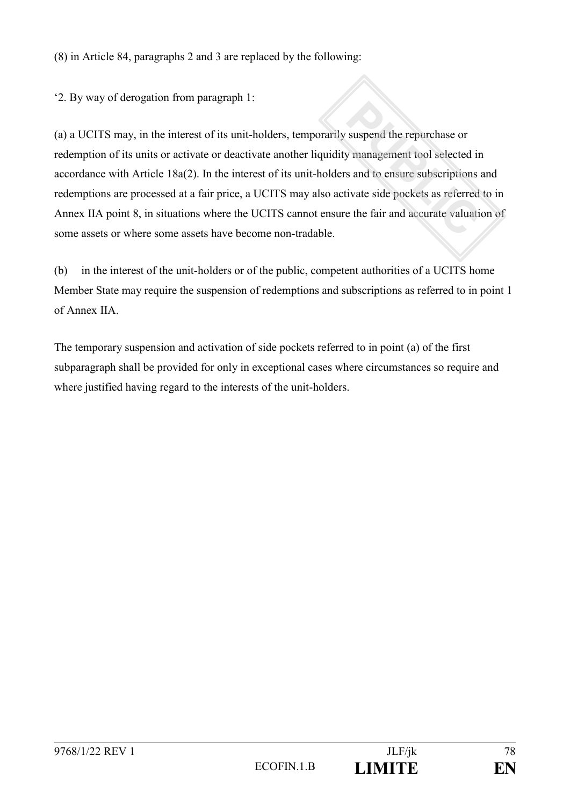(8) in Article 84, paragraphs 2 and 3 are replaced by the following:

'2. By way of derogation from paragraph 1:

(a) a UCITS may, in the interest of its unit-holders, temporarily suspend the repurchase or redemption of its units or activate or deactivate another liquidity management tool selected in accordance with Article 18a(2). In the interest of its unit-holders and to ensure subscriptions and redemptions are processed at a fair price, a UCITS may also activate side pockets as referred to in Annex IIA point 8, in situations where the UCITS cannot ensure the fair and accurate valuation of some assets or where some assets have become non-tradable.

(b) in the interest of the unit-holders or of the public, competent authorities of a UCITS home Member State may require the suspension of redemptions and subscriptions as referred to in point 1 of Annex IIA.

The temporary suspension and activation of side pockets referred to in point (a) of the first subparagraph shall be provided for only in exceptional cases where circumstances so require and where justified having regard to the interests of the unit-holders.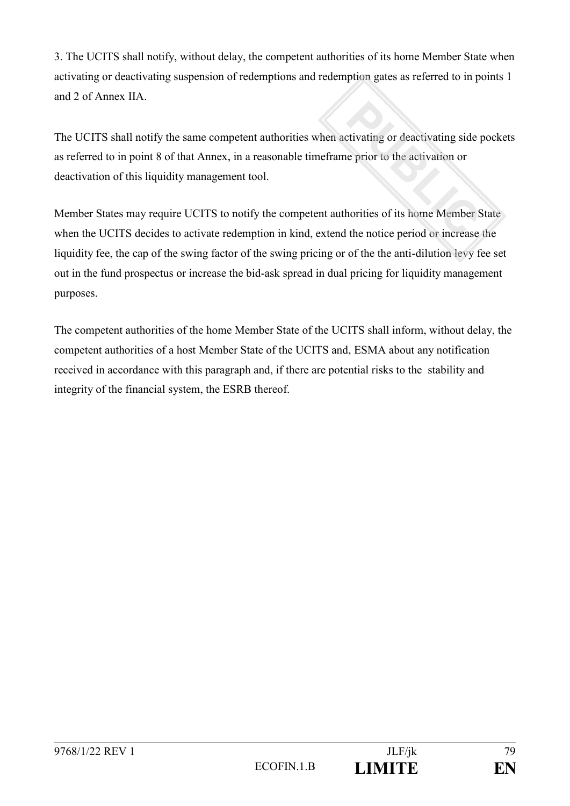3. The UCITS shall notify, without delay, the competent authorities of its home Member State when activating or deactivating suspension of redemptions and redemption gates as referred to in points 1 and 2 of Annex IIA.

The UCITS shall notify the same competent authorities when activating or deactivating side pockets as referred to in point 8 of that Annex, in a reasonable timeframe prior to the activation or deactivation of this liquidity management tool.

Member States may require UCITS to notify the competent authorities of its home Member State when the UCITS decides to activate redemption in kind, extend the notice period or increase the liquidity fee, the cap of the swing factor of the swing pricing or of the the anti-dilution levy fee set out in the fund prospectus or increase the bid-ask spread in dual pricing for liquidity management purposes.

The competent authorities of the home Member State of the UCITS shall inform, without delay, the competent authorities of a host Member State of the UCITS and, ESMA about any notification received in accordance with this paragraph and, if there are potential risks to the stability and integrity of the financial system, the ESRB thereof.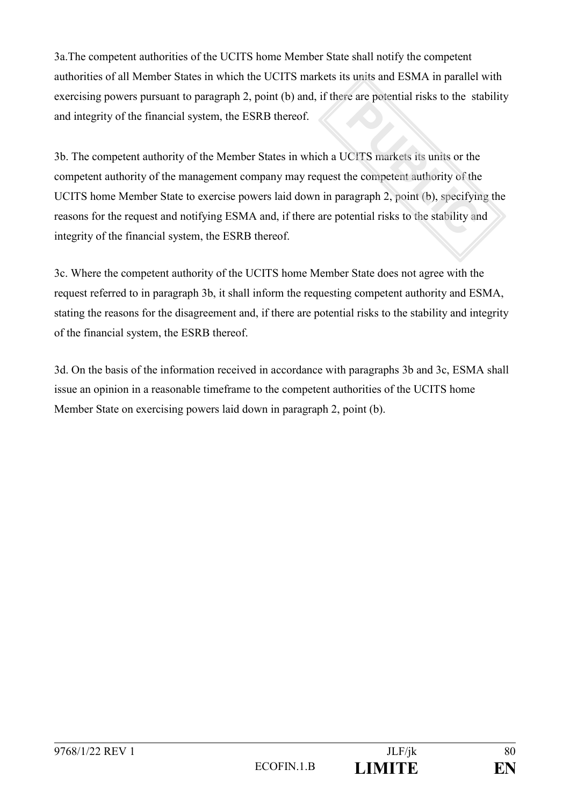3a.The competent authorities of the UCITS home Member State shall notify the competent authorities of all Member States in which the UCITS markets its units and ESMA in parallel with exercising powers pursuant to paragraph 2, point (b) and, if there are potential risks to the stability and integrity of the financial system, the ESRB thereof.

3b. The competent authority of the Member States in which a UCITS markets its units or the competent authority of the management company may request the competent authority of the UCITS home Member State to exercise powers laid down in paragraph 2, point (b), specifying the reasons for the request and notifying ESMA and, if there are potential risks to the stability and integrity of the financial system, the ESRB thereof.

3c. Where the competent authority of the UCITS home Member State does not agree with the request referred to in paragraph 3b, it shall inform the requesting competent authority and ESMA, stating the reasons for the disagreement and, if there are potential risks to the stability and integrity of the financial system, the ESRB thereof.

3d. On the basis of the information received in accordance with paragraphs 3b and 3c, ESMA shall issue an opinion in a reasonable timeframe to the competent authorities of the UCITS home Member State on exercising powers laid down in paragraph 2, point (b).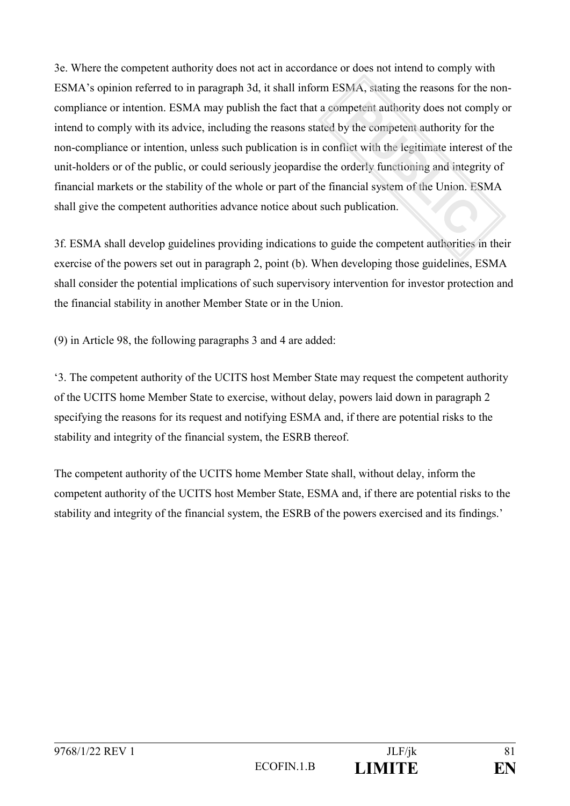3e. Where the competent authority does not act in accordance or does not intend to comply with ESMA's opinion referred to in paragraph 3d, it shall inform ESMA, stating the reasons for the noncompliance or intention. ESMA may publish the fact that a competent authority does not comply or intend to comply with its advice, including the reasons stated by the competent authority for the non-compliance or intention, unless such publication is in conflict with the legitimate interest of the unit-holders or of the public, or could seriously jeopardise the orderly functioning and integrity of financial markets or the stability of the whole or part of the financial system of the Union. ESMA shall give the competent authorities advance notice about such publication.

3f. ESMA shall develop guidelines providing indications to guide the competent authorities in their exercise of the powers set out in paragraph 2, point (b). When developing those guidelines, ESMA shall consider the potential implications of such supervisory intervention for investor protection and the financial stability in another Member State or in the Union.

(9) in Article 98, the following paragraphs 3 and 4 are added:

'3. The competent authority of the UCITS host Member State may request the competent authority of the UCITS home Member State to exercise, without delay, powers laid down in paragraph 2 specifying the reasons for its request and notifying ESMA and, if there are potential risks to the stability and integrity of the financial system, the ESRB thereof.

The competent authority of the UCITS home Member State shall, without delay, inform the competent authority of the UCITS host Member State, ESMA and, if there are potential risks to the stability and integrity of the financial system, the ESRB of the powers exercised and its findings.'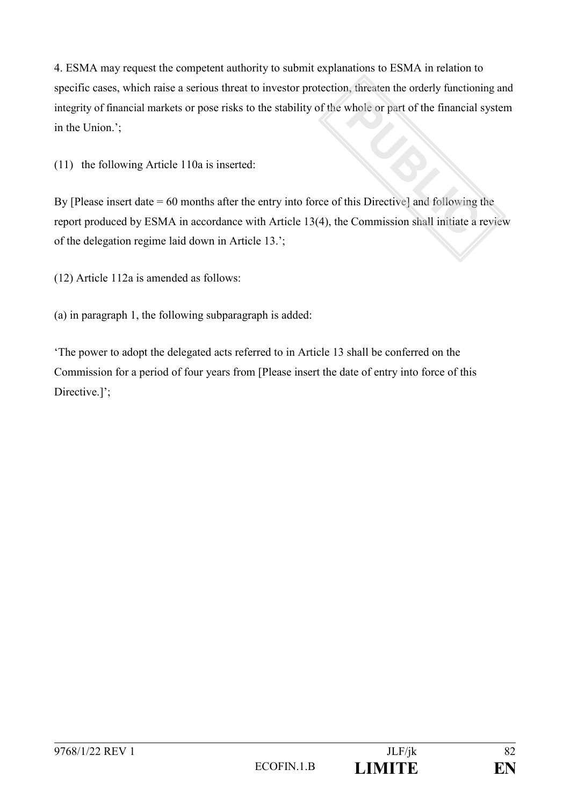4. ESMA may request the competent authority to submit explanations to ESMA in relation to specific cases, which raise a serious threat to investor protection, threaten the orderly functioning and integrity of financial markets or pose risks to the stability of the whole or part of the financial system in the Union.';

(11) the following Article 110a is inserted:

By [Please insert date = 60 months after the entry into force of this Directive] and following the report produced by ESMA in accordance with Article 13(4), the Commission shall initiate a review of the delegation regime laid down in Article 13.';

(12) Article 112a is amended as follows:

(a) in paragraph 1, the following subparagraph is added:

'The power to adopt the delegated acts referred to in Article 13 shall be conferred on the Commission for a period of four years from [Please insert the date of entry into force of this Directive.]';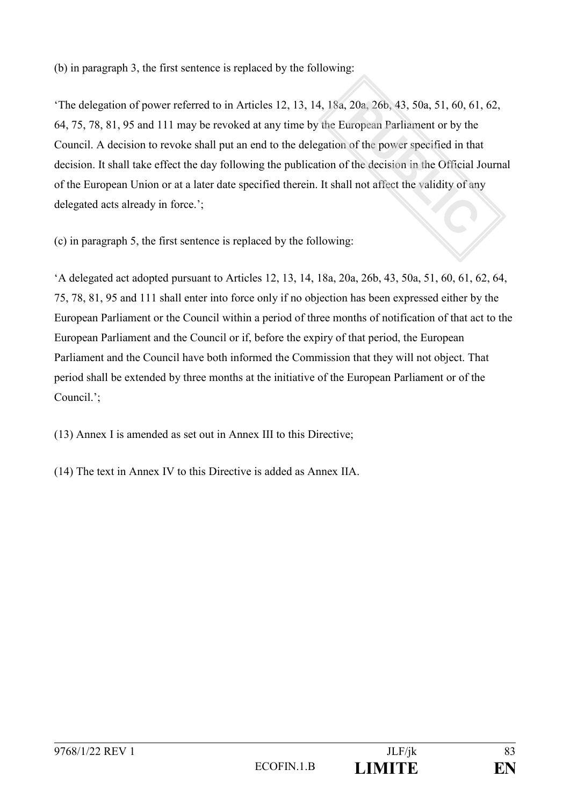(b) in paragraph 3, the first sentence is replaced by the following:

'The delegation of power referred to in Articles 12, 13, 14, 18a, 20a, 26b, 43, 50a, 51, 60, 61, 62, 64, 75, 78, 81, 95 and 111 may be revoked at any time by the European Parliament or by the Council. A decision to revoke shall put an end to the delegation of the power specified in that decision. It shall take effect the day following the publication of the decision in the Official Journal of the European Union or at a later date specified therein. It shall not affect the validity of any delegated acts already in force.';

(c) in paragraph 5, the first sentence is replaced by the following:

'A delegated act adopted pursuant to Articles 12, 13, 14, 18a, 20a, 26b, 43, 50a, 51, 60, 61, 62, 64, 75, 78, 81, 95 and 111 shall enter into force only if no objection has been expressed either by the European Parliament or the Council within a period of three months of notification of that act to the European Parliament and the Council or if, before the expiry of that period, the European Parliament and the Council have both informed the Commission that they will not object. That period shall be extended by three months at the initiative of the European Parliament or of the Council.';

(13) Annex I is amended as set out in Annex III to this Directive;

(14) The text in Annex IV to this Directive is added as Annex IIA.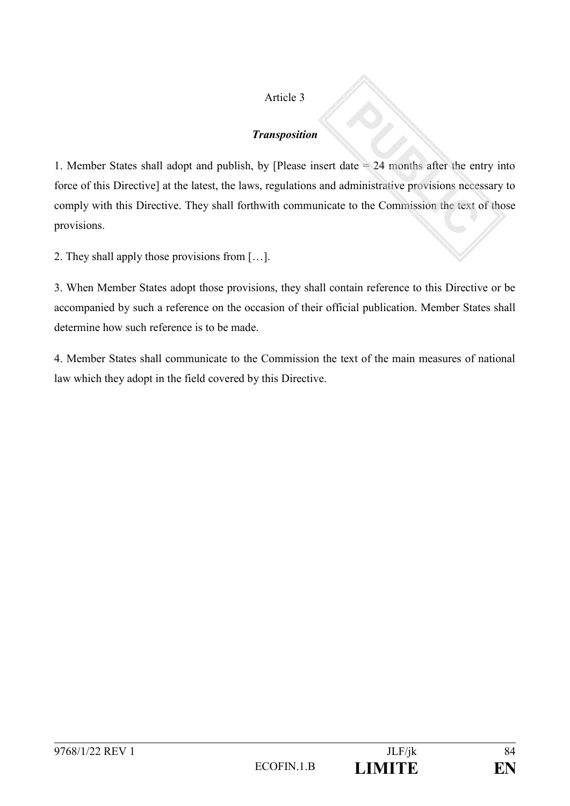## Article 3

### *Transposition*

1. Member States shall adopt and publish, by [Please insert date = 24 months after the entry into force of this Directive] at the latest, the laws, regulations and administrative provisions necessary to comply with this Directive. They shall forthwith communicate to the Commission the text of those provisions.

2. They shall apply those provisions from […].

3. When Member States adopt those provisions, they shall contain reference to this Directive or be accompanied by such a reference on the occasion of their official publication. Member States shall determine how such reference is to be made.

4. Member States shall communicate to the Commission the text of the main measures of national law which they adopt in the field covered by this Directive.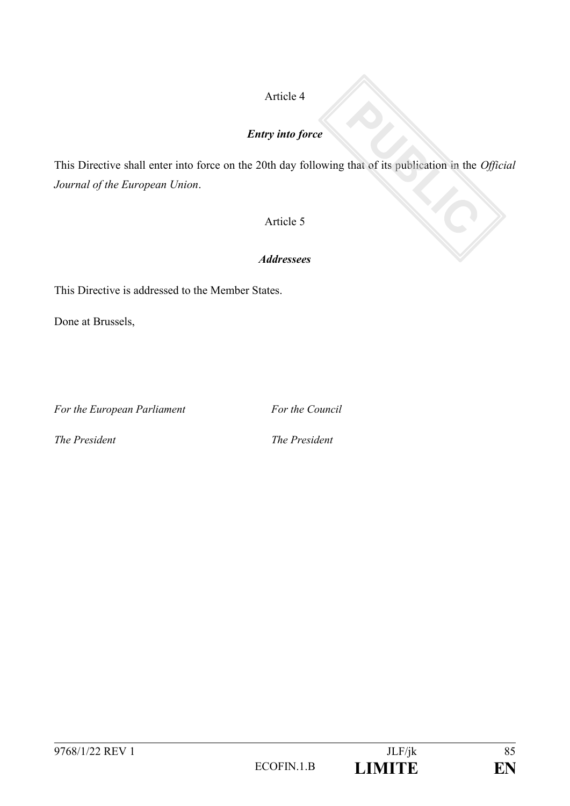## Article 4

### *Entry into force*

This Directive shall enter into force on the 20th day following that of its publication in the *Official Journal of the European Union*.

### Article 5

### *Addressees*

This Directive is addressed to the Member States.

Done at Brussels,

*For the European Parliament* For the Council

*The President The President*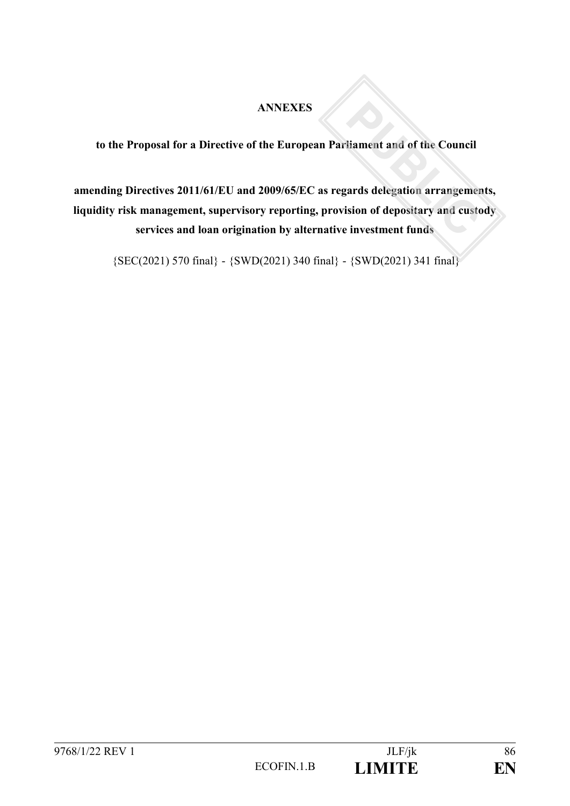## **ANNEXES**

**to the Proposal for a Directive of the European Parliament and of the Council**

# **amending Directives 2011/61/EU and 2009/65/EC as regards delegation arrangements, liquidity risk management, supervisory reporting, provision of depositary and custody services and loan origination by alternative investment funds**

{SEC(2021) 570 final} - {SWD(2021) 340 final} - {SWD(2021) 341 final}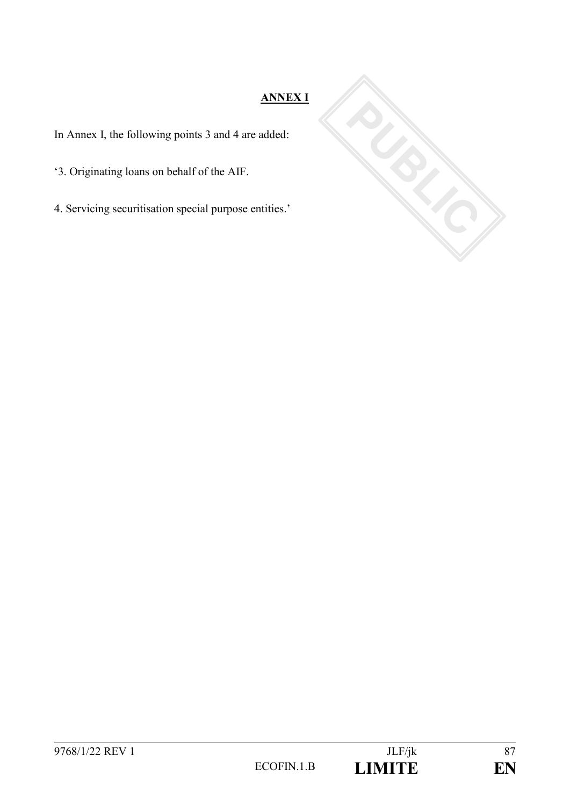# **ANNEX I**

In Annex I, the following points 3 and 4 are added:

'3. Originating loans on behalf of the AIF.

4. Servicing securitisation special purpose entities.'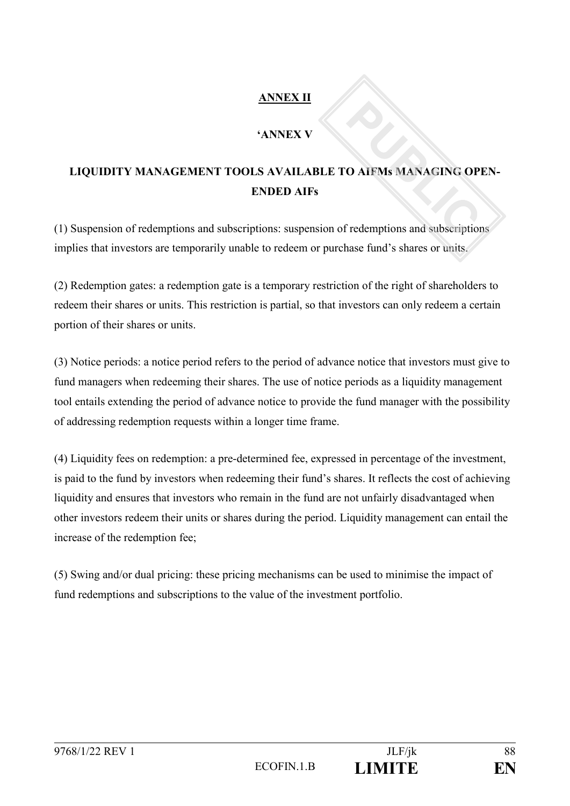# **ANNEX II**

# **'ANNEX V**

# **LIQUIDITY MANAGEMENT TOOLS AVAILABLE TO AIFMs MANAGING OPEN-ENDED AIFs**

(1) Suspension of redemptions and subscriptions: suspension of redemptions and subscriptions implies that investors are temporarily unable to redeem or purchase fund's shares or units.

(2) Redemption gates: a redemption gate is a temporary restriction of the right of shareholders to redeem their shares or units. This restriction is partial, so that investors can only redeem a certain portion of their shares or units.

(3) Notice periods: a notice period refers to the period of advance notice that investors must give to fund managers when redeeming their shares. The use of notice periods as a liquidity management tool entails extending the period of advance notice to provide the fund manager with the possibility of addressing redemption requests within a longer time frame.

(4) Liquidity fees on redemption: a pre-determined fee, expressed in percentage of the investment, is paid to the fund by investors when redeeming their fund's shares. It reflects the cost of achieving liquidity and ensures that investors who remain in the fund are not unfairly disadvantaged when other investors redeem their units or shares during the period. Liquidity management can entail the increase of the redemption fee;

(5) Swing and/or dual pricing: these pricing mechanisms can be used to minimise the impact of fund redemptions and subscriptions to the value of the investment portfolio.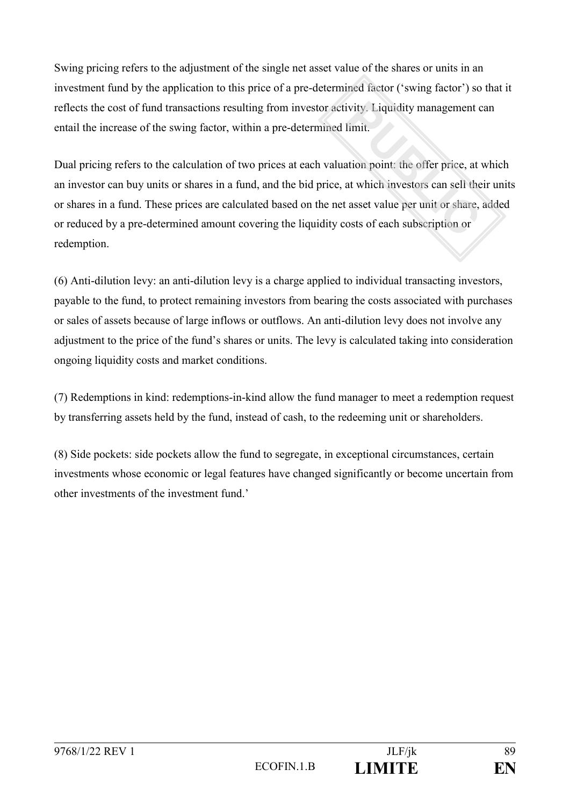Swing pricing refers to the adjustment of the single net asset value of the shares or units in an investment fund by the application to this price of a pre-determined factor ('swing factor') so that it reflects the cost of fund transactions resulting from investor activity. Liquidity management can entail the increase of the swing factor, within a pre-determined limit.

Dual pricing refers to the calculation of two prices at each valuation point: the offer price, at which an investor can buy units or shares in a fund, and the bid price, at which investors can sell their units or shares in a fund. These prices are calculated based on the net asset value per unit or share, added or reduced by a pre-determined amount covering the liquidity costs of each subscription or redemption.

(6) Anti-dilution levy: an anti-dilution levy is a charge applied to individual transacting investors, payable to the fund, to protect remaining investors from bearing the costs associated with purchases or sales of assets because of large inflows or outflows. An anti-dilution levy does not involve any adjustment to the price of the fund's shares or units. The levy is calculated taking into consideration ongoing liquidity costs and market conditions.

(7) Redemptions in kind: redemptions-in-kind allow the fund manager to meet a redemption request by transferring assets held by the fund, instead of cash, to the redeeming unit or shareholders.

(8) Side pockets: side pockets allow the fund to segregate, in exceptional circumstances, certain investments whose economic or legal features have changed significantly or become uncertain from other investments of the investment fund.'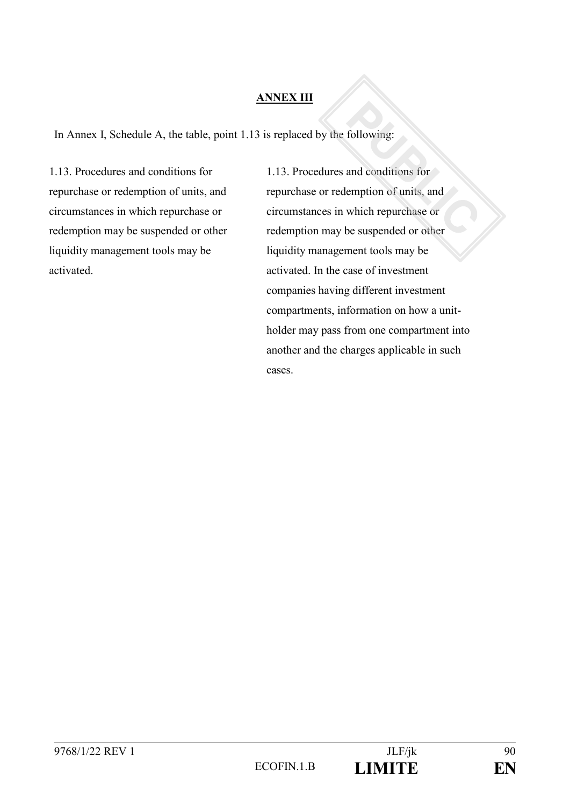## **ANNEX III**

In Annex I, Schedule A, the table, point 1.13 is replaced by the following:

1.13. Procedures and conditions for repurchase or redemption of units, and circumstances in which repurchase or redemption may be suspended or other liquidity management tools may be activated.

1.13. Procedures and conditions for repurchase or redemption of units, and circumstances in which repurchase or redemption may be suspended or other liquidity management tools may be activated. In the case of investment companies having different investment compartments, information on how a unitholder may pass from one compartment into another and the charges applicable in such cases.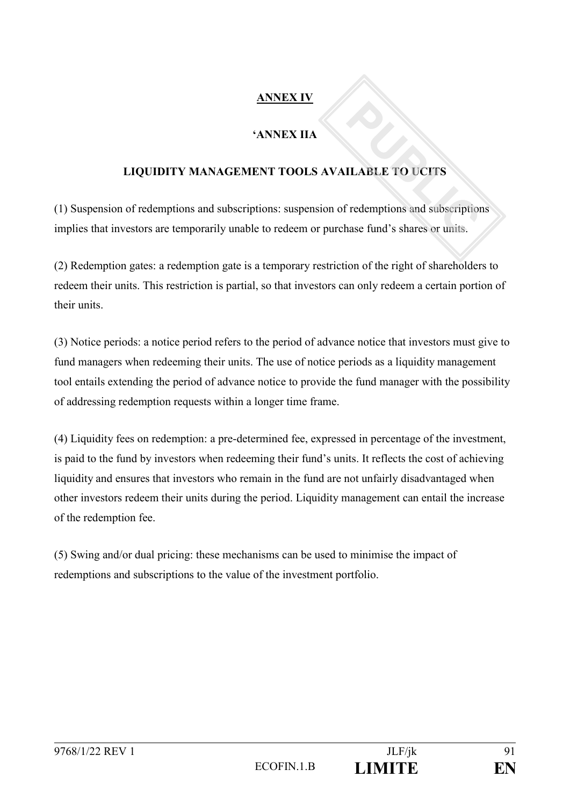# **ANNEX IV**

# **'ANNEX IIA**

# **LIQUIDITY MANAGEMENT TOOLS AVAILABLE TO UCITS**

(1) Suspension of redemptions and subscriptions: suspension of redemptions and subscriptions implies that investors are temporarily unable to redeem or purchase fund's shares or units.

(2) Redemption gates: a redemption gate is a temporary restriction of the right of shareholders to redeem their units. This restriction is partial, so that investors can only redeem a certain portion of their units.

(3) Notice periods: a notice period refers to the period of advance notice that investors must give to fund managers when redeeming their units. The use of notice periods as a liquidity management tool entails extending the period of advance notice to provide the fund manager with the possibility of addressing redemption requests within a longer time frame.

(4) Liquidity fees on redemption: a pre-determined fee, expressed in percentage of the investment, is paid to the fund by investors when redeeming their fund's units. It reflects the cost of achieving liquidity and ensures that investors who remain in the fund are not unfairly disadvantaged when other investors redeem their units during the period. Liquidity management can entail the increase of the redemption fee.

(5) Swing and/or dual pricing: these mechanisms can be used to minimise the impact of redemptions and subscriptions to the value of the investment portfolio.